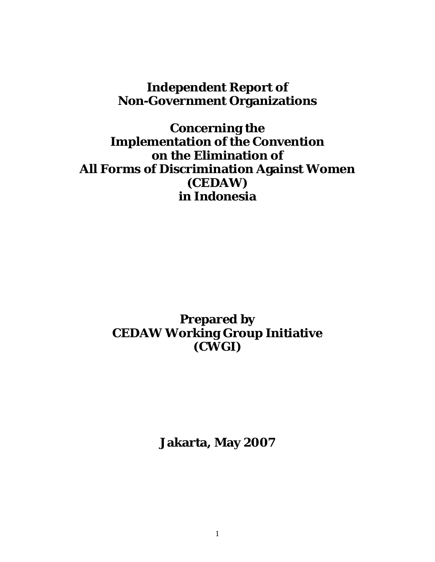# **Independent Report of Non-Government Organizations**

**Concerning the Implementation of the Convention on the Elimination of All Forms of Discrimination Against Women (CEDAW) in Indonesia** 

# **Prepared by CEDAW Working Group Initiative (CWGI)**

**Jakarta, May 2007**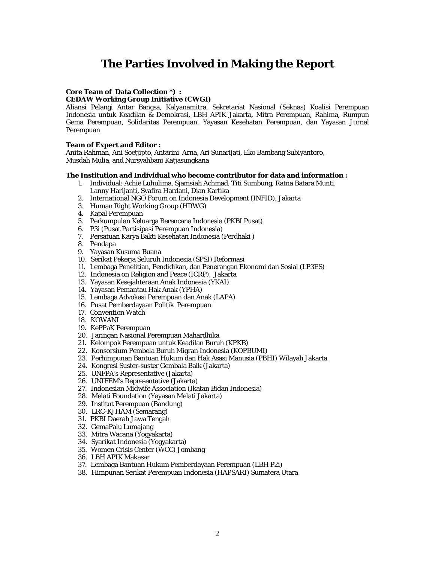## **The Parties Involved in Making the Report**

### **Core Team of Data Collection \*) :**

#### **CEDAW Working Group Initiative (CWGI)**

Aliansi Pelangi Antar Bangsa, Kalyanamitra, Sekretariat Nasional (Seknas) Koalisi Perempuan Indonesia untuk Keadilan & Demokrasi, LBH APIK Jakarta, Mitra Perempuan, Rahima, Rumpun Gema Perempuan, Solidaritas Perempuan, Yayasan Kesehatan Perempuan, dan Yayasan Jurnal Perempuan

#### **Team of Expert and Editor :**

Anita Rahman, Ani Soetjipto, Antarini Arna, Ari Sunarijati, Eko Bambang Subiyantoro, Musdah Mulia, and Nursyahbani Katjasungkana

#### **The Institution and Individual who become contributor for data and information :**

- 1. Individual: Achie Luhulima, Sjamsiah Achmad, Titi Sumbung, Ratna Batara Munti, Lanny Harijanti, Syafira Hardani, Dian Kartika
- 2. International NGO Forum on Indonesia Development (INFID), Jakarta
- 3. Human Right Working Group (HRWG)
- 4. Kapal Perempuan
- 5. Perkumpulan Keluarga Berencana Indonesia (PKBI Pusat)
- 6. P3i (Pusat Partisipasi Perempuan Indonesia)
- 7. Persatuan Karya Bakti Kesehatan Indonesia (Perdhaki )
- 8. Pendapa
- 9. Yayasan Kusuma Buana
- 10. Serikat Pekerja Seluruh Indonesia (SPSI) Reformasi
- 11. Lembaga Penelitian, Pendidikan, dan Penerangan Ekonomi dan Sosial (LP3ES)
- 12. Indonesia on Religion and Peace (ICRP), Jakarta
- 13. Yayasan Kesejahteraan Anak Indonesia (YKAI)
- 14. Yayasan Pemantau Hak Anak (YPHA)
- 15. Lembaga Advokasi Perempuan dan Anak (LAPA)
- 16. Pusat Pemberdayaan Politik Perempuan
- 17. Convention Watch
- 18. KOWANI
- 19. KePPaK Perempuan
- 20. Jaringan Nasional Perempuan Mahardhika
- 21. Kelompok Perempuan untuk Keadilan Buruh (KPKB)
- 22. Konsorsium Pembela Buruh Migran Indonesia (KOPBUMI)
- 23. Perhimpunan Bantuan Hukum dan Hak Asasi Manusia (PBHI) Wilayah Jakarta
- 24. Kongresi Suster-suster Gembala Baik (Jakarta)
- 25. UNFPA's Representative (Jakarta)
- 26. UNIFEM's Representative (Jakarta)
- 27. Indonesian Midwife Association (Ikatan Bidan Indonesia)
- 28. Melati Foundation (Yayasan Melati Jakarta)
- 29. Institut Perempuan (Bandung)
- 30. LRC-KJHAM (Semarang)
- 31. PKBI Daerah Jawa Tengah
- 32. GemaPalu Lumajang
- 33. Mitra Wacana (Yogyakarta)
- 34. Syarikat Indonesia (Yogyakarta)
- 35. Women Crisis Center (WCC) Jombang
- 36. LBH APIK Makasar
- 37. Lembaga Bantuan Hukum Pemberdayaan Perempuan (LBH P2i)
- 38. Himpunan Serikat Perempuan Indonesia (HAPSARI) Sumatera Utara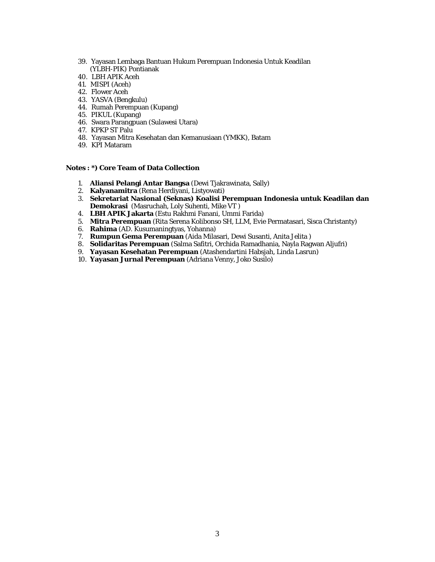- 39. Yayasan Lembaga Bantuan Hukum Perempuan Indonesia Untuk Keadilan (YLBH-PIK) Pontianak
- 40. LBH APIK Aceh
- 41. MISPI (Aceh)
- 42. Flower Aceh
- 43. YASVA (Bengkulu)
- 44. Rumah Perempuan (Kupang)
- 45. PIKUL (Kupang)
- 46. Swara Parangpuan (Sulawesi Utara)
- 47. KPKP ST Palu
- 48. Yayasan Mitra Kesehatan dan Kemanusiaan (YMKK), Batam
- 49. KPI Mataram

#### **Notes : \*) Core Team of Data Collection**

- 1. **Aliansi Pelangi Antar Bangsa** (Dewi Tjakrawinata, Sally)
- 2. **Kalyanamitra** (Rena Herdiyani, Listyowati)
- 3. **Sekretariat Nasional (Seknas) Koalisi Perempuan Indonesia untuk Keadilan dan Demokrasi** (Masruchah, Loly Suhenti, Mike VT )
- 4. **LBH APIK Jakarta** (Estu Rakhmi Fanani, Ummi Farida)
- 5. **Mitra Perempuan** (Rita Serena Kolibonso SH, LLM, Evie Permatasari, Sisca Christanty)
- 6. **Rahima** (AD. Kusumaningtyas, Yohanna)
- 7. **Rumpun Gema Perempuan** (Aida Milasari, Dewi Susanti, Anita Jelita )
- 8. **Solidaritas Perempuan** (Salma Safitri, Orchida Ramadhania, Nayla Ragwan Aljufri)
- 9. **Yayasan Kesehatan Perempuan** (Atashendartini Habsjah, Linda Lasrun)
- 10. **Yayasan Jurnal Perempuan** (Adriana Venny, Joko Susilo)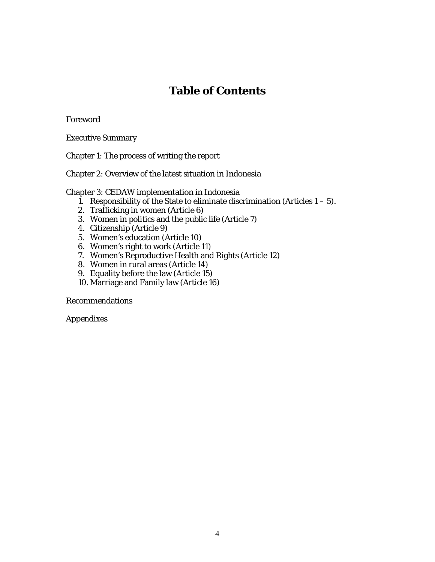# **Table of Contents**

Foreword

Executive Summary

Chapter 1: The process of writing the report

Chapter 2: Overview of the latest situation in Indonesia

#### Chapter 3: CEDAW implementation in Indonesia

- 1. Responsibility of the State to eliminate discrimination (Articles  $1 5$ ).
- 2. Trafficking in women (Article 6)
- 3. Women in politics and the public life (Article 7)
- 4. Citizenship (Article 9)
- 5. Women's education (Article 10)
- 6. Women's right to work (Article 11)
- 7. Women's Reproductive Health and Rights (Article 12)
- 8. Women in rural areas (Article 14)
- 9. Equality before the law (Article 15)
- 10. Marriage and Family law (Article 16)

Recommendations

Appendixes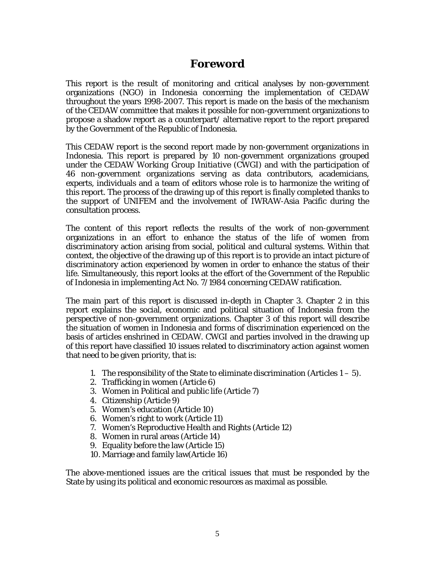## **Foreword**

This report is the result of monitoring and critical analyses by non-government organizations (NGO) in Indonesia concerning the implementation of CEDAW throughout the years 1998-2007. This report is made on the basis of the mechanism of the CEDAW committee that makes it possible for non-government organizations to propose a shadow report as a counterpart/ alternative report to the report prepared by the Government of the Republic of Indonesia.

This CEDAW report is the second report made by non-government organizations in Indonesia. This report is prepared by 10 non-government organizations grouped under the *CEDAW Working Group Initiative* (CWGI) and with the participation of 46 non-government organizations serving as data contributors, academicians, experts, individuals and a team of editors whose role is to harmonize the writing of this report. The process of the drawing up of this report is finally completed thanks to the support of UNIFEM and the involvement of IWRAW-Asia Pacific during the consultation process.

The content of this report reflects the results of the work of non-government organizations in an effort to enhance the status of the life of women from discriminatory action arising from social, political and cultural systems. Within that context, the objective of the drawing up of this report is to provide an intact picture of discriminatory action experienced by women in order to enhance the status of their life. Simultaneously, this report looks at the effort of the Government of the Republic of Indonesia in implementing Act No. 7/1984 concerning CEDAW ratification.

The main part of this report is discussed in-depth in Chapter 3. Chapter 2 in this report explains the social, economic and political situation of Indonesia from the perspective of non-government organizations. Chapter 3 of this report will describe the situation of women in Indonesia and forms of discrimination experienced on the basis of articles enshrined in CEDAW. CWGI and parties involved in the drawing up of this report have classified 10 issues related to discriminatory action against women that need to be given priority, that is:

- 1. The responsibility of the State to eliminate discrimination (Articles  $1 5$ ).
- 2. Trafficking in women (Article 6)
- 3. Women in Political and public life (Article 7)
- 4. Citizenship (Article 9)
- 5. Women's education (Article 10)
- 6. Women's right to work (Article 11)
- 7. Women's Reproductive Health and Rights (Article 12)
- 8. Women in rural areas (Article 14)
- 9. Equality before the law (Article 15)
- 10. Marriage and family law(Article 16)

The above-mentioned issues are the critical issues that must be responded by the State by using its political and economic resources as maximal as possible.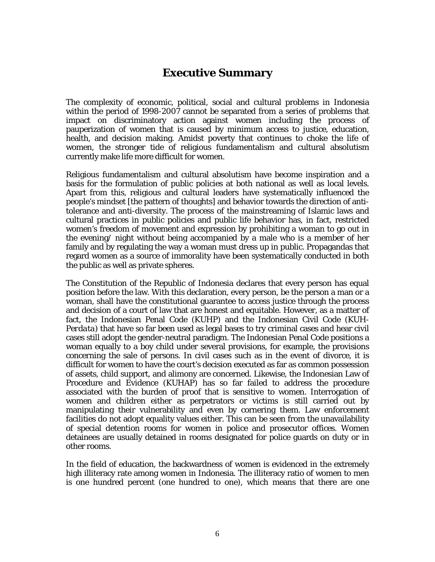## **Executive Summary**

The complexity of economic, political, social and cultural problems in Indonesia within the period of 1998-2007 cannot be separated from a series of problems that impact on discriminatory action against women including the process of pauperization of women that is caused by minimum access to justice, education, health, and decision making. Amidst poverty that continues to choke the life of women, the stronger tide of religious fundamentalism and cultural absolutism currently make life more difficult for women.

Religious fundamentalism and cultural absolutism have become inspiration and a basis for the formulation of public policies at both national as well as local levels. Apart from this, religious and cultural leaders have systematically influenced the people's mindset [the pattern of thoughts] and behavior towards the direction of antitolerance and anti-diversity. The process of the mainstreaming of Islamic laws and cultural practices in public policies and public life behavior has, in fact, restricted women's freedom of movement and expression by prohibiting a woman to go out in the evening/ night without being accompanied by a male who is a member of her family and by regulating the way a woman must dress up in public. Propagandas that regard women as a source of immorality have been systematically conducted in both the public as well as private spheres.

The Constitution of the Republic of Indonesia declares that every person has equal position before the law. With this declaration, every person, be the person a man or a woman, shall have the constitutional guarantee to access justice through the process and decision of a court of law that are honest and equitable. However, as a matter of fact, the Indonesian Penal Code (*KUHP*) and the Indonesian Civil Code (*KUH-Perdata*) that have so far been used as legal bases to try criminal cases and hear civil cases still adopt the gender-neutral paradigm. The Indonesian Penal Code positions a woman equally to a boy child under several provisions, for example, the provisions concerning the sale of persons. In civil cases such as in the event of divorce, it is difficult for women to have the court's decision executed as far as common possession of assets, child support, and alimony are concerned. Likewise, the Indonesian Law of Procedure and Evidence (*KUHAP*) has so far failed to address the procedure associated with the burden of proof that is sensitive to women. Interrogation of women and children either as perpetrators or victims is still carried out by manipulating their vulnerability and even by cornering them. Law enforcement facilities do not adopt equality values either. This can be seen from the unavailability of special detention rooms for women in police and prosecutor offices. Women detainees are usually detained in rooms designated for police guards on duty or in other rooms.

In the field of education, the backwardness of women is evidenced in the extremely high illiteracy rate among women in Indonesia. The illiteracy ratio of women to men is one hundred percent (one hundred to one), which means that there are one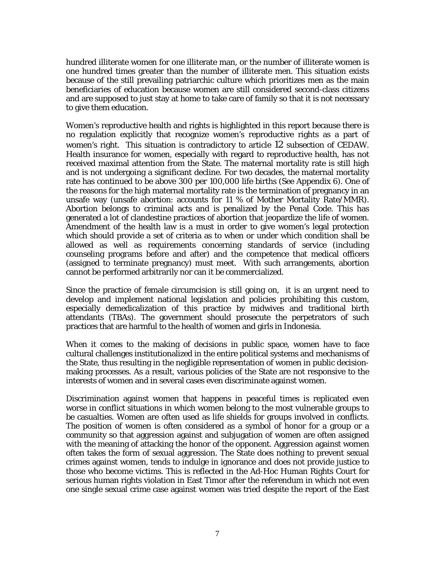hundred illiterate women for one illiterate man, or the number of illiterate women is one hundred times greater than the number of illiterate men. This situation exists because of the still prevailing patriarchic culture which prioritizes men as the main beneficiaries of education because women are still considered second-class citizens and are supposed to just stay at home to take care of family so that it is not necessary to give them education.

Women's reproductive health and rights is highlighted in this report because there is no regulation explicitly that recognize women's reproductive rights as a part of women's right. This situation is contradictory to article 12 subsection of CEDAW. Health insurance for women, especially with regard to reproductive health, has not received maximal attention from the State. The maternal mortality rate is still high and is not undergoing a significant decline. For two decades, the maternal mortality rate has continued to be above 300 per 100,000 life births *(See Appendix 6).* One of the reasons for the high maternal mortality rate is the termination of pregnancy in an unsafe way (unsafe abortion: accounts for 11 % of Mother Mortality Rate/MMR). Abortion belongs to criminal acts and is penalized by the Penal Code. This has generated a lot of clandestine practices of abortion that jeopardize the life of women. Amendment of the health law is a must in order to give women's legal protection which should provide a set of criteria as to when or under which condition shall be allowed as well as requirements concerning standards of service (including counseling programs before and after) and the competence that medical officers (assigned to terminate pregnancy) must meet. With such arrangements, abortion cannot be performed arbitrarily nor can it be commercialized.

Since the practice of female circumcision is still going on, it is an urgent need to develop and implement national legislation and policies prohibiting this custom, especially demedicalization of this practice by midwives and traditional birth attendants (TBAs). The government should prosecute the perpetrators of such practices that are harmful to the health of women and girls in Indonesia.

When it comes to the making of decisions in public space, women have to face cultural challenges institutionalized in the entire political systems and mechanisms of the State, thus resulting in the negligible representation of women in public decisionmaking processes. As a result, various policies of the State are not responsive to the interests of women and in several cases even discriminate against women.

Discrimination against women that happens in peaceful times is replicated even worse in conflict situations in which women belong to the most vulnerable groups to be casualties. Women are often used as life shields for groups involved in conflicts. The position of women is often considered as a symbol of honor for a group or a community so that aggression against and subjugation of women are often assigned with the meaning of attacking the honor of the opponent. Aggression against women often takes the form of sexual aggression. The State does nothing to prevent sexual crimes against women, tends to indulge in ignorance and does not provide justice to those who become victims. This is reflected in the Ad-Hoc Human Rights Court for serious human rights violation in East Timor after the referendum in which not even one single sexual crime case against women was tried despite the report of the East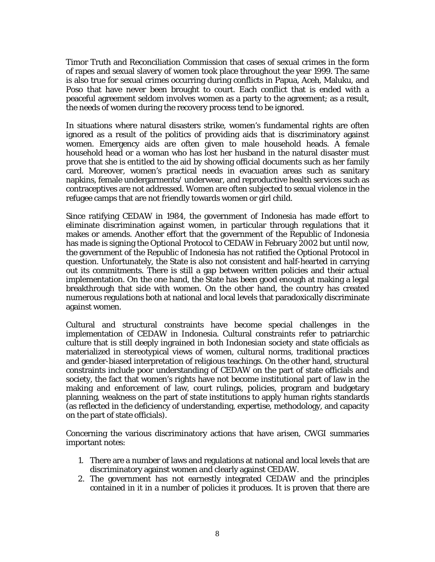Timor Truth and Reconciliation Commission that cases of sexual crimes in the form of rapes and sexual slavery of women took place throughout the year 1999. The same is also true for sexual crimes occurring during conflicts in Papua, Aceh, Maluku, and Poso that have never been brought to court. Each conflict that is ended with a peaceful agreement seldom involves women as a party to the agreement; as a result, the needs of women during the recovery process tend to be ignored.

In situations where natural disasters strike, women's fundamental rights are often ignored as a result of the politics of providing aids that is discriminatory against women. Emergency aids are often given to male household heads. A female household head or a woman who has lost her husband in the natural disaster must prove that she is entitled to the aid by showing official documents such as her family card. Moreover, women's practical needs in evacuation areas such as sanitary napkins, female undergarments/ underwear, and reproductive health services such as contraceptives are not addressed. Women are often subjected to sexual violence in the refugee camps that are not friendly towards women or girl child.

Since ratifying CEDAW in 1984, the government of Indonesia has made effort to eliminate discrimination against women, in particular through regulations that it makes or amends. Another effort that the government of the Republic of Indonesia has made is signing the Optional Protocol to CEDAW in February 2002 but until now, the government of the Republic of Indonesia has not ratified the Optional Protocol in question. Unfortunately, the State is also not consistent and half-hearted in carrying out its commitments. There is still a gap between written policies and their actual implementation. On the one hand, the State has been good enough at making a legal breakthrough that side with women. On the other hand, the country has created numerous regulations both at national and local levels that paradoxically discriminate against women.

Cultural and structural constraints have become special challenges in the implementation of CEDAW in Indonesia. Cultural constraints refer to patriarchic culture that is still deeply ingrained in both Indonesian society and state officials as materialized in stereotypical views of women, cultural norms, traditional practices and gender-biased interpretation of religious teachings. On the other hand, structural constraints include poor understanding of CEDAW on the part of state officials and society, the fact that women's rights have not become institutional part of law in the making and enforcement of law, court rulings, policies, program and budgetary planning, weakness on the part of state institutions to apply human rights standards (as reflected in the deficiency of understanding, expertise, methodology, and capacity on the part of state officials).

Concerning the various discriminatory actions that have arisen, CWGI summaries important notes:

- 1. There are a number of laws and regulations at national and local levels that are discriminatory against women and clearly against CEDAW.
- 2. The government has not earnestly integrated CEDAW and the principles contained in it in a number of policies it produces. It is proven that there are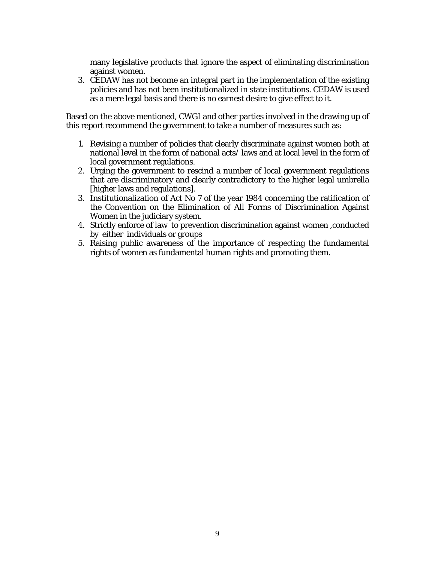many legislative products that ignore the aspect of eliminating discrimination against women.

3. CEDAW has not become an integral part in the implementation of the existing policies and has not been institutionalized in state institutions. CEDAW is used as a mere legal basis and there is no earnest desire to give effect to it.

Based on the above mentioned, CWGI and other parties involved in the drawing up of this report recommend the government to take a number of measures such as:

- 1. Revising a number of policies that clearly discriminate against women both at national level in the form of national acts/ laws and at local level in the form of local government regulations.
- 2. Urging the government to rescind a number of local government regulations that are discriminatory and clearly contradictory to the higher legal umbrella [higher laws and regulations].
- 3. Institutionalization of Act No 7 of the year 1984 concerning the ratification of the Convention on the Elimination of All Forms of Discrimination Against Women in the judiciary system.
- 4. Strictly enforce of law to prevention discrimination against women ,conducted by either individuals or groups
- 5. Raising public awareness of the importance of respecting the fundamental rights of women as fundamental human rights and promoting them.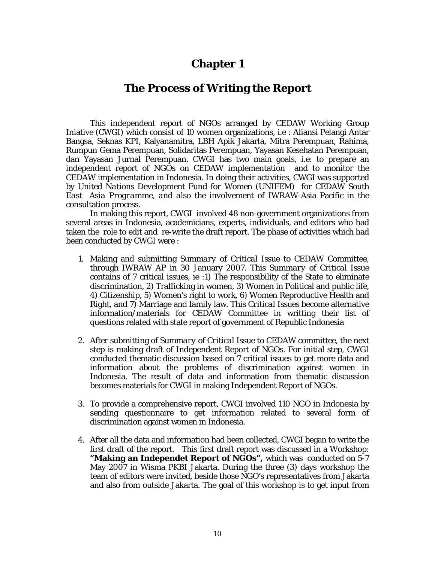## **Chapter 1**

## **The Process of Writing the Report**

This independent report of NGOs arranged by CEDAW Working Group Iniative (CWGI) which consist of 10 women organizations, i.e : Aliansi Pelangi Antar Bangsa, Seknas KPI, Kalyanamitra, LBH Apik Jakarta, Mitra Perempuan, Rahima, Rumpun Gema Perempuan, Solidaritas Perempuan, Yayasan Kesehatan Perempuan, dan Yayasan Jurnal Perempuan. CWGI has two main goals, i.e: to prepare an independent report of NGOs on CEDAW implementation and to monitor the CEDAW implementation in Indonesia. In doing their activities, CWGI was supported by *United Nations Development Fund for Women (UNIFEM) for CEDAW South East Asia Programme, and also the involvement of* IWRAW-Asia Pacific in the consultation process.

In making this report, CWGI involved 48 non-government organizations from several areas in Indonesia, academicians, experts, individuals, and editors who had taken the role to edit and re-write the draft report. The phase of activities which had been conducted by CWGI were :

- 1. Making and submitting *Summary of Critical Issue* to CEDAW Committee, through IWRAW AP in 30 January 2007. This *Summary of Critical Issue* contains of 7 critical issues, ie :1) The responsibility of the State to eliminate discrimination, 2) Trafficking in women, 3) Women in Political and public life, 4) Citizenship, 5) Women's right to work, 6) Women Reproductive Health and Right, and 7) Marriage and family law. This *Critical Issues* become alternative information/materials for CEDAW Committee in writting their list of questions related with state report of government of Republic Indonesia
- 2. After submitting of *Summary of Critical Issue to CEDAW committee*, the next step is making draft of Independent Report of NGOs. For initial step, CWGI conducted thematic discussion based on 7 critical issues to get more data and information about the problems of discrimination against women in Indonesia. The result of data and information from thematic discussion becomes materials for CWGI in making Independent Report of NGOs.
- 3. To provide a comprehensive report, CWGI involved 110 NGO in Indonesia by sending questionnaire to get information related to several form of discrimination against women in Indonesia.
- 4. After all the data and information had been collected, CWGI began to write the first draft of the report. This first draft report was discussed in a Workshop: **"Making an Independet Report of NGOs",** which was conducted on 5-7 May 2007 in Wisma PKBI Jakarta. During the three (3) days workshop the team of editors were invited, beside those NGO's representatives from Jakarta and also from outside Jakarta. The goal of this workshop is to get input from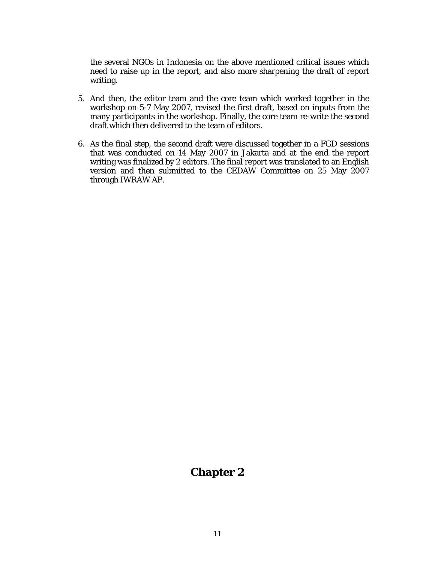the several NGOs in Indonesia on the above mentioned critical issues which need to raise up in the report, and also more sharpening the draft of report writing.

- 5. And then, the editor team and the core team which worked together in the workshop on 5-7 May 2007, revised the first draft, based on inputs from the many participants in the workshop. Finally, the core team re-write the second draft which then delivered to the team of editors.
- 6. As the final step, the second draft were discussed together in a FGD sessions that was conducted on 14 May 2007 in Jakarta and at the end the report writing was finalized by 2 editors. The final report was translated to an English version and then submitted to the CEDAW Committee on 25 May 2007 through IWRAW AP.

## **Chapter 2**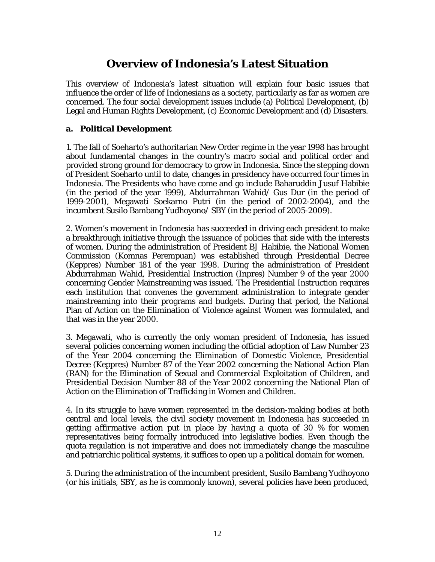# **Overview of Indonesia's Latest Situation**

This overview of Indonesia's latest situation will explain four basic issues that influence the order of life of Indonesians as a society, particularly as far as women are concerned. The four social development issues include (a) Political Development, (b) Legal and Human Rights Development, (c) Economic Development and (d) Disasters.

### **a. Political Development**

1. The fall of Soeharto's authoritarian New Order regime in the year 1998 has brought about fundamental changes in the country's macro social and political order and provided strong ground for democracy to grow in Indonesia. Since the stepping down of President Soeharto until to date, changes in presidency have occurred four times in Indonesia. The Presidents who have come and go include Baharuddin Jusuf Habibie (in the period of the year 1999), Abdurrahman Wahid/ Gus Dur (in the period of 1999-2001), Megawati Soekarno Putri (in the period of 2002-2004), and the incumbent Susilo Bambang Yudhoyono/ SBY (in the period of 2005-2009).

2. Women's movement in Indonesia has succeeded in driving each president to make a breakthrough initiative through the issuance of policies that side with the interests of women. During the administration of President BJ Habibie, the National Women Commission (Komnas Perempuan) was established through Presidential Decree (Keppres) Number 181 of the year 1998. During the administration of President Abdurrahman Wahid, Presidential Instruction (Inpres) Number 9 of the year 2000 concerning Gender Mainstreaming was issued. The Presidential Instruction requires each institution that convenes the government administration to integrate gender mainstreaming into their programs and budgets. During that period, the National Plan of Action on the Elimination of Violence against Women was formulated, and that was in the year 2000.

3. Megawati, who is currently the only woman president of Indonesia, has issued several policies concerning women including the official adoption of Law Number 23 of the Year 2004 concerning the Elimination of Domestic Violence, Presidential Decree (Keppres) Number 87 of the Year 2002 concerning the National Action Plan (RAN) for the Elimination of Sexual and Commercial Exploitation of Children, and Presidential Decision Number 88 of the Year 2002 concerning the National Plan of Action on the Elimination of Trafficking in Women and Children.

4. In its struggle to have women represented in the decision-making bodies at both central and local levels, the civil society movement in Indonesia has succeeded in getting *affirmative action* put in place by having a quota of 30 % for women representatives being formally introduced into legislative bodies. Even though the quota regulation is not imperative and does not immediately change the masculine and patriarchic political systems, it suffices to open up a political domain for women.

5. During the administration of the incumbent president, Susilo Bambang Yudhoyono (or his initials, SBY, as he is commonly known), several policies have been produced,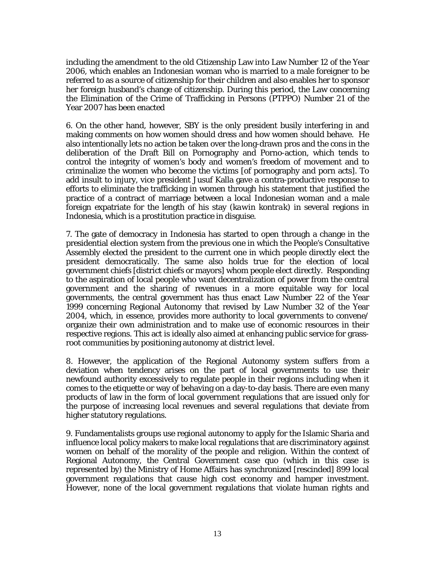including the amendment to the old Citizenship Law into Law Number 12 of the Year 2006, which enables an Indonesian woman who is married to a male foreigner to be referred to as a source of citizenship for their children and also enables her to sponsor her foreign husband's change of citizenship. During this period, the Law concerning the Elimination of the Crime of Trafficking in Persons (PTPPO) Number 21 of the Year 2007 has been enacted

6. On the other hand, however, SBY is the only president busily interfering in and making comments on how women should dress and how women should behave. He also intentionally lets no action be taken over the long-drawn pros and the cons in the deliberation of the Draft Bill on Pornography and Porno-action, which tends to control the integrity of women's body and women's freedom of movement and to criminalize the women who become the victims [of pornography and porn acts]. To add insult to injury, vice president Jusuf Kalla gave a contra-productive response to efforts to eliminate the trafficking in women through his statement that justified the practice of a contract of marriage between a local Indonesian woman and a male foreign expatriate for the length of his stay (*kawin kontrak*) in several regions in Indonesia, which is a prostitution practice in disguise.

7. The gate of democracy in Indonesia has started to open through a change in the presidential election system from the previous one in which the People's Consultative Assembly elected the president to the current one in which people directly elect the president democratically. The same also holds true for the election of local government chiefs [district chiefs or mayors] whom people elect directly. Responding to the aspiration of local people who want decentralization of power from the central government and the sharing of revenues in a more equitable way for local governments, the central government has thus enact Law Number 22 of the Year 1999 concerning Regional Autonomy that revised by Law Number 32 of the Year 2004, which, in essence, provides more authority to local governments to convene/ organize their own administration and to make use of economic resources in their respective regions. This act is ideally also aimed at enhancing public service for grassroot communities by positioning autonomy at district level.

8. However, the application of the Regional Autonomy system suffers from a deviation when tendency arises on the part of local governments to use their newfound authority excessively to regulate people in their regions including when it comes to the etiquette or way of behaving on a day-to-day basis. There are even many products of law in the form of local government regulations that are issued only for the purpose of increasing local revenues and several regulations that deviate from higher statutory regulations.

9. Fundamentalists groups use regional autonomy to apply for the Islamic Sharia and influence local policy makers to make local regulations that are discriminatory against women on behalf of the morality of the people and religion. Within the context of Regional Autonomy, the Central Government *case quo* (which in this case is represented by) the Ministry of Home Affairs has synchronized [rescinded] 899 local government regulations that cause high cost economy and hamper investment. However, none of the local government regulations that violate human rights and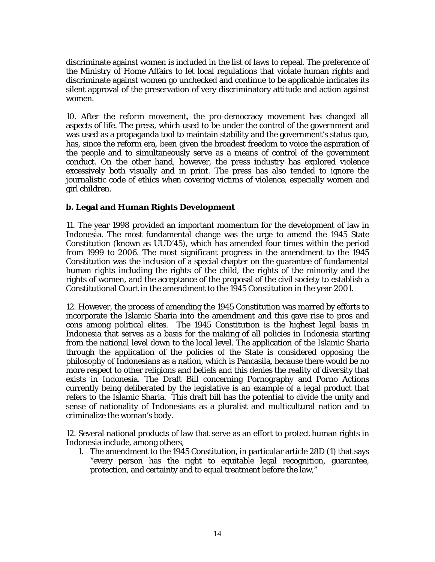discriminate against women is included in the list of laws to repeal. The preference of the Ministry of Home Affairs to let local regulations that violate human rights and discriminate against women go unchecked and continue to be applicable indicates its silent approval of the preservation of very discriminatory attitude and action against women.

10. After the reform movement, the pro-democracy movement has changed all aspects of life. The press, which used to be under the control of the government and was used as a propaganda tool to maintain stability and the government's status quo, has, since the reform era, been given the broadest freedom to voice the aspiration of the people and to simultaneously serve as a means of control of the government conduct. On the other hand, however, the press industry has explored violence excessively both visually and in print. The press has also tended to ignore the journalistic code of ethics when covering victims of violence, especially women and girl children.

### **b. Legal and Human Rights Development**

11. The year 1998 provided an important momentum for the development of law in Indonesia. The most fundamental change was the urge to amend the 1945 State Constitution (known as UUD'45), which has amended four times within the period from 1999 to 2006. The most significant progress in the amendment to the 1945 Constitution was the inclusion of a special chapter on the guarantee of fundamental human rights including the rights of the child, the rights of the minority and the rights of women, and the acceptance of the proposal of the civil society to establish a Constitutional Court in the amendment to the 1945 Constitution in the year 2001.

12. However, the process of amending the 1945 Constitution was marred by efforts to incorporate the Islamic Sharia into the amendment and this gave rise to pros and cons among political elites. The 1945 Constitution is the highest legal basis in Indonesia that serves as a basis for the making of all policies in Indonesia starting from the national level down to the local level. The application of the Islamic Sharia through the application of the policies of the State is considered opposing the philosophy of Indonesians as a nation, which is Pancasila, because there would be no more respect to other religions and beliefs and this denies the reality of diversity that exists in Indonesia. The Draft Bill concerning Pornography and Porno Actions currently being deliberated by the legislative is an example of a legal product that refers to the Islamic Sharia. This draft bill has the potential to divide the unity and sense of nationality of Indonesians as a pluralist and multicultural nation and to criminalize the woman's body.

12. Several national products of law that serve as an effort to protect human rights in Indonesia include, among others,

1. The amendment to the 1945 Constitution, in particular article 28D (1) that says "every person has the right to equitable legal recognition, guarantee, protection, and certainty and to equal treatment before the law,"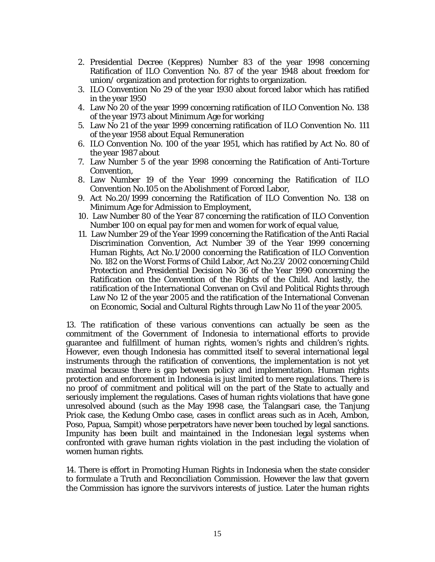- 2. Presidential Decree (Keppres) Number 83 of the year 1998 concerning Ratification of ILO Convention No. 87 of the year 1948 about freedom for union/ organization and protection for rights to organization.
- 3. ILO Convention No 29 of the year 1930 about forced labor which has ratified in the year 1950
- 4. Law No 20 of the year 1999 concerning ratification of ILO Convention No. 138 of the year 1973 about Minimum Age for working
- 5. Law No 21 of the year 1999 concerning ratification of ILO Convention No. 111 of the year 1958 about Equal Remuneration
- 6. ILO Convention No. 100 of the year 1951, which has ratified by Act No. 80 of the year 1987 about
- 7. Law Number 5 of the year 1998 concerning the Ratification of Anti-Torture Convention,
- 8. Law Number 19 of the Year 1999 concerning the Ratification of ILO Convention No.105 on the Abolishment of Forced Labor,
- 9. Act No.20/1999 concerning the Ratification of ILO Convention No. 138 on Minimum Age for Admission to Employment,
- 10. Law Number 80 of the Year 87 concerning the ratification of ILO Convention Number 100 on equal pay for men and women for work of equal value,
- 11. Law Number 29 of the Year 1999 concerning the Ratification of the Anti Racial Discrimination Convention, Act Number 39 of the Year 1999 concerning Human Rights, Act No.1/2000 concerning the Ratification of ILO Convention No. 182 on the Worst Forms of Child Labor, Act No.23/ 2002 concerning Child Protection and Presidential Decision No 36 of the Year 1990 concerning the Ratification on the Convention of the Rights of the Child. And lastly, the ratification of the International Convenan on Civil and Political Rights through Law No 12 of the year 2005 and the ratification of the International Convenan on Economic, Social and Cultural Rights through Law No 11 of the year 2005.

13. The ratification of these various conventions can actually be seen as the commitment of the Government of Indonesia to international efforts to provide guarantee and fulfillment of human rights, women's rights and children's rights. However, even though Indonesia has committed itself to several international legal instruments through the ratification of conventions, the implementation is not yet maximal because there is gap between policy and implementation. Human rights protection and enforcement in Indonesia is just limited to mere regulations. There is no proof of commitment and political will on the part of the State to actually and seriously implement the regulations. Cases of human rights violations that have gone unresolved abound (such as the May 1998 case, the Talangsari case, the Tanjung Priok case, the Kedung Ombo case, cases in conflict areas such as in Aceh, Ambon, Poso, Papua, Sampit) whose perpetrators have never been touched by legal sanctions. Impunity has been built and maintained in the Indonesian legal systems when confronted with grave human rights violation in the past including the violation of women human rights.

14. There is effort in Promoting Human Rights in Indonesia when the state consider to formulate a Truth and Reconciliation Commission. However the law that govern the Commission has ignore the survivors interests of justice. Later the human rights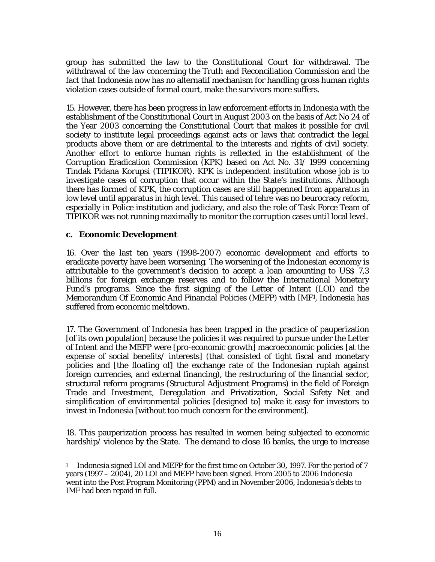group has submitted the law to the Constitutional Court for withdrawal. The withdrawal of the law concerning the Truth and Reconciliation Commission and the fact that Indonesia now has no alternatif mechanism for handling gross human rights violation cases outside of formal court, make the survivors more suffers.

15. However, there has been progress in law enforcement efforts in Indonesia with the establishment of the Constitutional Court in August 2003 on the basis of Act No 24 of the Year 2003 concerning the Constitutional Court that makes it possible for civil society to institute legal proceedings against acts or laws that contradict the legal products above them or are detrimental to the interests and rights of civil society. Another effort to enforce human rights is reflected in the establishment of the Corruption Eradication Commission (KPK) based on Act No. 31/ 1999 concerning Tindak Pidana Korupsi (TIPIKOR). KPK is independent institution whose job is to investigate cases of corruption that occur within the State's institutions. Although there has formed of KPK, the corruption cases are still happenned from apparatus in low level until apparatus in high level. This caused of tehre was no beurocracy reform, especially in Police institution and judiciary, and also the role of Task Force Team of TIPIKOR was not running maximally to monitor the corruption cases until local level.

## **c. Economic Development**

16. Over the last ten years (1998-2007) economic development and efforts to eradicate poverty have been worsening. The worsening of the Indonesian economy is attributable to the government's decision to accept a loan amounting to US\$ 7,3 billions for foreign exchange reserves and to follow the International Monetary Fund's programs. Since the first signing of the Letter of Intent (LOI) and the Memorandum Of Economic And Financial Policies (MEFP) with IMF1, Indonesia has suffered from economic meltdown.

17. The Government of Indonesia has been trapped in the practice of pauperization [of its own population] because the policies it was required to pursue under the Letter of Intent and the MEFP were [pro-economic growth] macroeconomic policies [at the expense of social benefits/ interests] (that consisted of tight fiscal and monetary policies and [the floating of] the exchange rate of the Indonesian rupiah against foreign currencies, and external financing), the restructuring of the financial sector, structural reform programs (Structural Adjustment Programs) in the field of Foreign Trade and Investment, Deregulation and Privatization, Social Safety Net and simplification of environmental policies [designed to] make it easy for investors to invest in Indonesia [without too much concern for the environment].

18. This pauperization process has resulted in women being subjected to economic hardship/violence by the State. The demand to close 16 banks, the urge to increase

 $\overline{\phantom{a}}$ <sup>1</sup> Indonesia signed LOI and MEFP for the first time on October 30, 1997. For the period of 7 years (1997 – 2004), 20 LOI and MEFP have been signed. From 2005 to 2006 Indonesia went into the Post Program Monitoring (PPM) and in November 2006, Indonesia's debts to IMF had been repaid in full.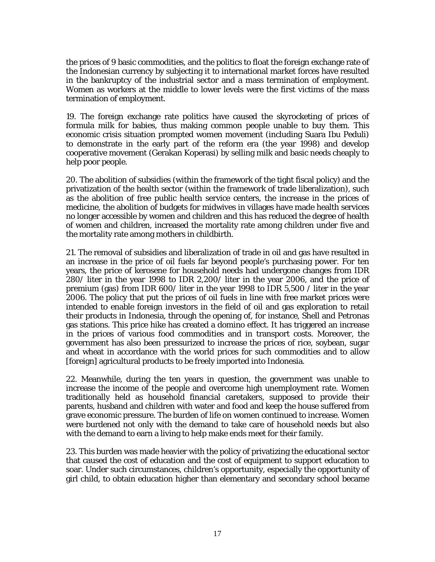the prices of 9 basic commodities, and the politics to float the foreign exchange rate of the Indonesian currency by subjecting it to international market forces have resulted in the bankruptcy of the industrial sector and a mass termination of employment. Women as workers at the middle to lower levels were the first victims of the mass termination of employment.

19. The foreign exchange rate politics have caused the skyrocketing of prices of formula milk for babies, thus making common people unable to buy them. This economic crisis situation prompted women movement (including Suara Ibu Peduli) to demonstrate in the early part of the reform era (the year 1998) and develop cooperative movement (Gerakan Koperasi) by selling milk and basic needs cheaply to help poor people.

20. The abolition of subsidies (within the framework of the tight fiscal policy) and the privatization of the health sector (within the framework of trade liberalization), such as the abolition of free public health service centers, the increase in the prices of medicine, the abolition of budgets for midwives in villages have made health services no longer accessible by women and children and this has reduced the degree of health of women and children, increased the mortality rate among children under five and the mortality rate among mothers in childbirth.

21. The removal of subsidies and liberalization of trade in oil and gas have resulted in an increase in the price of oil fuels far beyond people's purchasing power. For ten years, the price of kerosene for household needs had undergone changes from IDR 280/ liter in the year 1998 to IDR 2,200/ liter in the year 2006, and the price of premium (gas) from IDR 600/ liter in the year 1998 to IDR 5,500 / liter in the year 2006. The policy that put the prices of oil fuels in line with free market prices were intended to enable foreign investors in the field of oil and gas exploration to retail their products in Indonesia, through the opening of, for instance, Shell and Petronas gas stations. This price hike has created a domino effect. It has triggered an increase in the prices of various food commodities and in transport costs. Moreover, the government has also been pressurized to increase the prices of rice, soybean, sugar and wheat in accordance with the world prices for such commodities and to allow [foreign] agricultural products to be freely imported into Indonesia.

22. Meanwhile, during the ten years in question, the government was unable to increase the income of the people and overcome high unemployment rate. Women traditionally held as household financial caretakers, supposed to provide their parents, husband and children with water and food and keep the house suffered from grave economic pressure. The burden of life on women continued to increase. Women were burdened not only with the demand to take care of household needs but also with the demand to earn a living to help make ends meet for their family.

23. This burden was made heavier with the policy of privatizing the educational sector that caused the cost of education and the cost of equipment to support education to soar. Under such circumstances, children's opportunity, especially the opportunity of girl child, to obtain education higher than elementary and secondary school became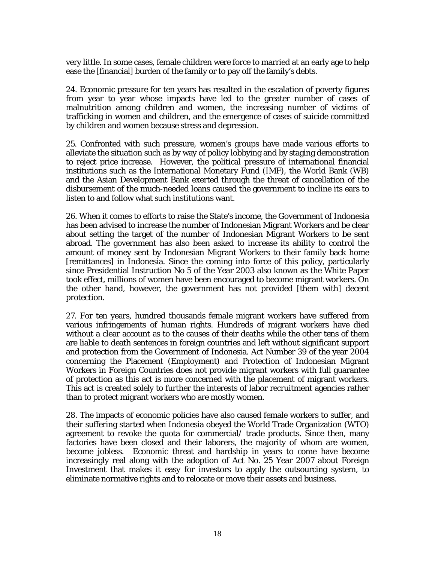very little. In some cases, female children were force to married at an early age to help ease the [financial] burden of the family or to pay off the family's debts.

24. Economic pressure for ten years has resulted in the escalation of poverty figures from year to year whose impacts have led to the greater number of cases of malnutrition among children and women, the increasing number of victims of trafficking in women and children, and the emergence of cases of suicide committed by children and women because stress and depression.

25. Confronted with such pressure, women's groups have made various efforts to alleviate the situation such as by way of policy lobbying and by staging demonstration to reject price increase. However, the political pressure of international financial institutions such as the International Monetary Fund (IMF), the World Bank (WB) and the Asian Development Bank exerted through the threat of cancellation of the disbursement of the much-needed loans caused the government to incline its ears to listen to and follow what such institutions want.

26. When it comes to efforts to raise the State's income, the Government of Indonesia has been advised to increase the number of Indonesian Migrant Workers and be clear about setting the target of the number of Indonesian Migrant Workers to be sent abroad. The government has also been asked to increase its ability to control the amount of money sent by Indonesian Migrant Workers to their family back home [remittances] in Indonesia. Since the coming into force of this policy, particularly since Presidential Instruction No 5 of the Year 2003 also known as the White Paper took effect, millions of women have been encouraged to become migrant workers. On the other hand, however, the government has not provided [them with] decent protection.

27. For ten years, hundred thousands female migrant workers have suffered from various infringements of human rights. Hundreds of migrant workers have died without a clear account as to the causes of their deaths while the other tens of them are liable to death sentences in foreign countries and left without significant support and protection from the Government of Indonesia. Act Number 39 of the year 2004 concerning the Placement (Employment) and Protection of Indonesian Migrant Workers in Foreign Countries does not provide migrant workers with full guarantee of protection as this act is more concerned with the placement of migrant workers. This act is created solely to further the interests of labor recruitment agencies rather than to protect migrant workers who are mostly women.

28. The impacts of economic policies have also caused female workers to suffer, and their suffering started when Indonesia obeyed the World Trade Organization (WTO) agreement to revoke the quota for commercial/ trade products. Since then, many factories have been closed and their laborers, the majority of whom are women, become jobless. Economic threat and hardship in years to come have become increasingly real along with the adoption of Act No. 25 Year 2007 about Foreign Investment that makes it easy for investors to apply the outsourcing system, to eliminate normative rights and to relocate or move their assets and business.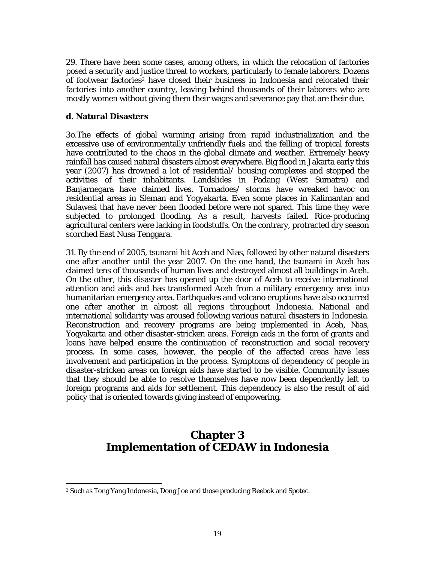29. There have been some cases, among others, in which the relocation of factories posed a security and justice threat to workers, particularly to female laborers. Dozens of footwear factories2 have closed their business in Indonesia and relocated their factories into another country, leaving behind thousands of their laborers who are mostly women without giving them their wages and severance pay that are their due.

#### **d. Natural Disasters**

3o.The effects of global warming arising from rapid industrialization and the excessive use of environmentally unfriendly fuels and the felling of tropical forests have contributed to the chaos in the global climate and weather. Extremely heavy rainfall has caused natural disasters almost everywhere. Big flood in Jakarta early this year (2007) has drowned a lot of residential/ housing complexes and stopped the activities of their inhabitants. Landslides in Padang (West Sumatra) and Banjarnegara have claimed lives. Tornadoes/ storms have wreaked havoc on residential areas in Sleman and Yogyakarta. Even some places in Kalimantan and Sulawesi that have never been flooded before were not spared. This time they were subjected to prolonged flooding. As a result, harvests failed. Rice-producing agricultural centers were lacking in foodstuffs. On the contrary, protracted dry season scorched East Nusa Tenggara.

31. By the end of 2005, tsunami hit Aceh and Nias, followed by other natural disasters one after another until the year 2007. On the one hand, the tsunami in Aceh has claimed tens of thousands of human lives and destroyed almost all buildings in Aceh. On the other, this disaster has opened up the door of Aceh to receive international attention and aids and has transformed Aceh from a military emergency area into humanitarian emergency area. Earthquakes and volcano eruptions have also occurred one after another in almost all regions throughout Indonesia. National and international solidarity was aroused following various natural disasters in Indonesia. Reconstruction and recovery programs are being implemented in Aceh, Nias, Yogyakarta and other disaster-stricken areas. Foreign aids in the form of grants and loans have helped ensure the continuation of reconstruction and social recovery process. In some cases, however, the people of the affected areas have less involvement and participation in the process. Symptoms of dependency of people in disaster-stricken areas on foreign aids have started to be visible. Community issues that they should be able to resolve themselves have now been dependently left to foreign programs and aids for settlement. This dependency is also the result of aid policy that is oriented towards giving instead of empowering.

# **Chapter 3 Implementation of CEDAW in Indonesia**

 $\overline{\phantom{a}}$ 2 Such as Tong Yang Indonesia, Dong Joe and those producing Reebok and Spotec.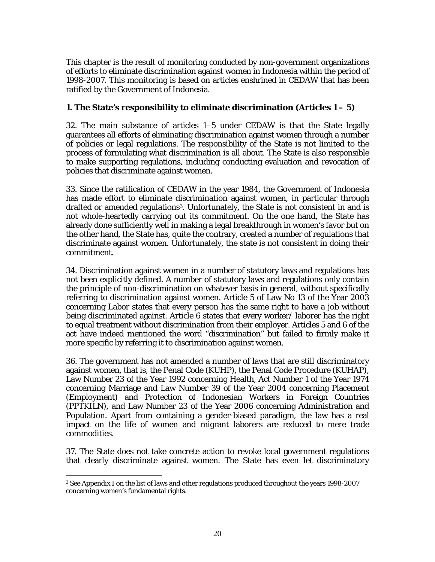This chapter is the result of monitoring conducted by non-government organizations of efforts to eliminate discrimination against women in Indonesia within the period of 1998-2007. This monitoring is based on articles enshrined in CEDAW that has been ratified by the Government of Indonesia.

## **1. The State's responsibility to eliminate discrimination (Articles 1 – 5)**

32. The main substance of articles 1–5 under CEDAW is that the State legally guarantees all efforts of eliminating discrimination against women through a number of policies or legal regulations. The responsibility of the State is not limited to the process of formulating what discrimination is all about. The State is also responsible to make supporting regulations, including conducting evaluation and revocation of policies that discriminate against women.

33. Since the ratification of CEDAW in the year 1984, the Government of Indonesia has made effort to eliminate discrimination against women, in particular through drafted or amended regulations3. Unfortunately, the State is not consistent in and is not whole-heartedly carrying out its commitment. On the one hand, the State has already done sufficiently well in making a legal breakthrough in women's favor but on the other hand, the State has, quite the contrary, created a number of regulations that discriminate against women. Unfortunately, the state is not consistent in doing their commitment.

34. Discrimination against women in a number of statutory laws and regulations has not been explicitly defined. A number of statutory laws and regulations only contain the principle of non-discrimination on whatever basis in general, without specifically referring to discrimination against women. Article 5 of Law No 13 of the Year 2003 concerning Labor states that every person has the same right to have a job without being discriminated against. Article 6 states that every worker/ laborer has the right to equal treatment without discrimination from their employer. Articles 5 and 6 of the act have indeed mentioned the word "discrimination" but failed to firmly make it more specific by referring it to discrimination against women.

36. The government has not amended a number of laws that are still discriminatory against women, that is, the Penal Code (KUHP), the Penal Code Procedure (KUHAP), Law Number 23 of the Year 1992 concerning Health, Act Number 1 of the Year 1974 concerning Marriage and Law Number 39 of the Year 2004 concerning Placement (Employment) and Protection of Indonesian Workers in Foreign Countries (PPTKILN), and Law Number 23 of the Year 2006 concerning Administration and Population. Apart from containing a gender-biased paradigm, the law has a real impact on the life of women and migrant laborers are reduced to mere trade commodities.

37. The State does not take concrete action to revoke local government regulations that clearly discriminate against women. The State has even let discriminatory

 3 See Appendix I on the list of laws and other regulations produced throughout the years 1998-2007 concerning women's fundamental rights.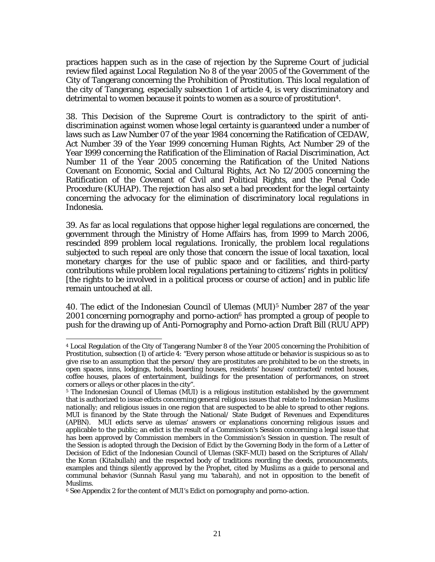practices happen such as in the case of rejection by the Supreme Court of judicial review filed against Local Regulation No 8 of the year 2005 of the Government of the City of Tangerang concerning the Prohibition of Prostitution. This local regulation of the city of Tangerang, especially subsection 1 of article 4, is very discriminatory and detrimental to women because it points to women as a source of prostitution4.

38. This Decision of the Supreme Court is contradictory to the spirit of antidiscrimination against women whose legal certainty is guaranteed under a number of laws such as Law Number 07 of the year 1984 concerning the Ratification of CEDAW, Act Number 39 of the Year 1999 concerning Human Rights, Act Number 29 of the Year 1999 concerning the Ratification of the Elimination of Racial Discrimination, Act Number 11 of the Year 2005 concerning the Ratification of the United Nations Covenant on Economic, Social and Cultural Rights, Act No 12/2005 concerning the Ratification of the Covenant of Civil and Political Rights, and the Penal Code Procedure (KUHAP). The rejection has also set a bad precedent for the legal certainty concerning the advocacy for the elimination of discriminatory local regulations in Indonesia.

39. As far as local regulations that oppose higher legal regulations are concerned, the government through the Ministry of Home Affairs has, from 1999 to March 2006, rescinded 899 problem local regulations. Ironically, the problem local regulations subjected to such repeal are only those that concern the issue of local taxation, local monetary charges for the use of public space and or facilities, and third-party contributions while problem local regulations pertaining to citizens' rights in politics/ [the rights to be involved in a political process or course of action] and in public life remain untouched at all.

40. The edict of the Indonesian Council of Ulemas (MUI)5 Number 287 of the year 2001 concerning pornography and porno-action<sup>6</sup> has prompted a group of people to push for the drawing up of Anti-Pornography and Porno-action Draft Bill (RUU APP)

 $\overline{a}$ 

<sup>4</sup> Local Regulation of the City of Tangerang Number 8 of the Year 2005 concerning the Prohibition of Prostitution, subsection (1) of article 4: "Every person whose attitude or behavior is suspicious so as to give rise to an assumption that the person/ they are prostitutes are prohibited to be on the streets, in open spaces, inns, lodgings, hotels, boarding houses, residents' houses/ contracted/ rented houses, coffee houses, places of entertainment, buildings for the presentation of performances, on street corners or alleys or other places in the city".

<sup>5</sup> The Indonesian Council of Ulemas (MUI) is a religious institution established by the government that is authorized to issue edicts concerning general religious issues that relate to Indonesian Muslims nationally; and religious issues in one region that are suspected to be able to spread to other regions. MUI is financed by the State through the National/ State Budget of Revenues and Expenditures (APBN). MUI edicts serve as ulemas' answers or explanations concerning religious issues and applicable to the public; an edict is the result of a Commission's Session concerning a legal issue that has been approved by Commission members in the Commission's Session in question. The result of the Session is adopted through the Decision of Edict by the Governing Body in the form of a Letter of Decision of Edict of the Indonesian Council of Ulemas (SKF-MUI) based on the Scriptures of Allah/ the Koran (*Kitabullah)* and the respected body of traditions reording the deeds, pronouncements, examples and things silently approved by the Prophet, cited by Muslims as a guide to personal and communal behavior (*Sunnah Rasul* yang *mu 'tabarah*)*,* and not in opposition to the benefit of Muslims.

<sup>6</sup> See Appendix 2 for the content of MUI's Edict on pornography and porno-action.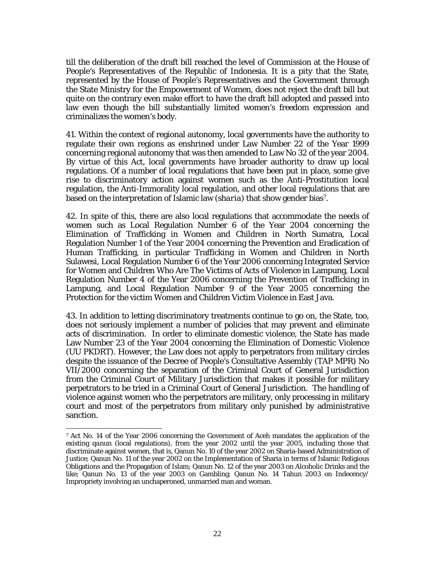till the deliberation of the draft bill reached the level of Commission at the House of People's Representatives of the Republic of Indonesia. It is a pity that the State, represented by the House of People's Representatives and the Government through the State Ministry for the Empowerment of Women, does not reject the draft bill but quite on the contrary even make effort to have the draft bill adopted and passed into law even though the bill substantially limited women's freedom expression and criminalizes the women's body.

41. Within the context of regional autonomy, local governments have the authority to regulate their own regions as enshrined under Law Number 22 of the Year 1999 concerning regional autonomy that was then amended to Law No 32 of the year 2004. By virtue of this Act, local governments have broader authority to draw up local regulations. Of a number of local regulations that have been put in place, some give rise to discriminatory action against women such as the Anti-Prostitution local regulation, the Anti-Immorality local regulation, and other local regulations that are based on the interpretation of Islamic law (*sharia*) that show gender bias7.

42. In spite of this, there are also local regulations that accommodate the needs of women such as Local Regulation Number 6 of the Year 2004 concerning the Elimination of Trafficking in Women and Children in North Sumatra, Local Regulation Number 1 of the Year 2004 concerning the Prevention and Eradication of Human Trafficking, in particular Trafficking in Women and Children in North Sulawesi, Local Regulation Number 6 of the Year 2006 concerning Integrated Service for Women and Children Who Are The Victims of Acts of Violence in Lampung, Local Regulation Number 4 of the Year 2006 concerning the Prevention of Trafficking in Lampung, and Local Regulation Number 9 of the Year 2005 concerning the Protection for the victim Women and Children Victim Violence in East Java.

43. In addition to letting discriminatory treatments continue to go on, the State, too, does not seriously implement a number of policies that may prevent and eliminate acts of discrimination. In order to eliminate domestic violence, the State has made Law Number 23 of the Year 2004 concerning the Elimination of Domestic Violence (UU PKDRT). However, the Law does not apply to perpetrators from military circles despite the issuance of the Decree of People's Consultative Assembly (TAP MPR) No VII/2000 concerning the separation of the Criminal Court of General Jurisdiction from the Criminal Court of Military Jurisdiction that makes it possible for military perpetrators to be tried in a Criminal Court of General Jurisdiction. The handling of violence against women who the perpetrators are military, only processing in military court and most of the perpetrators from military only punished by administrative sanction.

<sup>7</sup> Act No. 14 of the Year 2006 concerning the Government of Aceh mandates the application of the existing *qanun* (local regulations), from the year 2002 until the year 2005, including those that discriminate against women, that is, Qanun No. 10 of the year 2002 on Sharia-based Administration of Justice; Qanun No. 11 of the year 2002 on the Implementation of Sharia in terms of Islamic Religious Obligations and the Propagation of Islam; Qanun No. 12 of the year 2003 on Alcoholic Drinks and the like; Qanun No. 13 of the year 2003 on Gambling; Qanun No. 14 Tahun 2003 on Indecency/ Impropriety involving an unchaperoned, unmarried man and woman.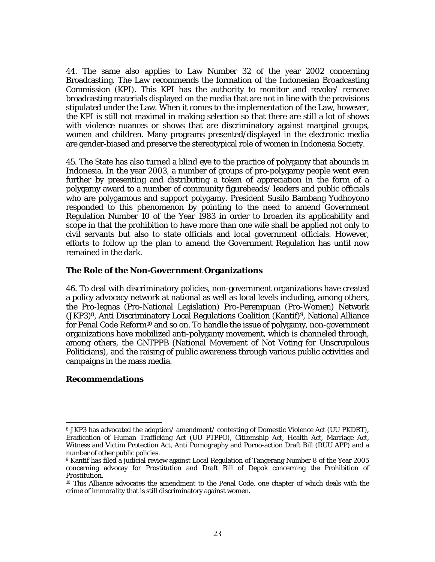44. The same also applies to Law Number 32 of the year 2002 concerning Broadcasting. The Law recommends the formation of the Indonesian Broadcasting Commission (KPI). This KPI has the authority to monitor and revoke/ remove broadcasting materials displayed on the media that are not in line with the provisions stipulated under the Law. When it comes to the implementation of the Law, however, the KPI is still not maximal in making selection so that there are still a lot of shows with violence nuances or shows that are discriminatory against marginal groups, women and children. Many programs presented/displayed in the electronic media are gender-biased and preserve the stereotypical role of women in Indonesia Society.

45. The State has also turned a blind eye to the practice of polygamy that abounds in Indonesia. In the year 2003, a number of groups of pro-polygamy people went even further by presenting and distributing a token of appreciation in the form of a polygamy award to a number of community figureheads/ leaders and public officials who are polygamous and support polygamy. President Susilo Bambang Yudhoyono responded to this phenomenon by pointing to the need to amend Government Regulation Number 10 of the Year 1983 in order to broaden its applicability and scope in that the prohibition to have more than one wife shall be applied not only to civil servants but also to state officials and local government officials. However, efforts to follow up the plan to amend the Government Regulation has until now remained in the dark.

#### **The Role of the Non-Government Organizations**

46. To deal with discriminatory policies, non-government organizations have created a policy advocacy network at national as well as local levels including, among others, the Pro-legnas (Pro-National Legislation) Pro-Perempuan (Pro-Women) Network (JKP3)8, Anti Discriminatory Local Regulations Coalition (Kantif)9, National Alliance for Penal Code Reform10 and so on. To handle the issue of polygamy, non-government organizations have mobilized anti-polygamy movement, which is channeled through, among others, the GNTPPB (National Movement of Not Voting for Unscrupulous Politicians), and the raising of public awareness through various public activities and campaigns in the mass media.

#### **Recommendations**

 $\overline{\phantom{a}}$ 

<sup>8</sup> JKP3 has advocated the adoption/ amendment/ contesting of Domestic Violence Act (UU PKDRT), Eradication of Human Trafficking Act (UU PTPPO), Citizenship Act, Health Act, Marriage Act, Witness and Victim Protection Act, Anti Pornography and Porno-action Draft Bill (RUU APP) and a number of other public policies.

<sup>9</sup> Kantif has filed a judicial review against Local Regulation of Tangerang Number 8 of the Year 2005 concerning advocay for Prostitution and Draft Bill of Depok concerning the Prohibition of Prostitution.

<sup>10</sup> This Alliance advocates the amendment to the Penal Code, one chapter of which deals with the crime of immorality that is still discriminatory against women.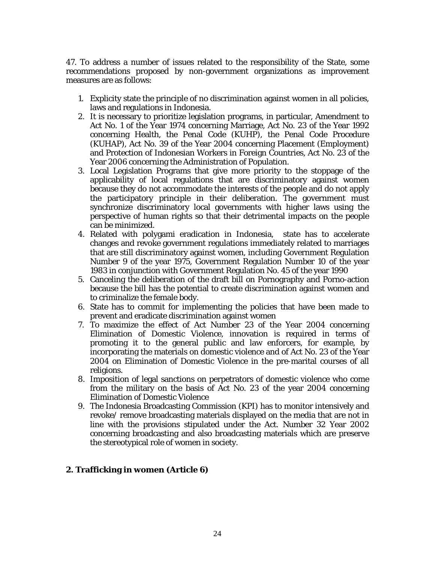47. To address a number of issues related to the responsibility of the State, some recommendations proposed by non-government organizations as improvement measures are as follows:

- 1. Explicity state the principle of no discrimination against women in all policies, laws and regulations in Indonesia.
- 2. It is necessary to prioritize legislation programs, in particular, Amendment to Act No. 1 of the Year 1974 concerning Marriage, Act No. 23 of the Year 1992 concerning Health, the Penal Code (KUHP), the Penal Code Procedure (KUHAP), Act No. 39 of the Year 2004 concerning Placement (Employment) and Protection of Indonesian Workers in Foreign Countries, Act No. 23 of the Year 2006 concerning the Administration of Population.
- 3. Local Legislation Programs that give more priority to the stoppage of the applicability of local regulations that are discriminatory against women because they do not accommodate the interests of the people and do not apply the participatory principle in their deliberation. The government must synchronize discriminatory local governments with higher laws using the perspective of human rights so that their detrimental impacts on the people can be minimized.
- 4. Related with polygami eradication in Indonesia, state has to accelerate changes and revoke government regulations immediately related to marriages that are still discriminatory against women, including Government Regulation Number 9 of the year 1975, Government Regulation Number 10 of the year 1983 in conjunction with Government Regulation No. 45 of the year 1990
- 5. Canceling the deliberation of the draft bill on Pornography and Porno-action because the bill has the potential to create discrimination against women and to criminalize the female body.
- 6. State has to commit for implementing the policies that have been made to prevent and eradicate discrimination against women
- 7. To maximize the effect of Act Number 23 of the Year 2004 concerning Elimination of Domestic Violence, innovation is required in terms of promoting it to the general public and law enforcers, for example, by incorporating the materials on domestic violence and of Act No. 23 of the Year 2004 on Elimination of Domestic Violence in the pre-marital courses of all religions.
- 8. Imposition of legal sanctions on perpetrators of domestic violence who come from the military on the basis of Act No. 23 of the year 2004 concerning Elimination of Domestic Violence
- 9. The Indonesia Broadcasting Commission (KPI) has to monitor intensively and revoke/ remove broadcasting materials displayed on the media that are not in line with the provisions stipulated under the Act. Number 32 Year 2002 concerning broadcasting and also broadcasting materials which are preserve the stereotypical role of women in society.

#### **2. Trafficking in women (Article 6)**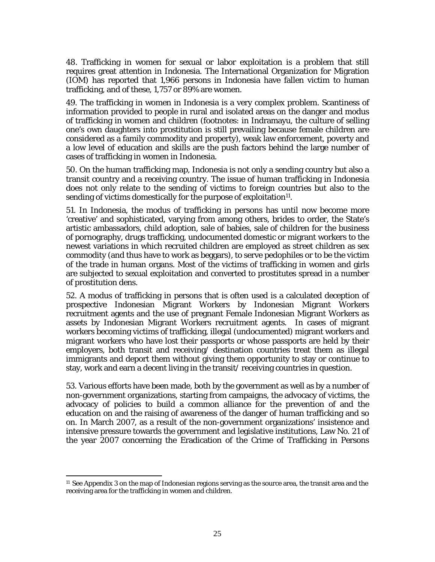48. Trafficking in women for sexual or labor exploitation is a problem that still requires great attention in Indonesia. The International Organization for Migration (IOM) has reported that 1,966 persons in Indonesia have fallen victim to human trafficking, and of these, 1,757 or 89% are women.

49. The trafficking in women in Indonesia is a very complex problem. Scantiness of information provided to people in rural and isolated areas on the danger and modus of trafficking in women and children (footnotes: in Indramayu, the culture of selling one's own daughters into prostitution is still prevailing because female children are considered as a family commodity and property), weak law enforcement, poverty and a low level of education and skills are the push factors behind the large number of cases of trafficking in women in Indonesia.

50. On the human trafficking map, Indonesia is not only a sending country but also a transit country and a receiving country. The issue of human trafficking in Indonesia does not only relate to the sending of victims to foreign countries but also to the sending of victims domestically for the purpose of exploitation<sup>11</sup>.

51. In Indonesia, the modus of trafficking in persons has until now become more 'creative' and sophisticated, varying from among others, brides to order, the State's artistic ambassadors, child adoption, sale of babies, sale of children for the business of pornography, drugs trafficking, undocumented domestic or migrant workers to the newest variations in which recruited children are employed as street children as sex commodity (and thus have to work as beggars), to serve pedophiles or to be the victim of the trade in human organs. Most of the victims of trafficking in women and girls are subjected to sexual exploitation and converted to prostitutes spread in a number of prostitution dens.

52. A modus of trafficking in persons that is often used is a calculated deception of prospective Indonesian Migrant Workers by Indonesian Migrant Workers recruitment agents and the use of pregnant Female Indonesian Migrant Workers as assets by Indonesian Migrant Workers recruitment agents. In cases of migrant workers becoming victims of trafficking, illegal (undocumented) migrant workers and migrant workers who have lost their passports or whose passports are held by their employers, both transit and receiving/ destination countries treat them as illegal immigrants and deport them without giving them opportunity to stay or continue to stay, work and earn a decent living in the transit/ receiving countries in question.

53. Various efforts have been made, both by the government as well as by a number of non-government organizations, starting from campaigns, the advocacy of victims, the advocacy of policies to build a common alliance for the prevention of and the education on and the raising of awareness of the danger of human trafficking and so on. In March 2007, as a result of the non-government organizations' insistence and intensive pressure towards the government and legislative institutions, Law No. 21 of the year 2007 concerning the Eradication of the Crime of Trafficking in Persons

<sup>11</sup> See Appendix 3 on the map of Indonesian regions serving as the source area, the transit area and the receiving area for the trafficking in women and children.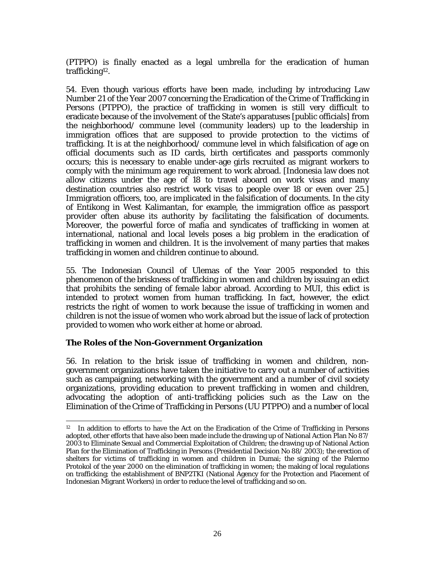(PTPPO) is finally enacted as a legal umbrella for the eradication of human trafficking12.

54. Even though various efforts have been made, including by introducing Law Number 21 of the Year 2007 concerning the Eradication of the Crime of Trafficking in Persons (PTPPO), the practice of trafficking in women is still very difficult to eradicate because of the involvement of the State's apparatuses [public officials] from the neighborhood/ commune level (community leaders) up to the leadership in immigration offices that are supposed to provide protection to the victims of trafficking. It is at the neighborhood/ commune level in which falsification of age on official documents such as ID cards, birth certificates and passports commonly occurs; this is necessary to enable under-age girls recruited as migrant workers to comply with the minimum age requirement to work abroad. [Indonesia law does not allow citizens under the age of 18 to travel aboard on work visas and many destination countries also restrict work visas to people over 18 or even over 25.] Immigration officers, too, are implicated in the falsification of documents. In the city of Entikong in West Kalimantan, for example, the immigration office as passport provider often abuse its authority by facilitating the falsification of documents. Moreover, the powerful force of mafia and syndicates of trafficking in women at international, national and local levels poses a big problem in the eradication of trafficking in women and children. It is the involvement of many parties that makes trafficking in women and children continue to abound.

55. The Indonesian Council of Ulemas of the Year 2005 responded to this phenomenon of the briskness of trafficking in women and children by issuing an edict that prohibits the sending of female labor abroad. According to MUI, this edict is intended to protect women from human trafficking. In fact, however, the edict restricts the right of women to work because the issue of trafficking in women and children is not the issue of women who work abroad but the issue of lack of protection provided to women who work either at home or abroad.

#### **The Roles of the Non-Government Organization**

 $\overline{\phantom{a}}$ 

56. In relation to the brisk issue of trafficking in women and children, nongovernment organizations have taken the initiative to carry out a number of activities such as campaigning, networking with the government and a number of civil society organizations, providing education to prevent trafficking in women and children, advocating the adoption of anti-trafficking policies such as the Law on the Elimination of the Crime of Trafficking in Persons (UU PTPPO) and a number of local

<sup>&</sup>lt;sup>12</sup> In addition to efforts to have the Act on the Eradication of the Crime of Trafficking in Persons adopted, other efforts that have also been made include the drawing up of National Action Plan No 87/ 2003 to Eliminate Sexual and Commercial Exploitation of Children; the drawing up of National Action Plan for the Elimination of Trafficking in Persons (Presidential Decision No 88/ 2003); the erection of shelters for victims of trafficking in women and children in Dumai; the signing of the Palermo Protokol of the year 2000 on the elimination of trafficking in women; the making of local regulations on trafficking; the establishment of BNP2TKI (National Agency for the Protection and Placement of Indonesian Migrant Workers) in order to reduce the level of trafficking and so on.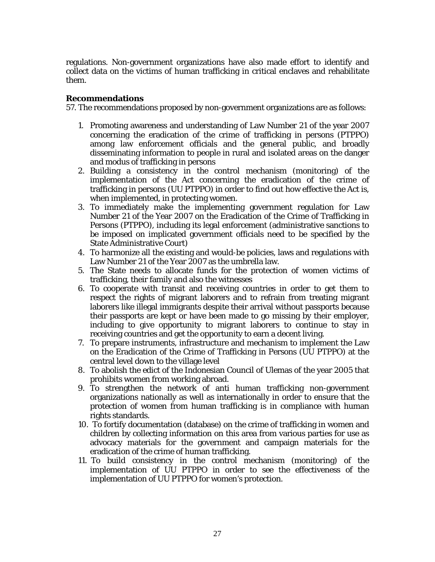regulations. Non-government organizations have also made effort to identify and collect data on the victims of human trafficking in critical enclaves and rehabilitate them.

#### **Recommendations**

57. The recommendations proposed by non-government organizations are as follows:

- 1. Promoting awareness and understanding of Law Number 21 of the year 2007 concerning the eradication of the crime of trafficking in persons (PTPPO) among law enforcement officials and the general public, and broadly disseminating information to people in rural and isolated areas on the danger and modus of trafficking in persons
- 2. Building a consistency in the control mechanism (monitoring) of the implementation of the Act concerning the eradication of the crime of trafficking in persons (UU PTPPO) in order to find out how effective the Act is, when implemented, in protecting women.
- 3. To immediately make the implementing government regulation for Law Number 21 of the Year 2007 on the Eradication of the Crime of Trafficking in Persons (PTPPO), including its legal enforcement (administrative sanctions to be imposed on implicated government officials need to be specified by the State Administrative Court)
- 4. To harmonize all the existing and would-be policies, laws and regulations with Law Number 21 of the Year 2007 as the umbrella law.
- 5. The State needs to allocate funds for the protection of women victims of trafficking, their family and also the witnesses
- 6. To cooperate with transit and receiving countries in order to get them to respect the rights of migrant laborers and to refrain from treating migrant laborers like illegal immigrants despite their arrival without passports because their passports are kept or have been made to go missing by their employer, including to give opportunity to migrant laborers to continue to stay in receiving countries and get the opportunity to earn a decent living.
- 7. To prepare instruments, infrastructure and mechanism to implement the Law on the Eradication of the Crime of Trafficking in Persons (UU PTPPO) at the central level down to the village level
- 8. To abolish the edict of the Indonesian Council of Ulemas of the year 2005 that prohibits women from working abroad.
- 9. To strengthen the network of anti human trafficking non-government organizations nationally as well as internationally in order to ensure that the protection of women from human trafficking is in compliance with human rights standards.
- 10. To fortify documentation (database) on the crime of trafficking in women and children by collecting information on this area from various parties for use as advocacy materials for the government and campaign materials for the eradication of the crime of human trafficking.
- 11. To build consistency in the control mechanism (monitoring) of the implementation of UU PTPPO in order to see the effectiveness of the implementation of UU PTPPO for women's protection.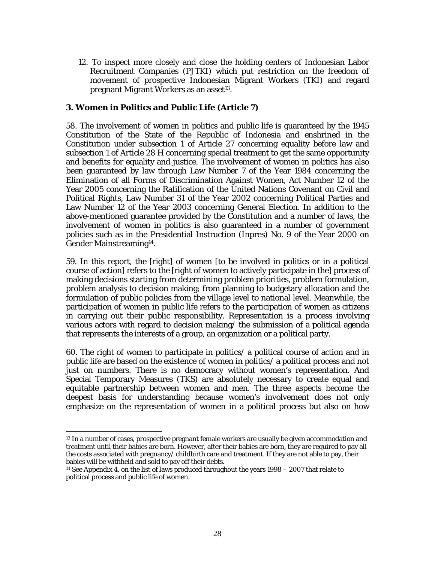12. To inspect more closely and close the holding centers of Indonesian Labor Recruitment Companies (PJTKI) which put restriction on the freedom of movement of prospective Indonesian Migrant Workers (TKI) and regard pregnant Migrant Workers as an asset<sup>13</sup>.

### **3. Women in Politics and Public Life (Article 7)**

58. The involvement of women in politics and public life is guaranteed by the 1945 Constitution of the State of the Republic of Indonesia and enshrined in the Constitution under subsection 1 of Article 27 concerning equality before law and subsection 1 of Article 28 H concerning special treatment to get the same opportunity and benefits for equality and justice. The involvement of women in politics has also been guaranteed by law through Law Number 7 of the Year 1984 concerning the Elimination of all Forms of Discrimination Against Women, Act Number 12 of the Year 2005 concerning the Ratification of the United Nations Covenant on Civil and Political Rights, Law Number 31 of the Year 2002 concerning Political Parties and Law Number 12 of the Year 2003 concerning General Election. In addition to the above-mentioned guarantee provided by the Constitution and a number of laws, the involvement of women in politics is also guaranteed in a number of government policies such as in the Presidential Instruction (Inpres) No. 9 of the Year 2000 on Gender Mainstreaming14.

59. In this report, the [right] of women [to be involved in politics or in a political course of action] refers to the [right of women to actively participate in the] process of making decisions starting from determining problem priorities, problem formulation, problem analysis to decision making; from planning to budgetary allocation and the formulation of public policies from the village level to national level. Meanwhile, the participation of women in public life refers to the participation of women as citizens in carrying out their public responsibility. Representation is a process involving various actors with regard to decision making/ the submission of a political agenda that represents the interests of a group, an organization or a political party.

60. The right of women to participate in politics/ a political course of action and in public life are based on the existence of women in politics/ a political process and not just on numbers. There is no democracy without women's representation. And Special Temporary Measures (TKS) are absolutely necessary to create equal and equitable partnership between women and men. The three aspects become the deepest basis for understanding because women's involvement does not only emphasize on the representation of women in a political process but also on how

 $\overline{\phantom{a}}$ <sup>13</sup> In a number of cases, prospective pregnant female workers are usually be given accommodation and treatment until their babies are born. However, after their babies are born, they are required to pay all the costs associated with pregnancy/ childbirth care and treatment. If they are not able to pay, their babies will be withheld and sold to pay off their debts.

<sup>14</sup> See Appendix 4, on the list of laws produced throughout the years 1998 – 2007 that relate to political process and public life of women.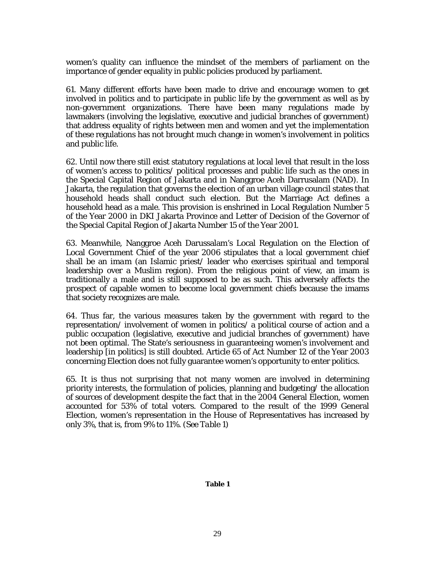women's quality can influence the mindset of the members of parliament on the importance of gender equality in public policies produced by parliament.

61. Many different efforts have been made to drive and encourage women to get involved in politics and to participate in public life by the government as well as by non-government organizations. There have been many regulations made by lawmakers (involving the legislative, executive and judicial branches of government) that address equality of rights between men and women and yet the implementation of these regulations has not brought much change in women's involvement in politics and public life.

62. Until now there still exist statutory regulations at local level that result in the loss of women's access to politics/ political processes and public life such as the ones in the Special Capital Region of Jakarta and in Nanggroe Aceh Darrusalam (NAD). In Jakarta, the regulation that governs the election of an urban village council states that household heads shall conduct such election. But the Marriage Act defines a household head as a male. This provision is enshrined in Local Regulation Number 5 of the Year 2000 in DKI Jakarta Province and Letter of Decision of the Governor of the Special Capital Region of Jakarta Number 15 of the Year 2001.

63. Meanwhile, Nanggroe Aceh Darussalam's Local Regulation on the Election of Local Government Chief of the year 2006 stipulates that a local government chief shall be an *imam* (an Islamic priest/ leader who exercises spiritual and temporal leadership over a Muslim region). From the religious point of view, an imam is traditionally a male and is still supposed to be as such. This adversely affects the prospect of capable women to become local government chiefs because the imams that society recognizes are male.

64. Thus far, the various measures taken by the government with regard to the representation/ involvement of women in politics/ a political course of action and a public occupation (legislative, executive and judicial branches of government) have not been optimal. The State's seriousness in guaranteeing women's involvement and leadership [in politics] is still doubted. Article 65 of Act Number 12 of the Year 2003 concerning Election does not fully guarantee women's opportunity to enter politics.

65. It is thus not surprising that not many women are involved in determining priority interests, the formulation of policies, planning and budgeting/ the allocation of sources of development despite the fact that in the 2004 General Election, women accounted for 53% of total voters. Compared to the result of the 1999 General Election, women's representation in the House of Representatives has increased by only 3%, that is, from 9% to 11%. *(See Table 1)*

#### **Table 1**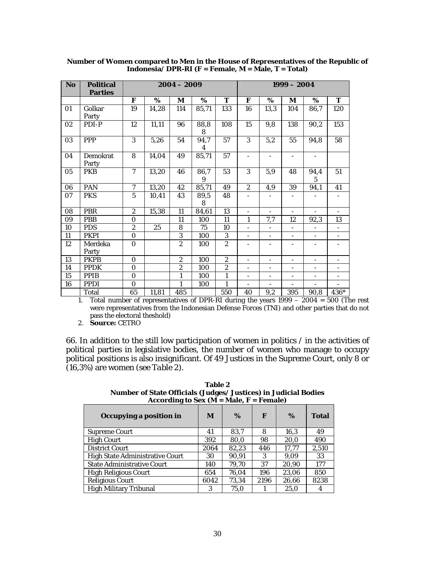| <b>No</b> | <b>Political</b><br><b>Parties</b> | $2004 - 2009$  |       |                  |           | $1999 - 2004$  |                          |                          |                          |                          |      |
|-----------|------------------------------------|----------------|-------|------------------|-----------|----------------|--------------------------|--------------------------|--------------------------|--------------------------|------|
|           |                                    | F              | %     | $\mathbf{M}$     | %         | T              | F                        | %                        | $\mathbf{M}$             | %                        | T    |
|           | Golkar                             | 19             | 14,28 | 114              | 85,71     | 133            | 16                       | 13,3                     | 104                      | 86,7                     | 120  |
| 01        | Party                              |                |       |                  |           |                |                          |                          |                          |                          |      |
| 02        | PDI-P                              | 12             | 11,11 | 96               | 88,8<br>8 | 108            | 15                       | 9,8                      | 138                      | 90,2                     | 153  |
| 03        | <b>PPP</b>                         | 3              | 5,26  | 54               | 94,7<br>4 | 57             | 3                        | 5,2                      | 55                       | 94,8                     | 58   |
| 04        | <b>Demokrat</b><br>Party           | 8              | 14,04 | 49               | 85,71     | 57             |                          |                          |                          |                          |      |
| 05        | <b>PKB</b>                         | $\overline{7}$ | 13,20 | 46               | 86,7<br>9 | 53             | 3                        | 5,9                      | 48                       | 94,4<br>5                | 51   |
| 06        | PAN                                | $\overline{7}$ | 13,20 | 42               | 85,71     | 49             | $\boldsymbol{2}$         | 4,9                      | 39                       | 94,1                     | 41   |
| 07        | <b>PKS</b>                         | $\overline{5}$ | 10,41 | 43               | 89,5<br>8 | 48             |                          |                          |                          |                          |      |
| 08        | <b>PBR</b>                         | $\overline{c}$ | 15,38 | 11               | 84,61     | 13             | $\overline{\phantom{a}}$ | $\overline{\phantom{a}}$ | $\overline{\phantom{a}}$ | $\equiv$                 |      |
| 09        | <b>PBB</b>                         | $\mathbf{0}$   |       | 11               | 100       | 11             | 1                        | 7,7                      | 12                       | 92,3                     | 13   |
| 10        | <b>PDS</b>                         | $\overline{c}$ | 25    | 8                | 75        | 10             |                          |                          | $\overline{\phantom{0}}$ |                          |      |
| 11        | <b>PKPI</b>                        | $\bf{0}$       |       | $\overline{3}$   | 100       | 3              | $\overline{\phantom{a}}$ | $\overline{\phantom{a}}$ | $\overline{\phantom{a}}$ | $\overline{\phantom{a}}$ |      |
| 12        | Merdeka<br>Party                   | $\Omega$       |       | $\overline{2}$   | 100       | $\overline{2}$ | $\overline{\phantom{a}}$ | $\overline{\phantom{a}}$ | $\overline{\phantom{a}}$ | $\overline{\phantom{a}}$ |      |
| 13        | <b>PKPB</b>                        | $\mathbf{0}$   |       | $\boldsymbol{2}$ | 100       | $\overline{c}$ | $\overline{\phantom{a}}$ | $\overline{\phantom{a}}$ | $\overline{\phantom{a}}$ | $\overline{\phantom{a}}$ |      |
| 14        | <b>PPDK</b>                        | $\mathbf{0}$   |       | $\overline{c}$   | 100       | $\overline{c}$ |                          | $\overline{\phantom{a}}$ | -                        | $\overline{\phantom{0}}$ |      |
| 15        | <b>PPIB</b>                        | $\bf{0}$       |       | $\mathbf{1}$     | 100       | $\mathbf{1}$   | $\overline{\phantom{a}}$ | $\overline{\phantom{a}}$ | $\overline{\phantom{a}}$ | $\overline{\phantom{a}}$ |      |
| 16        | <b>PPDI</b>                        | $\Omega$       |       | 1                | 100       | $\mathbf{1}$   | $\overline{\phantom{a}}$ | $\overline{\phantom{a}}$ | $\overline{\phantom{0}}$ | $\overline{\phantom{a}}$ |      |
|           | <b>Total</b>                       | 65             | 11,81 | 485              |           | 550            | 40                       | 9,2                      | 395                      | 90,8                     | 436* |

**Number of Women compared to Men in the House of Representatives of the Republic of Indonesia/ DPR-RI (F = Female, M = Male, T = Total)** 

1. Total number of representatives of DPR-RI during the years 1999 – 2004 = 500 (The rest were representatives from the Indonesian Defense Forces (TNI) and other parties that do not pass the electoral theshold)

2. **Source:** CETRO

66. In addition to the still low participation of women in politics / in the activities of political parties in legislative bodies, the number of women who manage to occupy political positions is also insignificant. Of 49 Justices in the Supreme Court, only 8 or (16,3%) are women *(see Table 2).*

**Table 2 Number of State Officials (Judges/ Justices) in Judicial Bodies**  According to Sex  $(M = Male, F = Female)$ 

| Occupying a position in                | M    | $\%$  | F    | %     | <b>Total</b> |
|----------------------------------------|------|-------|------|-------|--------------|
| <b>Supreme Court</b>                   | 41   | 83,7  | 8    | 16,3  | 49           |
| <b>High Court</b>                      | 392  | 80,0  | 98   | 20,0  | 490          |
| <b>District Court</b>                  | 2064 | 82,23 | 446  | 17,77 | 2,510        |
| <b>High State Administrative Court</b> | 30   | 90.91 | 3    | 9.09  | 33           |
| <b>State Administrative Court</b>      | 140  | 79.70 | 37   | 20.90 | 177          |
| <b>High Religious Court</b>            | 654  | 76.04 | 196  | 23,06 | 850          |
| <b>Religious Court</b>                 | 6042 | 73,34 | 2196 | 26,66 | 8238         |
| <b>High Military Tribunal</b>          | 3    | 75.0  |      | 25.0  |              |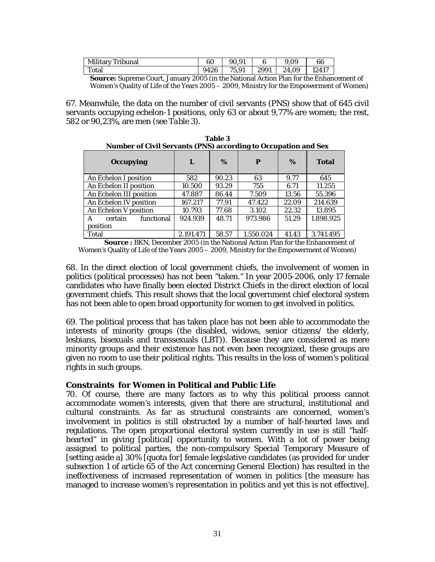| Military Tribunal | 60   |       |      | 9.09  | 66    |
|-------------------|------|-------|------|-------|-------|
| Total             | 9426 | 75.91 | 2991 | 24.09 | 12417 |

**Source:** Supreme Court, January 2005 (in the National Action Plan for the Enhancement of Women's Quality of Life of the Years 2005 – 2009, Ministry for the Empowerment of Women)

67. Meanwhile, the data on the number of civil servants (PNS) show that of 645 civil servants occupying echelon-1 positions, only 63 or about 9,77% are women; the rest, 582 or 90,23%, are men *(see Table 3).*

**Table 3** 

| <b>Number of Civil Servants (PNS) according to Occupation and Sex</b> |           |       |           |       |              |  |  |  |  |
|-----------------------------------------------------------------------|-----------|-------|-----------|-------|--------------|--|--|--|--|
| <b>Occupying</b>                                                      | L         | $\%$  | P         | $\%$  | <b>Total</b> |  |  |  |  |
| An Echelon I position                                                 | 582       | 90.23 | 63        | 9.77  | 645          |  |  |  |  |
| An Echelon II position                                                | 10.500    | 93.29 | 755       | 6.71  | 11.255       |  |  |  |  |
| An Echelon III position                                               | 47.887    | 86.44 | 7.509     | 13.56 | 55.396       |  |  |  |  |
| An Echelon IV position                                                | 167.217   | 77.91 | 47.422    | 22.09 | 214.639      |  |  |  |  |
| An Echelon V position                                                 | 10.793    | 77.68 | 3.102     | 22.32 | 13.895       |  |  |  |  |
| functional<br>certain<br>A                                            | 924.939   | 48.71 | 973.986   | 51.29 | 1.898.925    |  |  |  |  |
| position                                                              |           |       |           |       |              |  |  |  |  |
| Total                                                                 | 2.191.471 | 58.57 | 1.550.024 | 41.43 | 3.741.495    |  |  |  |  |

**Source :** BKN, December 2005 (in the National Action Plan for the Enhancement of Women's Quality of Life of the Years 2005 – 2009, Ministry for the Empowerment of Women)

68. In the direct election of local government chiefs, the involvement of women in politics (political processes) has not been "taken." In year 2005-2006, only 17 female candidates who have finally been elected District Chiefs in the direct election of local government chiefs. This result shows that the local government chief electoral system has not been able to open broad opportunity for women to get involved in politics.

69. The political process that has taken place has not been able to accommodate the interests of minority groups (the disabled, widows, senior citizens/ the elderly, lesbians, bisexuals and transsexuals (LBT)). Because they are considered as mere minority groups and their existence has not even been recognized, these groups are given no room to use their political rights. This results in the loss of women's political rights in such groups.

#### **Constraints for Women in Political and Public Life**

70. Of course, there are many factors as to why this political process cannot accommodate women's interests, given that there are structural, institutional and cultural constraints. As far as structural constraints are concerned, women's involvement in politics is still obstructed by a number of half-hearted laws and regulations. The open proportional electoral system currently in use is still "halfhearted" in giving [political] opportunity to women. With a lot of power being assigned to political parties, the non-compulsory Special Temporary Measure of [setting aside a] 30% [quota for] female legislative candidates (as provided for under subsection 1 of article 65 of the Act concerning General Election) has resulted in the ineffectiveness of increased representation of women in politics [the measure has managed to increase women's representation in politics and yet this is not effective].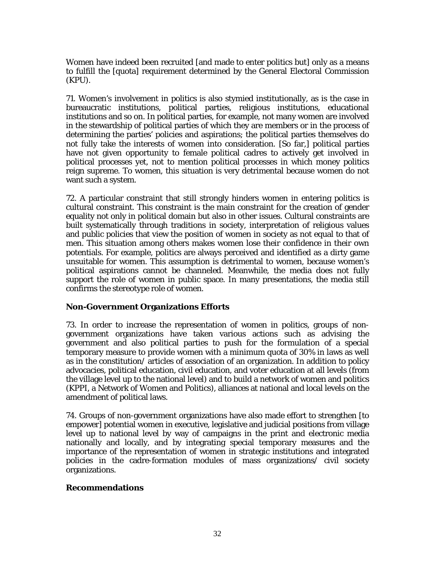Women have indeed been recruited [and made to enter politics but] only as a means to fulfill the [quota] requirement determined by the General Electoral Commission (KPU).

71. Women's involvement in politics is also stymied institutionally, as is the case in bureaucratic institutions, political parties, religious institutions, educational institutions and so on. In political parties, for example, not many women are involved in the stewardship of political parties of which they are members or in the process of determining the parties' policies and aspirations; the political parties themselves do not fully take the interests of women into consideration. [So far,] political parties have not given opportunity to female political cadres to actively get involved in political processes yet, not to mention political processes in which money politics reign supreme. To women, this situation is very detrimental because women do not want such a system.

72. A particular constraint that still strongly hinders women in entering politics is cultural constraint. This constraint is the main constraint for the creation of gender equality not only in political domain but also in other issues. Cultural constraints are built systematically through traditions in society, interpretation of religious values and public policies that view the position of women in society as not equal to that of men. This situation among others makes women lose their confidence in their own potentials. For example, politics are always perceived and identified as a dirty game unsuitable for women. This assumption is detrimental to women, because women's political aspirations cannot be channeled. Meanwhile, the media does not fully support the role of women in public space. In many presentations, the media still confirms the stereotype role of women.

#### **Non-Government Organizations Efforts**

73. In order to increase the representation of women in politics, groups of nongovernment organizations have taken various actions such as advising the government and also political parties to push for the formulation of a special temporary measure to provide women with a minimum quota of 30% in laws as well as in the constitution/ articles of association of an organization. In addition to policy advocacies, political education, civil education, and voter education at all levels (from the village level up to the national level) and to build a network of women and politics (KPPI, a Network of Women and Politics), alliances at national and local levels on the amendment of political laws.

74. Groups of non-government organizations have also made effort to strengthen [to empower] potential women in executive, legislative and judicial positions from village level up to national level by way of campaigns in the print and electronic media nationally and locally, and by integrating special temporary measures and the importance of the representation of women in strategic institutions and integrated policies in the cadre-formation modules of mass organizations/ civil society organizations.

#### **Recommendations**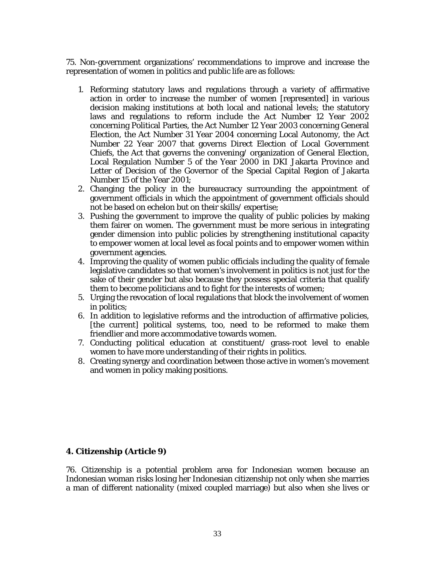75. Non-government organizations' recommendations to improve and increase the representation of women in politics and public life are as follows:

- 1. Reforming statutory laws and regulations through a variety of affirmative action in order to increase the number of women [represented] in various decision making institutions at both local and national levels; the statutory laws and regulations to reform include the Act Number 12 Year 2002 concerning Political Parties, the Act Number 12 Year 2003 concerning General Election, the Act Number 31 Year 2004 concerning Local Autonomy, the Act Number 22 Year 2007 that governs Direct Election of Local Government Chiefs, the Act that governs the convening/ organization of General Election, Local Regulation Number 5 of the Year 2000 in DKI Jakarta Province and Letter of Decision of the Governor of the Special Capital Region of Jakarta Number 15 of the Year 2001;
- 2. Changing the policy in the bureaucracy surrounding the appointment of government officials in which the appointment of government officials should not be based on echelon but on their skills/ expertise;
- 3. Pushing the government to improve the quality of public policies by making them fairer on women. The government must be more serious in integrating gender dimension into public policies by strengthening institutional capacity to empower women at local level as focal points and to empower women within government agencies.
- 4. Improving the quality of women public officials including the quality of female legislative candidates so that women's involvement in politics is not just for the sake of their gender but also because they possess special criteria that qualify them to become politicians and to fight for the interests of women;
- 5. Urging the revocation of local regulations that block the involvement of women in politics;
- 6. In addition to legislative reforms and the introduction of affirmative policies, [the current] political systems, too, need to be reformed to make them friendlier and more accommodative towards women.
- 7. Conducting political education at constituent/ grass-root level to enable women to have more understanding of their rights in politics.
- 8. Creating synergy and coordination between those active in women's movement and women in policy making positions.

#### **4. Citizenship (Article 9)**

76. Citizenship is a potential problem area for Indonesian women because an Indonesian woman risks losing her Indonesian citizenship not only when she marries a man of different nationality (mixed coupled marriage) but also when she lives or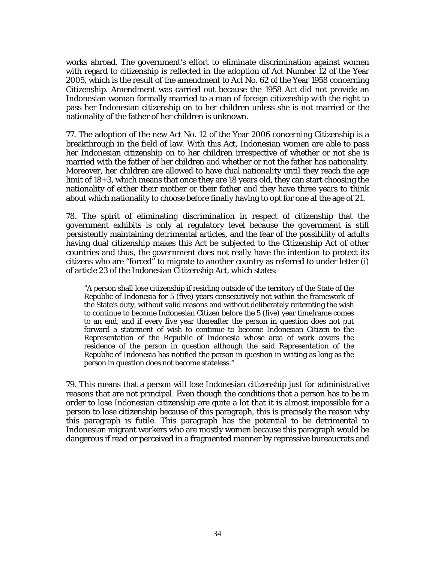works abroad. The government's effort to eliminate discrimination against women with regard to citizenship is reflected in the adoption of Act Number 12 of the Year 2005, which is the result of the amendment to Act No. 62 of the Year 1958 concerning Citizenship. Amendment was carried out because the 1958 Act did not provide an Indonesian woman formally married to a man of foreign citizenship with the right to pass her Indonesian citizenship on to her children unless she is not married or the nationality of the father of her children is unknown.

77. The adoption of the new Act No. 12 of the Year 2006 concerning Citizenship is a breakthrough in the field of law. With this Act, Indonesian women are able to pass her Indonesian citizenship on to her children irrespective of whether or not she is married with the father of her children and whether or not the father has nationality. Moreover, her children are allowed to have dual nationality until they reach the age limit of 18+3, which means that once they are 18 years old, they can start choosing the nationality of either their mother or their father and they have three years to think about which nationality to choose before finally having to opt for one at the age of 21.

78. The spirit of eliminating discrimination in respect of citizenship that the government exhibits is only at regulatory level because the government is still persistently maintaining detrimental articles, and the fear of the possibility of adults having dual citizenship makes this Act be subjected to the Citizenship Act of other countries and thus, the government does not really have the intention to protect its citizens who are "forced" to migrate to another country as referred to under letter (i) of article 23 of the Indonesian Citizenship Act, which states:

"A person shall lose citizenship if residing outside of the territory of the State of the Republic of Indonesia for 5 (five) years consecutively not within the framework of the State's duty, without valid reasons and without deliberately reiterating the wish to continue to become Indonesian Citizen before the 5 (five) year timeframe comes to an end, and if every five year thereafter the person in question does not put forward a statement of wish to continue to become Indonesian Citizen to the Representation of the Republic of Indonesia whose area of work covers the residence of the person in question although the said Representation of the Republic of Indonesia has notified the person in question in writing as long as the person in question does not become stateless."

79. This means that a person will lose Indonesian citizenship just for administrative reasons that are not principal. Even though the conditions that a person has to be in order to lose Indonesian citizenship are quite a lot that it is almost impossible for a person to lose citizenship because of this paragraph, this is precisely the reason why this paragraph is futile. This paragraph has the potential to be detrimental to Indonesian migrant workers who are mostly women because this paragraph would be dangerous if read or perceived in a fragmented manner by repressive bureaucrats and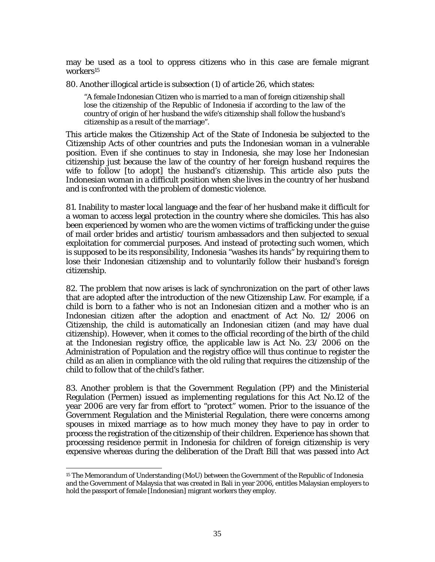may be used as a tool to oppress citizens who in this case are female migrant workers<sup>15</sup>

80. Another illogical article is subsection (1) of article 26, which states:

"A female Indonesian Citizen who is married to a man of foreign citizenship shall lose the citizenship of the Republic of Indonesia if according to the law of the country of origin of her husband the wife's citizenship shall follow the husband's citizenship as a result of the marriage".

This article makes the Citizenship Act of the State of Indonesia be subjected to the Citizenship Acts of other countries and puts the Indonesian woman in a vulnerable position. Even if she continues to stay in Indonesia, she may lose her Indonesian citizenship just because the law of the country of her foreign husband requires the wife to follow [to adopt] the husband's citizenship. This article also puts the Indonesian woman in a difficult position when she lives in the country of her husband and is confronted with the problem of domestic violence.

81. Inability to master local language and the fear of her husband make it difficult for a woman to access legal protection in the country where she domiciles. This has also been experienced by women who are the women victims of trafficking under the guise of mail order brides and artistic/ tourism ambassadors and then subjected to sexual exploitation for commercial purposes. And instead of protecting such women, which is supposed to be its responsibility, Indonesia "washes its hands" by requiring them to lose their Indonesian citizenship and to voluntarily follow their husband's foreign citizenship.

82. The problem that now arises is lack of synchronization on the part of other laws that are adopted after the introduction of the new Citizenship Law. For example, if a child is born to a father who is not an Indonesian citizen and a mother who is an Indonesian citizen after the adoption and enactment of Act No. 12/ 2006 on Citizenship, the child is automatically an Indonesian citizen (and may have dual citizenship). However, when it comes to the official recording of the birth of the child at the Indonesian registry office, the applicable law is Act No. 23/ 2006 on the Administration of Population and the registry office will thus continue to register the child as an alien in compliance with the old ruling that requires the citizenship of the child to follow that of the child's father.

83. Another problem is that the Government Regulation (PP) and the Ministerial Regulation (Permen) issued as implementing regulations for this Act No.12 of the year 2006 are very far from effort to "protect" women. Prior to the issuance of the Government Regulation and the Ministerial Regulation, there were concerns among spouses in mixed marriage as to how much money they have to pay in order to process the registration of the citizenship of their children. Experience has shown that processing residence permit in Indonesia for children of foreign citizenship is very expensive whereas during the deliberation of the Draft Bill that was passed into Act

 $\overline{\phantom{a}}$ 

<sup>15</sup> The Memorandum of Understanding (MoU) between the Government of the Republic of Indonesia and the Government of Malaysia that was created in Bali in year 2006, entitles Malaysian employers to hold the passport of female [Indonesian] migrant workers they employ.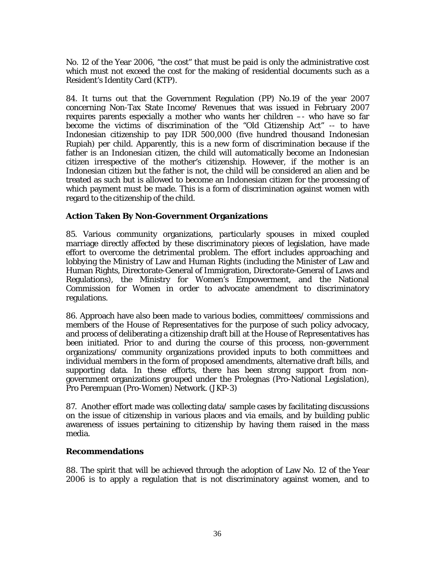No. 12 of the Year 2006, "the cost" that must be paid is only the administrative cost which must not exceed the cost for the making of residential documents such as a Resident's Identity Card (KTP).

84. It turns out that the Government Regulation (PP) No.19 of the year 2007 concerning Non-Tax State Income/ Revenues that was issued in February 2007 requires parents especially a mother who wants her children –- who have so far become the victims of discrimination of the "Old Citizenship Act" -- to have Indonesian citizenship to pay IDR 500,000 (five hundred thousand Indonesian Rupiah) per child. Apparently, this is a new form of discrimination because if the father is an Indonesian citizen, the child will automatically become an Indonesian citizen irrespective of the mother's citizenship. However, if the mother is an Indonesian citizen but the father is not, the child will be considered an alien and be treated as such but is allowed to become an Indonesian citizen for the processing of which payment must be made. This is a form of discrimination against women with regard to the citizenship of the child.

#### **Action Taken By Non-Government Organizations**

85. Various community organizations, particularly spouses in mixed coupled marriage directly affected by these discriminatory pieces of legislation, have made effort to overcome the detrimental problem. The effort includes approaching and lobbying the Ministry of Law and Human Rights (including the Minister of Law and Human Rights, Directorate-General of Immigration, Directorate-General of Laws and Regulations), the Ministry for Women's Empowerment, and the National Commission for Women in order to advocate amendment to discriminatory regulations.

86. Approach have also been made to various bodies, committees/ commissions and members of the House of Representatives for the purpose of such policy advocacy, and process of deliberating a citizenship draft bill at the House of Representatives has been initiated. Prior to and during the course of this process, non-government organizations/ community organizations provided inputs to both committees and individual members in the form of proposed amendments, alternative draft bills, and supporting data. In these efforts, there has been strong support from nongovernment organizations grouped under the Prolegnas (Pro-National Legislation), Pro Perempuan (Pro-Women) Network. (JKP-3)

87. Another effort made was collecting data/ sample cases by facilitating discussions on the issue of citizenship in various places and via emails, and by building public awareness of issues pertaining to citizenship by having them raised in the mass media.

#### **Recommendations**

88. The spirit that will be achieved through the adoption of Law No. 12 of the Year 2006 is to apply a regulation that is not discriminatory against women, and to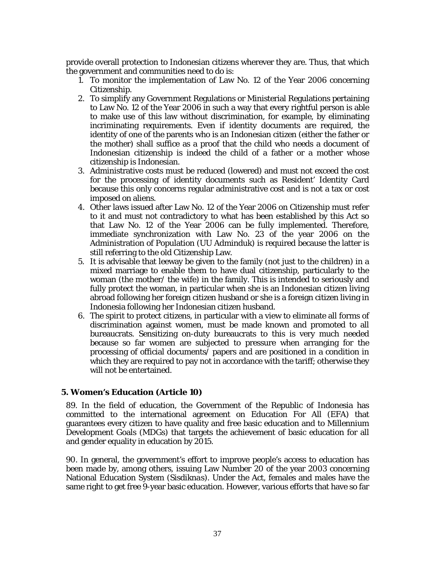provide overall protection to Indonesian citizens wherever they are. Thus, that which the government and communities need to do is:

- 1. To monitor the implementation of Law No. 12 of the Year 2006 concerning Citizenship.
- 2. To simplify any Government Regulations or Ministerial Regulations pertaining to Law No. 12 of the Year 2006 in such a way that every rightful person is able to make use of this law without discrimination, for example, by eliminating incriminating requirements. Even if identity documents are required, the identity of one of the parents who is an Indonesian citizen (either the father or the mother) shall suffice as a proof that the child who needs a document of Indonesian citizenship is indeed the child of a father or a mother whose citizenship is Indonesian.
- 3. Administrative costs must be reduced (lowered) and must not exceed the cost for the processing of identity documents such as Resident' Identity Card because this only concerns regular administrative cost and is not a tax or cost imposed on aliens.
- 4. Other laws issued after Law No. 12 of the Year 2006 on Citizenship must refer to it and must not contradictory to what has been established by this Act so that Law No. 12 of the Year 2006 can be fully implemented. Therefore, immediate synchronization with Law No. 23 of the year 2006 on the Administration of Population (UU Adminduk) is required because the latter is still referring to the old Citizenship Law.
- 5. It is advisable that leeway be given to the family (not just to the children) in a mixed marriage to enable them to have dual citizenship, particularly to the woman (the mother/ the wife) in the family. This is intended to seriously and fully protect the woman, in particular when she is an Indonesian citizen living abroad following her foreign citizen husband or she is a foreign citizen living in Indonesia following her Indonesian citizen husband.
- 6. The spirit to protect citizens, in particular with a view to eliminate all forms of discrimination against women, must be made known and promoted to all bureaucrats. Sensitizing on-duty bureaucrats to this is very much needed because so far women are subjected to pressure when arranging for the processing of official documents/ papers and are positioned in a condition in which they are required to pay not in accordance with the tariff; otherwise they will not be entertained.

## **5. Women's Education (Article 10)**

89. In the field of education, the Government of the Republic of Indonesia has committed to the international agreement on Education For All (*EFA*) that guarantees every citizen to have quality and free basic education and to Millennium Development Goals (MDGs) that targets the achievement of basic education for all and gender equality in education by 2015.

90. In general, the government's effort to improve people's access to education has been made by, among others, issuing Law Number 20 of the year 2003 concerning National Education System (*Sisdiknas*). Under the Act, females and males have the same right to get free 9-year basic education. However, various efforts that have so far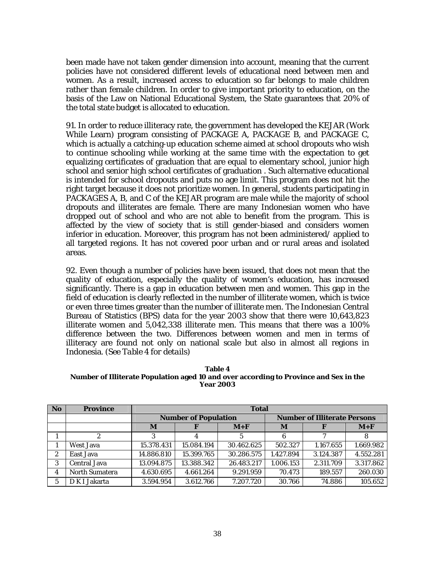been made have not taken gender dimension into account, meaning that the current policies have not considered different levels of educational need between men and women. As a result, increased access to education so far belongs to male children rather than female children. In order to give important priority to education, on the basis of the Law on National Educational System, the State guarantees that 20% of the total state budget is allocated to education.

91. In order to reduce illiteracy rate, the government has developed the KEJAR (Work While Learn) program consisting of PACKAGE A, PACKAGE B, and PACKAGE C, which is actually a catching-up education scheme aimed at school dropouts who wish to continue schooling while working at the same time with the expectation to get equalizing certificates of graduation that are equal to elementary school, junior high school and senior high school certificates of graduation . Such alternative educational is intended for school dropouts and puts no age limit. This program does not hit the right target because it does not prioritize women. In general, students participating in PACKAGES A, B, and C of the KEJAR program are male while the majority of school dropouts and illiterates are female. There are many Indonesian women who have dropped out of school and who are not able to benefit from the program. This is affected by the view of society that is still gender-biased and considers women inferior in education. Moreover, this program has not been administered/ applied to all targeted regions. It has not covered poor urban and or rural areas and isolated areas.

92. Even though a number of policies have been issued, that does not mean that the quality of education, especially the quality of women's education, has increased significantly. There is a gap in education between men and women. This gap in the field of education is clearly reflected in the number of illiterate women, which is twice or even three times greater than the number of illiterate men. The Indonesian Central Bureau of Statistics (BPS) data for the year 2003 show that there were 10,643,823 illiterate women and 5,042,338 illiterate men. This means that there was a 100% difference between the two. Differences between women and men in terms of illiteracy are found not only on national scale but also in almost all regions in Indonesia. *(See Table 4 for details)* 

**Table 4 Number of Illiterate Population aged 10 and over according to Province and Sex in the Year 2003** 

| No. | <b>Province</b>     | <b>Total</b>                |            |            |           |                                     |           |
|-----|---------------------|-----------------------------|------------|------------|-----------|-------------------------------------|-----------|
|     |                     | <b>Number of Population</b> |            |            |           | <b>Number of Illiterate Persons</b> |           |
|     |                     | M                           | F          | $M+F$      | M         |                                     | $M+F$     |
|     | 2                   | 3                           |            |            | 6         |                                     | 8         |
|     | West Java           | 15.378.431                  | 15.084.194 | 30.462.625 | 502.327   | 1.167.655                           | 1.669.982 |
| 2   | East Java           | 14.886.810                  | 15.399.765 | 30.286.575 | 1.427.894 | 3.124.387                           | 4.552.281 |
| 3   | <b>Central Java</b> | 13.094.875                  | 13.388.342 | 26.483.217 | 1.006.153 | 2.311.709                           | 3.317.862 |
| 4   | North Sumatera      | 4.630.695                   | 4.661.264  | 9.291.959  | 70.473    | 189.557                             | 260.030   |
| 5   | D K I Jakarta       | 3.594.954                   | 3.612.766  | 7.207.720  | 30.766    | 74.886                              | 105.652   |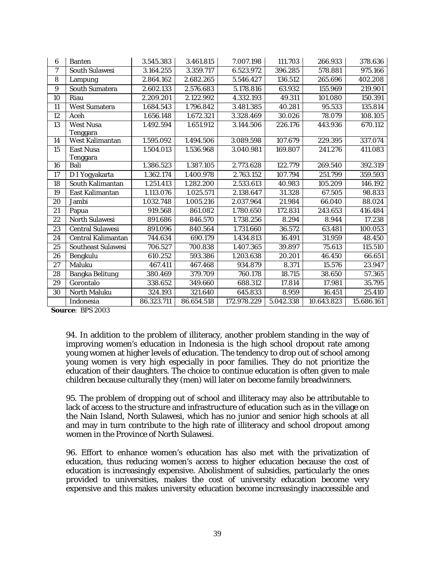| 6  | <b>Banten</b>                       | 3.545.383  | 3.461.815  | 7.007.198   | 111.703   | 266.933    | 378.636    |
|----|-------------------------------------|------------|------------|-------------|-----------|------------|------------|
| 7  | <b>South Sulawesi</b>               | 3.164.255  | 3.359.717  | 6.523.972   | 396.285   | 578.881    | 975.166    |
| 8  | Lampung                             | 2.864.162  | 2.682.265  | 5.546.427   | 136.512   | 265.696    | 402.208    |
| 9  | <b>South Sumatera</b>               | 2.602.133  | 2.576.683  | 5.178.816   | 63.932    | 155.969    | 219.901    |
| 10 | Riau                                | 2.209.201  | 2.122.992  | 4.332.193   | 49.311    | 101.080    | 150.391    |
| 11 | <b>West Sumatera</b>                | 1.684.543  | 1.796.842  | 3.481.385   | 40.281    | 95.533     | 135.814    |
| 12 | Aceh                                | 1.656.148  | 1.672.321  | 3.328.469   | 30.026    | 78.079     | 108.105    |
| 13 | <b>West Nusa</b><br>Tenggara        | 1.492.594  | 1.651.912  | 3.144.506   | 226.176   | 443.936    | 670.112    |
| 14 | <b>West Kalimantan</b>              | 1.595.092  | 1.494.506  | 3.089.598   | 107.679   | 229.395    | 337.074    |
| 15 | <b>East Nusa</b><br><b>Tenggara</b> | 1.504.013  | 1.536.968  | 3.040.981   | 169.807   | 241.276    | 411.083    |
| 16 | Bali                                | 1.386.523  | 1.387.105  | 2.773.628   | 122.779   | 269.540    | 392.319    |
| 17 | D I Yogyakarta                      | 1.362.174  | 1.400.978  | 2.763.152   | 107.794   | 251.799    | 359.593    |
| 18 | South Kalimantan                    | 1.251.413  | 1.282.200  | 2.533.613   | 40.983    | 105.209    | 146.192    |
| 19 | East Kalimantan                     | 1.113.076  | 1.025.571  | 2.138.647   | 31.328    | 67.505     | 98.833     |
| 20 | Jambi                               | 1.032.748  | 1.005.216  | 2.037.964   | 21.984    | 66.040     | 88.024     |
| 21 | Papua                               | 919.568    | 861.082    | 1.780.650   | 172.831   | 243.653    | 416.484    |
| 22 | <b>North Sulawesi</b>               | 891.686    | 846.570    | 1.738.256   | 8.294     | 8.944      | 17.238     |
| 23 | <b>Central Sulawesi</b>             | 891.096    | 840.564    | 1.731.660   | 36.572    | 63.481     | 100.053    |
| 24 | Central Kalimantan                  | 744.634    | 690.179    | 1.434.813   | 16.491    | 31.959     | 48.450     |
| 25 | <b>Southeast Sulawesi</b>           | 706.527    | 700.838    | 1.407.365   | 39.897    | 75.613     | 115.510    |
| 26 | Bengkulu                            | 610.252    | 593.386    | 1.203.638   | 20.201    | 46.450     | 66.651     |
| 27 | Maluku                              | 467.411    | 467.468    | 934.879     | 8.371     | 15.576     | 23.947     |
| 28 | <b>Bangka Belitung</b>              | 380.469    | 379.709    | 760.178     | 18.715    | 38.650     | 57.365     |
| 29 | Gorontalo                           | 338.652    | 349.660    | 688.312     | 17.814    | 17.981     | 35.795     |
| 30 | North Maluku                        | 324.193    | 321.640    | 645.833     | 8.959     | 16.451     | 25.410     |
|    | Indonesia                           | 86.323.711 | 86.654.518 | 172.978.229 | 5.042.338 | 10.643.823 | 15.686.161 |

**Source**: BPS 2003

94. In addition to the problem of illiteracy, another problem standing in the way of improving women's education in Indonesia is the high school dropout rate among young women at higher levels of education. The tendency to drop out of school among young women is very high especially in poor families. They do not prioritize the education of their daughters. The choice to continue education is often given to male children because culturally they (men) will later on become family breadwinners.

95. The problem of dropping out of school and illiteracy may also be attributable to lack of access to the structure and infrastructure of education such as in the village on the Nain Island, North Sulawesi, which has no junior and senior high schools at all and may in turn contribute to the high rate of illiteracy and school dropout among women in the Province of North Sulawesi.

96. Effort to enhance women's education has also met with the privatization of education, thus reducing women's access to higher education because the cost of education is increasingly expensive. Abolishment of subsidies, particularly the ones provided to universities, makes the cost of university education become very expensive and this makes university education become increasingly inaccessible and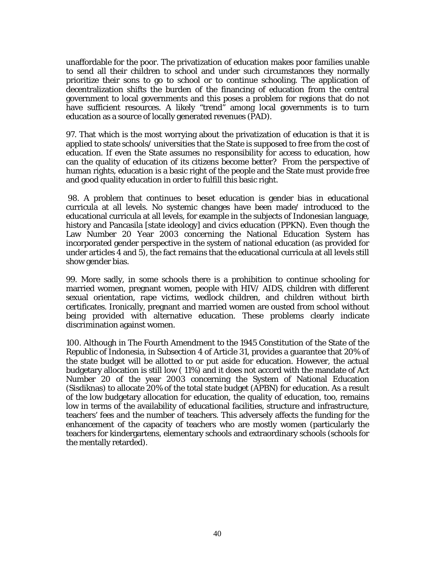unaffordable for the poor. The privatization of education makes poor families unable to send all their children to school and under such circumstances they normally prioritize their sons to go to school or to continue schooling. The application of decentralization shifts the burden of the financing of education from the central government to local governments and this poses a problem for regions that do not have sufficient resources. A likely "trend" among local governments is to turn education as a source of locally generated revenues (PAD).

97. That which is the most worrying about the privatization of education is that it is applied to state schools/ universities that the State is supposed to free from the cost of education. If even the State assumes no responsibility for access to education, how can the quality of education of its citizens become better? From the perspective of human rights, education is a basic right of the people and the State must provide free and good quality education in order to fulfill this basic right.

 98. A problem that continues to beset education is gender bias in educational curricula at all levels. No systemic changes have been made/ introduced to the educational curricula at all levels, for example in the subjects of Indonesian language, history and Pancasila [state ideology] and civics education (PPKN). Even though the Law Number 20 Year 2003 concerning the National Education System has incorporated gender perspective in the system of national education (as provided for under articles 4 and 5), the fact remains that the educational curricula at all levels still show gender bias.

99. More sadly, in some schools there is a prohibition to continue schooling for married women, pregnant women, people with HIV/ AIDS, children with different sexual orientation, rape victims, wedlock children, and children without birth certificates. Ironically, pregnant and married women are ousted from school without being provided with alternative education. These problems clearly indicate discrimination against women.

100. Although in The Fourth Amendment to the 1945 Constitution of the State of the Republic of Indonesia, in Subsection 4 of Article 31, provides a guarantee that 20% of the state budget will be allotted to or put aside for education. However, the actual budgetary allocation is still low ( 11%) and it does not accord with the mandate of Act Number 20 of the year 2003 concerning the System of National Education (Sisdiknas) to allocate 20% of the total state budget (APBN) for education. As a result of the low budgetary allocation for education, the quality of education, too, remains low in terms of the availability of educational facilities, structure and infrastructure, teachers' fees and the number of teachers. This adversely affects the funding for the enhancement of the capacity of teachers who are mostly women (particularly the teachers for kindergartens, elementary schools and extraordinary schools (schools for the mentally retarded).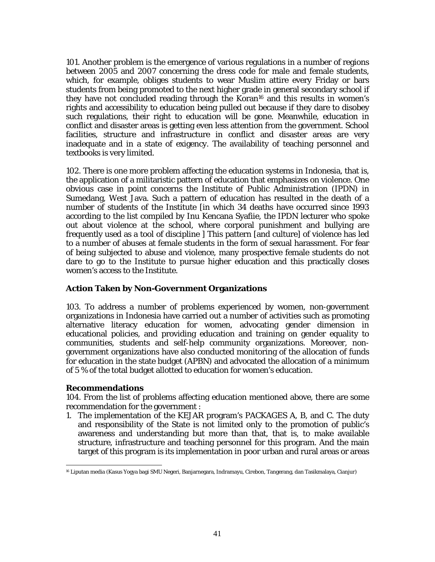101. Another problem is the emergence of various regulations in a number of regions between 2005 and 2007 concerning the dress code for male and female students, which, for example, obliges students to wear Muslim attire every Friday or bars students from being promoted to the next higher grade in general secondary school if they have not concluded reading through the Koran16 and this results in women's rights and accessibility to education being pulled out because if they dare to disobey such regulations, their right to education will be gone. Meanwhile, education in conflict and disaster areas is getting even less attention from the government. School facilities, structure and infrastructure in conflict and disaster areas are very inadequate and in a state of exigency. The availability of teaching personnel and textbooks is very limited.

102. There is one more problem affecting the education systems in Indonesia, that is, the application of a militaristic pattern of education that emphasizes on violence. One obvious case in point concerns the Institute of Public Administration (IPDN) in Sumedang, West Java. Such a pattern of education has resulted in the death of a number of students of the Institute [in which 34 deaths have occurred since 1993 according to the list compiled by Inu Kencana Syafiie, the IPDN lecturer who spoke out about violence at the school, where corporal punishment and bullying are frequently used as a tool of discipline ] This pattern [and culture] of violence has led to a number of abuses at female students in the form of sexual harassment. For fear of being subjected to abuse and violence, many prospective female students do not dare to go to the Institute to pursue higher education and this practically closes women's access to the Institute.

## **Action Taken by Non-Government Organizations**

103. To address a number of problems experienced by women, non-government organizations in Indonesia have carried out a number of activities such as promoting alternative literacy education for women, advocating gender dimension in educational policies, and providing education and training on gender equality to communities, students and self-help community organizations. Moreover, nongovernment organizations have also conducted monitoring of the allocation of funds for education in the state budget (APBN) and advocated the allocation of a minimum of 5 % of the total budget allotted to education for women's education.

## **Recommendations**

104. From the list of problems affecting education mentioned above, there are some recommendation for the government :

1. The implementation of the KEJAR program's PACKAGES A, B, and C. The duty and responsibility of the State is not limited only to the promotion of public's awareness and understanding but more than that, that is, to make available structure, infrastructure and teaching personnel for this program. And the main target of this program is its implementation in poor urban and rural areas or areas

l 16 Liputan media (Kasus Yogya bagi SMU Negeri, Banjarnegara, Indramayu, Cirebon, Tangerang, dan Tasikmalaya, Cianjur)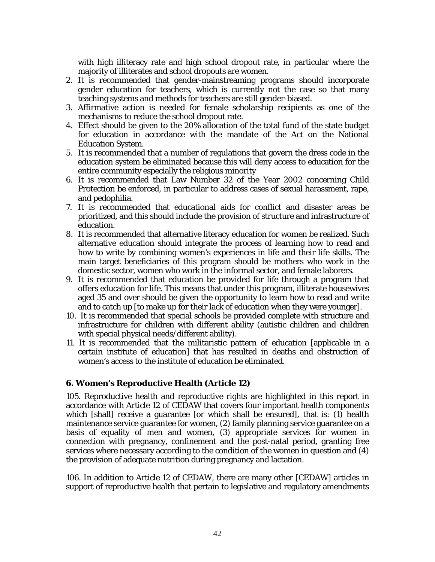with high illiteracy rate and high school dropout rate, in particular where the majority of illiterates and school dropouts are women.

- 2. It is recommended that gender-mainstreaming programs should incorporate gender education for teachers, which is currently not the case so that many teaching systems and methods for teachers are still gender-biased.
- 3. Affirmative action is needed for female scholarship recipients as one of the mechanisms to reduce the school dropout rate.
- 4. Effect should be given to the 20% allocation of the total fund of the state budget for education in accordance with the mandate of the Act on the National Education System.
- 5. It is recommended that a number of regulations that govern the dress code in the education system be eliminated because this will deny access to education for the entire community especially the religious minority
- 6. It is recommended that Law Number 32 of the Year 2002 concerning Child Protection be enforced, in particular to address cases of sexual harassment, rape, and pedophilia.
- 7. It is recommended that educational aids for conflict and disaster areas be prioritized, and this should include the provision of structure and infrastructure of education.
- 8. It is recommended that alternative literacy education for women be realized. Such alternative education should integrate the process of learning how to read and how to write by combining women's experiences in life and their life skills. The main target beneficiaries of this program should be mothers who work in the domestic sector, women who work in the informal sector, and female laborers.
- 9. It is recommended that education be provided for life through a program that offers education for life. This means that under this program, illiterate housewives aged 35 and over should be given the opportunity to learn how to read and write and to catch up [to make up for their lack of education when they were younger].
- 10. It is recommended that special schools be provided complete with structure and infrastructure for children with different ability (autistic children and children with special physical needs/different ability*)*.
- 11. It is recommended that the militaristic pattern of education [applicable in a certain institute of education] that has resulted in deaths and obstruction of women's access to the institute of education be eliminated.

## **6. Women's Reproductive Health (Article 12)**

105. Reproductive health and reproductive rights are highlighted in this report in accordance with Article 12 of CEDAW that covers four important health components which [shall] receive a guarantee [or which shall be ensured], that is: (1) health maintenance service guarantee for women, (2) family planning service guarantee on a basis of equality of men and women, (3) appropriate services for women in connection with pregnancy, confinement and the post-natal period, granting free services where necessary according to the condition of the women in question and (4) the provision of adequate nutrition during pregnancy and lactation.

106. In addition to Article 12 of CEDAW, there are many other [CEDAW] articles in support of reproductive health that pertain to legislative and regulatory amendments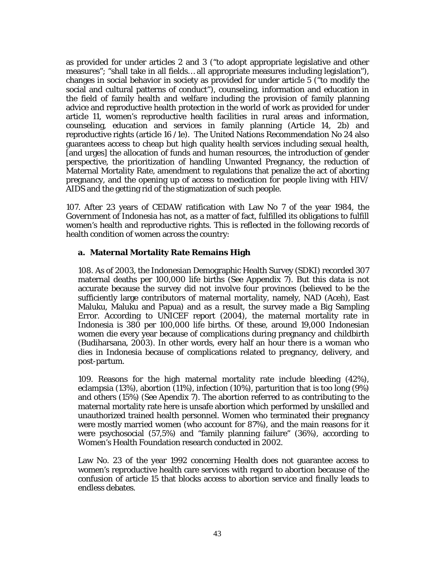as provided for under articles 2 and 3 ("to adopt appropriate legislative and other measures"; "shall take in all fields… all appropriate measures including legislation"), changes in social behavior in society as provided for under article 5 ("to modify the social and cultural patterns of conduct"), counseling, information and education in the field of family health and welfare including the provision of family planning advice and reproductive health protection in the world of work as provided for under article 11, women's reproductive health facilities in rural areas and information, counseling, education and services in family planning (Article 14, 2b) and reproductive rights (article 16 /1e). The United Nations Recommendation No 24 also guarantees access to cheap but high quality health services including sexual health, [and urges] the allocation of funds and human resources, the introduction of gender perspective, the prioritization of handling Unwanted Pregnancy, the reduction of Maternal Mortality Rate, amendment to regulations that penalize the act of aborting pregnancy, and the opening up of access to medication for people living with HIV/ AIDS and the getting rid of the stigmatization of such people.

107. After 23 years of CEDAW ratification with Law No 7 of the year 1984, the Government of Indonesia has not, as a matter of fact, fulfilled its obligations to fulfill women's health and reproductive rights. This is reflected in the following records of health condition of women across the country:

## **a. Maternal Mortality Rate Remains High**

108. As of 2003, the Indonesian Demographic Health Survey (SDKI) recorded 307 maternal deaths per 100,000 life births *(See Appendix 7).* But this data is not accurate because the survey did not involve four provinces (believed to be the sufficiently large contributors of maternal mortality, namely, NAD (Aceh), East Maluku, Maluku and Papua) and as a result, the survey made a Big Sampling Error. According to UNICEF report (2004), the maternal mortality rate in Indonesia is 380 per 100,000 life births. Of these, around 19,000 Indonesian women die every year because of complications during pregnancy and childbirth (Budiharsana, 2003). In other words, every half an hour there is a woman who dies in Indonesia because of complications related to pregnancy, delivery, and post-partum.

109. Reasons for the high maternal mortality rate include bleeding (42%), eclampsia (13%), abortion (11%), infection (10%), parturition that is too long (9%) and others (15%) *(See Apendix 7).* The abortion referred to as contributing to the maternal mortality rate here is unsafe abortion which performed by unskilled and unauthorized trained health personnel. Women who terminated their pregnancy were mostly married women (who account for 87%), and the main reasons for it were psychosocial (57,5%) and "family planning failure" (36%), according to Women's Health Foundation research conducted in 2002.

Law No. 23 of the year 1992 concerning Health does not guarantee access to women's reproductive health care services with regard to abortion because of the confusion of article 15 that blocks access to abortion service and finally leads to endless debates.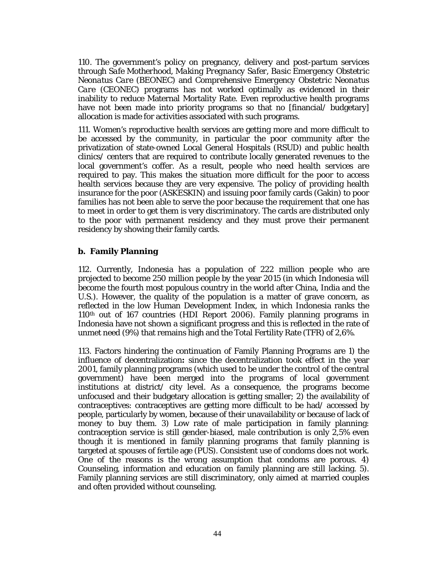110. The government's policy on pregnancy, delivery and post-partum services through *Safe Motherhood, Making Pregnancy Safer, Basic Emergency Obstetric Neonatus Care* (BEONEC) and *Comprehensive Emergency Obstetric Neonatus Care* (CEONEC) programs has not worked optimally as evidenced in their inability to reduce Maternal Mortality Rate. Even reproductive health programs have not been made into priority programs so that no [financial/ budgetary] allocation is made for activities associated with such programs.

111. Women's reproductive health services are getting more and more difficult to be accessed by the community, in particular the poor community after the privatization of state-owned Local General Hospitals (RSUD) and public health clinics/ centers that are required to contribute locally generated revenues to the local government's coffer. As a result, people who need health services are required to pay. This makes the situation more difficult for the poor to access health services because they are very expensive. The policy of providing health insurance for the poor (ASKESKIN) and issuing poor family cards (Gakin) to poor families has not been able to serve the poor because the requirement that one has to meet in order to get them is very discriminatory. The cards are distributed only to the poor with permanent residency and they must prove their permanent residency by showing their family cards.

#### **b. Family Planning**

112. Currently, Indonesia has a population of 222 million people who are projected to become 250 million people by the year 2015 (in which Indonesia will become the fourth most populous country in the world after China, India and the U.S.). However, the quality of the population is a matter of grave concern, as reflected in the low Human Development Index, in which Indonesia ranks the  $110<sup>th</sup>$  out of 167 countries (HDI Report 2006). Family planning programs in Indonesia have not shown a significant progress and this is reflected in the rate of unmet need (9%) that remains high and the Total Fertility Rate (TFR) of 2,6%.

113. Factors hindering the continuation of Family Planning Programs are 1) the influence of decentralization**:** since the decentralization took effect in the year 2001, family planning programs (which used to be under the control of the central government) have been merged into the programs of local government institutions at district/ city level. As a consequence, the programs become unfocused and their budgetary allocation is getting smaller; 2) the availability of contraceptives: contraceptives are getting more difficult to be had/ accessed by people, particularly by women, because of their unavailability or because of lack of money to buy them. 3) Low rate of male participation in family planning: contraception service is still gender-biased, male contribution is only 2,5% even though it is mentioned in family planning programs that family planning is targeted at spouses of fertile age (PUS). Consistent use of condoms does not work. One of the reasons is the wrong assumption that condoms are porous. 4) Counseling, information and education on family planning are still lacking. 5). Family planning services are still discriminatory, only aimed at married couples and often provided without counseling.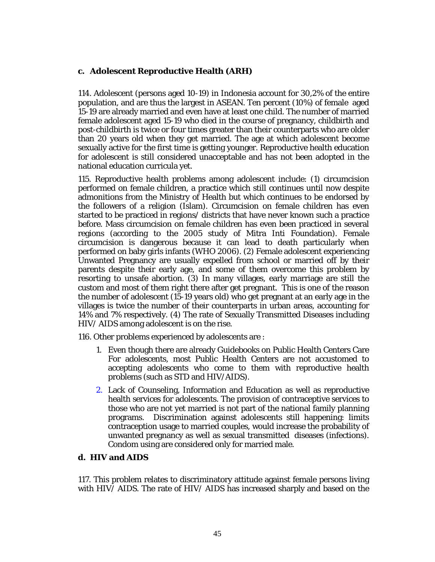## **c. Adolescent Reproductive Health (ARH)**

114. Adolescent (persons aged 10-19) in Indonesia account for 30,2% of the entire population, and are thus the largest in ASEAN. Ten percent (10%) of female aged 15-19 are already married and even have at least one child. The number of married female adolescent aged 15-19 who died in the course of pregnancy, childbirth and post-childbirth is twice or four times greater than their counterparts who are older than 20 years old when they get married. The age at which adolescent become sexually active for the first time is getting younger. Reproductive health education for adolescent is still considered unacceptable and has not been adopted in the national education curricula yet.

115. Reproductive health problems among adolescent include: (1) circumcision performed on female children, a practice which still continues until now despite admonitions from the Ministry of Health but which continues to be endorsed by the followers of a religion (Islam). Circumcision on female children has even started to be practiced in regions/ districts that have never known such a practice before. Mass circumcision on female children has even been practiced in several regions (according to the 2005 study of Mitra Inti Foundation). Female circumcision is dangerous because it can lead to death particularly when performed on baby girls infants (WHO 2006). (2) Female adolescent experiencing Unwanted Pregnancy are usually expelled from school or married off by their parents despite their early age, and some of them overcome this problem by resorting to unsafe abortion. (3) In many villages, early marriage are still the custom and most of them right there after get pregnant. This is one of the reason the number of adolescent (15-19 years old) who get pregnant at an early age in the villages is twice the number of their counterparts in urban areas, accounting for 14% and 7% respectively. (4) The rate of Sexually Transmitted Diseases including HIV/ AIDS among adolescent is on the rise.

116. Other problems experienced by adolescents are :

- 1. Even though there are already Guidebooks on Public Health Centers Care For adolescents, most Public Health Centers are not accustomed to accepting adolescents who come to them with reproductive health problems (such as STD and HIV/AIDS).
- 2. Lack of Counseling, Information and Education as well as reproductive health services for adolescents. The provision of contraceptive services to those who are not yet married is not part of the national family planning programs. Discrimination against adolescents still happening: limits contraception usage to married couples, would increase the probability of unwanted pregnancy as well as sexual transmitted diseases (infections). Condom using are considered only for married male.

## **d. HIV and AIDS**

117. This problem relates to discriminatory attitude against female persons living with HIV/ AIDS. The rate of HIV/ AIDS has increased sharply and based on the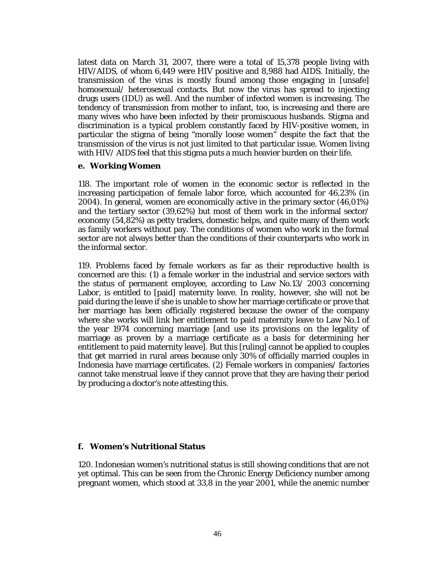latest data on March 31, 2007, there were a total of 15,378 people living with HIV/AIDS, of whom 6,449 were HIV positive and 8,988 had AIDS. Initially, the transmission of the virus is mostly found among those engaging in [unsafe] homosexual/ heterosexual contacts. But now the virus has spread to injecting drugs users (IDU) as well. And the number of infected women is increasing. The tendency of transmission from mother to infant, too, is increasing and there are many wives who have been infected by their promiscuous husbands. Stigma and discrimination is a typical problem constantly faced by HIV-positive women, in particular the stigma of being "morally loose women" despite the fact that the transmission of the virus is not just limited to that particular issue. Women living with HIV/ AIDS feel that this stigma puts a much heavier burden on their life.

#### **e. Working Women**

118. The important role of women in the economic sector is reflected in the increasing participation of female labor force, which accounted for 46,23% (in 2004). In general, women are economically active in the primary sector (46,01%) and the tertiary sector (39,62%) but most of them work in the informal sector/ economy (54,82%) as petty traders, domestic helps, and quite many of them work as family workers without pay. The conditions of women who work in the formal sector are not always better than the conditions of their counterparts who work in the informal sector.

119. Problems faced by female workers as far as their reproductive health is concerned are this: (1) a female worker in the industrial and service sectors with the status of permanent employee, according to Law No.13/ 2003 concerning Labor, is entitled to [paid] maternity leave. In reality, however, she will not be paid during the leave if she is unable to show her marriage certificate or prove that her marriage has been officially registered because the owner of the company where she works will link her entitlement to paid maternity leave to Law No.1 of the year 1974 concerning marriage [and use its provisions on the legality of marriage as proven by a marriage certificate as a basis for determining her entitlement to paid maternity leave]. But this [ruling] cannot be applied to couples that get married in rural areas because only 30% of officially married couples in Indonesia have marriage certificates. (2) Female workers in companies/ factories cannot take menstrual leave if they cannot prove that they are having their period by producing a doctor's note attesting this.

## **f. Women's Nutritional Status**

120. Indonesian women's nutritional status is still showing conditions that are not yet optimal. This can be seen from the Chronic Energy Deficiency number among pregnant women, which stood at 33,8 in the year 2001, while the anemic number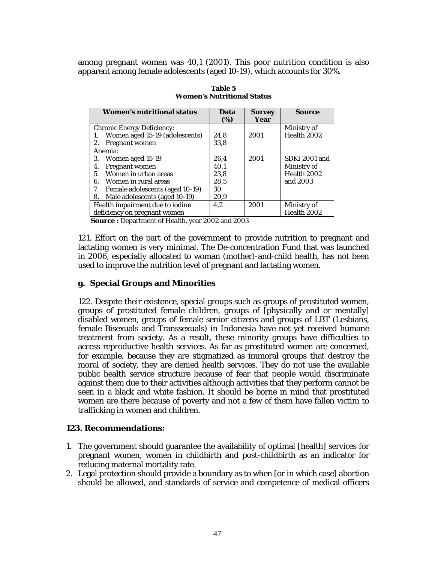among pregnant women was 40,1 (2001). This poor nutrition condition is also apparent among female adolescents (aged 10-19), which accounts for 30%.

| <b>Women's nutritional status</b>     | Data<br>(%) | <b>Survey</b><br>Year | <b>Source</b> |
|---------------------------------------|-------------|-----------------------|---------------|
| <b>Chronic Energy Deficiency:</b>     |             |                       | Ministry of   |
| Women aged 15-19 (adolescents)        | 24,8        | 2001                  | Health 2002   |
| Pregnant women<br>2.                  | 33,8        |                       |               |
| Anemia:                               |             |                       |               |
| Women aged 15-19<br>3.                | 26,4        | 2001                  | SDKI 2001 and |
| Pregnant women<br>4.                  | 40,1        |                       | Ministry of   |
| Women in urban areas<br>5.            | 23,8        |                       | Health 2002   |
| Women in rural areas<br>6.            | 28,5        |                       | and 2003      |
| 7.<br>Female adolescents (aged 10-19) | 30          |                       |               |
| Male adolescents (aged 10-19)<br>8.   | 20,9        |                       |               |
| Health impairment due to iodine       | 4.2         | 2001                  | Ministry of   |
| deficiency on pregnant women          |             |                       | Health 2002   |

| Table 5                           |
|-----------------------------------|
| <b>Women's Nutritional Status</b> |

**Source :** Department of Health, year 2002 and 2003

121. Effort on the part of the government to provide nutrition to pregnant and lactating women is very minimal. The De-concentration Fund that was launched in 2006, especially allocated to woman (mother)-and-child health, has not been used to improve the nutrition level of pregnant and lactating women.

#### **g. Special Groups and Minorities**

122. Despite their existence, special groups such as groups of prostituted women, groups of prostituted female children, groups of [physically and or mentally] disabled women, groups of female senior citizens and groups of LBT (Lesbians, female Bisexuals and Transsexuals) in Indonesia have not yet received humane treatment from society. As a result, these minority groups have difficulties to access reproductive health services. As far as prostituted women are concerned, for example, because they are stigmatized as immoral groups that destroy the moral of society, they are denied health services. They do not use the available public health service structure because of fear that people would discriminate against them due to their activities although activities that they perform cannot be seen in a black and white fashion. It should be borne in mind that prostituted women are there because of poverty and not a few of them have fallen victim to trafficking in women and children.

#### **123. Recommendations:**

- 1. The government should guarantee the availability of optimal [health] services for pregnant women, women in childbirth and post-childbirth as an indicator for reducing maternal mortality rate.
- 2. Legal protection should provide a boundary as to when [or in which case] abortion should be allowed, and standards of service and competence of medical officers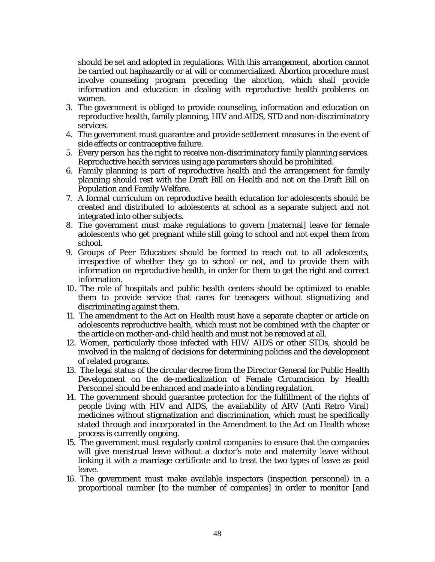should be set and adopted in regulations. With this arrangement, abortion cannot be carried out haphazardly or at will or commercialized. Abortion procedure must involve counseling program preceding the abortion, which shall provide information and education in dealing with reproductive health problems on women.

- 3. The government is obliged to provide counseling, information and education on reproductive health, family planning, HIV and AIDS, STD and non-discriminatory services.
- 4. The government must guarantee and provide settlement measures in the event of side effects or contraceptive failure.
- 5. Every person has the right to receive non-discriminatory family planning services. Reproductive health services using age parameters should be prohibited.
- 6. Family planning is part of reproductive health and the arrangement for family planning should rest with the Draft Bill on Health and not on the Draft Bill on Population and Family Welfare.
- 7. A formal curriculum on reproductive health education for adolescents should be created and distributed to adolescents at school as a separate subject and not integrated into other subjects.
- 8. The government must make regulations to govern [maternal] leave for female adolescents who get pregnant while still going to school and not expel them from school.
- 9. Groups of Peer Educators should be formed to reach out to all adolescents, irrespective of whether they go to school or not, and to provide them with information on reproductive health, in order for them to get the right and correct information.
- 10. The role of hospitals and public health centers should be optimized to enable them to provide service that cares for teenagers without stigmatizing and discriminating against them.
- 11. The amendment to the Act on Health must have a separate chapter or article on adolescents reproductive health, which must not be combined with the chapter or the article on mother-and-child health and must not be removed at all.
- 12. Women, particularly those infected with HIV/ AIDS or other STDs, should be involved in the making of decisions for determining policies and the development of related programs.
- *13.* The legal status of the circular decree from the Director General for Public Health Development on the de-medicalization of Female Circumcision by Health Personnel should be enhanced and made into a binding regulation.
- 14. The government should guarantee protection for the fulfillment of the rights of people living with HIV and AIDS, the availability of ARV (Anti Retro Viral) medicines without stigmatization and discrimination, which must be specifically stated through and incorporated in the Amendment to the Act on Health whose process is currently ongoing.
- 15. The government must regularly control companies to ensure that the companies will give menstrual leave without a doctor's note and maternity leave without linking it with a marriage certificate and to treat the two types of leave as paid leave.
- 16. The government must make available inspectors (inspection personnel) in a proportional number [to the number of companies] in order to monitor [and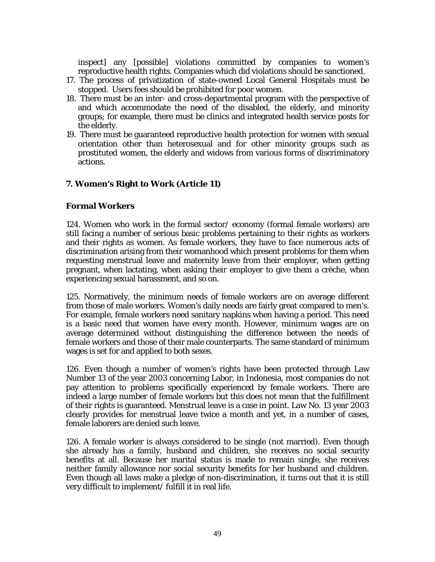inspect] any [possible] violations committed by companies to women's reproductive health rights. Companies which did violations should be sanctioned.

- 17. The process of privatization of state-owned Local General Hospitals must be stopped. Users fees should be prohibited for poor women.
- 18. There must be an inter- and cross-departmental program with the perspective of and which accommodate the need of the disabled, the elderly, and minority groups; for example, there must be clinics and integrated health service posts for the elderly.
- 19. There must be guaranteed reproductive health protection for women with sexual orientation other than heterosexual and for other minority groups such as prostituted women, the elderly and widows from various forms of discriminatory actions.

## **7. Women's Right to Work (Article 11)**

#### **Formal Workers**

124. Women who work in the formal sector/ economy (formal female workers) are still facing a number of serious basic problems pertaining to their rights as workers and their rights as women. As female workers, they have to face numerous acts of discrimination arising from their womanhood which present problems for them when requesting menstrual leave and maternity leave from their employer, when getting pregnant, when lactating, when asking their employer to give them a crèche, when experiencing sexual harassment, and so on.

125. Normatively, the minimum needs of female workers are on average different from those of male workers. Women's daily needs are fairly great compared to men's. For example, female workers need sanitary napkins when having a period. This need is a basic need that women have every month. However, minimum wages are on average determined without distinguishing the difference between the needs of female workers and those of their male counterparts. The same standard of minimum wages is set for and applied to both sexes.

126. Even though a number of women's rights have been protected through Law Number 13 of the year 2003 concerning Labor, in Indonesia, most companies do not pay attention to problems specifically experienced by female workers. There are indeed a large number of female workers but this does not mean that the fulfillment of their rights is guaranteed. Menstrual leave is a case in point. Law No. 13 year 2003 clearly provides for menstrual leave twice a month and yet, in a number of cases, female laborers are denied such leave.

126. A female worker is always considered to be single (not married). Even though she already has a family, husband and children, she receives no social security benefits at all. Because her marital status is made to remain single, she receives neither family allowance nor social security benefits for her husband and children. Even though all laws make a pledge of non-discrimination, it turns out that it is still very difficult to implement/ fulfill it in real life.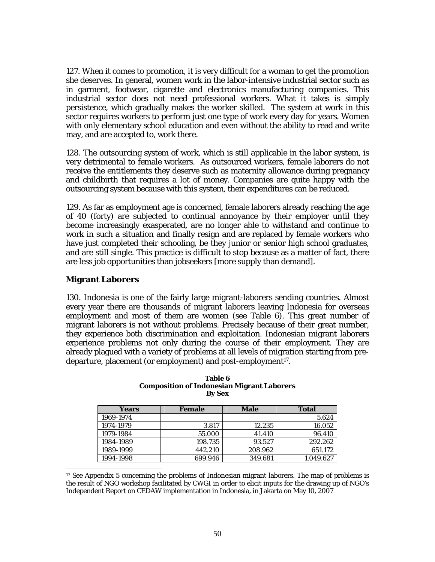127. When it comes to promotion, it is very difficult for a woman to get the promotion she deserves. In general, women work in the labor-intensive industrial sector such as in garment, footwear, cigarette and electronics manufacturing companies. This industrial sector does not need professional workers. What it takes is simply persistence, which gradually makes the worker skilled. The system at work in this sector requires workers to perform just one type of work every day for years. Women with only elementary school education and even without the ability to read and write may, and are accepted to, work there.

128. The outsourcing system of work, which is still applicable in the labor system, is very detrimental to female workers. As outsourced workers, female laborers do not receive the entitlements they deserve such as maternity allowance during pregnancy and childbirth that requires a lot of money. Companies are quite happy with the outsourcing system because with this system, their expenditures can be reduced.

129. As far as employment age is concerned, female laborers already reaching the age of 40 (forty) are subjected to continual annoyance by their employer until they become increasingly exasperated, are no longer able to withstand and continue to work in such a situation and finally resign and are replaced by female workers who have just completed their schooling, be they junior or senior high school graduates, and are still single. This practice is difficult to stop because as a matter of fact, there are less job opportunities than jobseekers [more supply than demand].

### **Migrant Laborers**

130. Indonesia is one of the fairly large migrant-laborers sending countries. Almost every year there are thousands of migrant laborers leaving Indonesia for overseas employment and most of them are women (see Table 6). This great number of migrant laborers is not without problems. Precisely because of their great number, they experience both discrimination and exploitation. Indonesian migrant laborers experience problems not only during the course of their employment. They are already plagued with a variety of problems at all levels of migration starting from predeparture, placement (or employment) and post-employment17.

| Years     | <b>Female</b> | <b>Male</b> | <b>Total</b> |
|-----------|---------------|-------------|--------------|
| 1969-1974 |               |             | 5.624        |
| 1974-1979 | 3.817         | 12.235      | 16.052       |
| 1979-1984 | 55.000        | 41.410      | 96.410       |
| 1984-1989 | 198.735       | 93.527      | 292.262      |
| 1989-1999 | 442.210       | 208.962     | 651.172      |
| 1994-1998 | 699.946       | 349.681     | 1.049.627    |

| Table 6                                           |
|---------------------------------------------------|
| <b>Composition of Indonesian Migrant Laborers</b> |
| <b>By Sex</b>                                     |

l <sup>17</sup> See Appendix 5 concerning the problems of Indonesian migrant laborers. The map of problems is the result of NGO workshop facilitated by CWGI in order to elicit inputs for the drawing up of NGO's Independent Report on CEDAW implementation in Indonesia, in Jakarta on May 10, 2007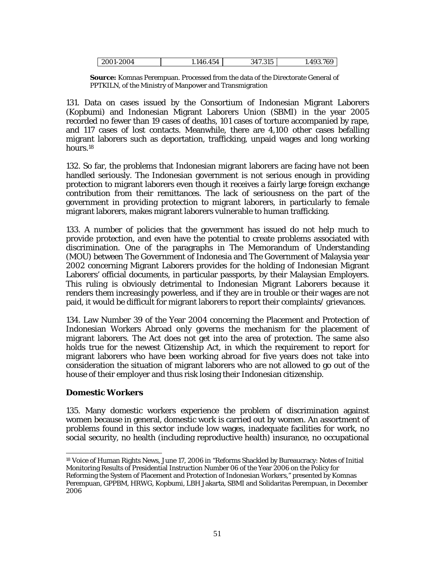| 2001-2004 | 454<br>4R | 317 315<br>11.010 | .493.769 |
|-----------|-----------|-------------------|----------|
|           |           |                   |          |

**Source:** Komnas Perempuan. Processed from the data of the Directorate General of PPTKILN, of the Ministry of Manpower and Transmigration

131. Data on cases issued by the Consortium of Indonesian Migrant Laborers (Kopbumi) and Indonesian Migrant Laborers Union (SBMI) in the year 2005 recorded no fewer than 19 cases of deaths, 101 cases of torture accompanied by rape, and 117 cases of lost contacts. Meanwhile, there are 4,100 other cases befalling migrant laborers such as deportation, trafficking, unpaid wages and long working hours.18

132. So far, the problems that Indonesian migrant laborers are facing have not been handled seriously. The Indonesian government is not serious enough in providing protection to migrant laborers even though it receives a fairly large foreign exchange contribution from their remittances. The lack of seriousness on the part of the government in providing protection to migrant laborers, in particularly to female migrant laborers, makes migrant laborers vulnerable to human trafficking.

133. A number of policies that the government has issued do not help much to provide protection, and even have the potential to create problems associated with discrimination. One of the paragraphs in The Memorandum of Understanding (MOU) between The Government of Indonesia and The Government of Malaysia year 2002 concerning Migrant Laborers provides for the holding of Indonesian Migrant Laborers' official documents, in particular passports, by their Malaysian Employers. This ruling is obviously detrimental to Indonesian Migrant Laborers because it renders them increasingly powerless, and if they are in trouble or their wages are not paid, it would be difficult for migrant laborers to report their complaints/ grievances.

134. Law Number 39 of the Year 2004 concerning the Placement and Protection of Indonesian Workers Abroad only governs the mechanism for the placement of migrant laborers. The Act does not get into the area of protection. The same also holds true for the newest Citizenship Act, in which the requirement to report for migrant laborers who have been working abroad for five years does not take into consideration the situation of migrant laborers who are not allowed to go out of the house of their employer and thus risk losing their Indonesian citizenship.

## **Domestic Workers**

135. Many domestic workers experience the problem of discrimination against women because in general, domestic work is carried out by women. An assortment of problems found in this sector include low wages, inadequate facilities for work, no social security, no health (including reproductive health) insurance, no occupational

 $\overline{a}$ 18 Voice of Human Rights News, June 17, 2006 in "Reforms Shackled by Bureaucracy: Notes of Initial Monitoring Results of Presidential Instruction Number 06 of the Year 2006 on the Policy for Reforming the System of Placement and Protection of Indonesian Workers," presented by Komnas Perempuan, GPPBM, HRWG, Kopbumi, LBH Jakarta, SBMI and Solidaritas Perempuan, in December 2006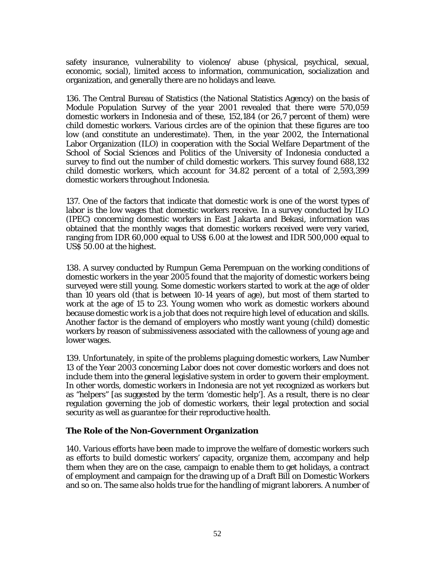safety insurance, vulnerability to violence/ abuse (physical, psychical, sexual, economic, social), limited access to information, communication, socialization and organization, and generally there are no holidays and leave.

136. The Central Bureau of Statistics (the National Statistics Agency) on the basis of Module Population Survey of the year 2001 revealed that there were 570,059 domestic workers in Indonesia and of these, 152,184 (or 26,7 percent of them) were child domestic workers. Various circles are of the opinion that these figures are too low (and constitute an underestimate). Then, in the year 2002, the International Labor Organization (ILO) in cooperation with the Social Welfare Department of the School of Social Sciences and Politics of the University of Indonesia conducted a survey to find out the number of child domestic workers. This survey found 688,132 child domestic workers, which account for 34.82 percent of a total of 2,593,399 domestic workers throughout Indonesia.

137. One of the factors that indicate that domestic work is one of the worst types of labor is the low wages that domestic workers receive. In a survey conducted by ILO (IPEC) concerning domestic workers in East Jakarta and Bekasi, information was obtained that the monthly wages that domestic workers received were very varied, ranging from IDR 60,000 equal to US\$ 6.00 at the lowest and IDR 500,000 equal to US\$ 50.00 at the highest.

138. A survey conducted by Rumpun Gema Perempuan on the working conditions of domestic workers in the year 2005 found that the majority of domestic workers being surveyed were still young. Some domestic workers started to work at the age of older than 10 years old (that is between 10-14 years of age), but most of them started to work at the age of 15 to 23. Young women who work as domestic workers abound because domestic work is a job that does not require high level of education and skills. Another factor is the demand of employers who mostly want young (child) domestic workers by reason of submissiveness associated with the callowness of young age and lower wages.

139. Unfortunately, in spite of the problems plaguing domestic workers, Law Number 13 of the Year 2003 concerning Labor does not cover domestic workers and does not include them into the general legislative system in order to govern their employment. In other words, domestic workers in Indonesia are not yet recognized as workers but as "helpers" [as suggested by the term 'domestic help']. As a result, there is no clear regulation governing the job of domestic workers, their legal protection and social security as well as guarantee for their reproductive health.

## **The Role of the Non-Government Organization**

140. Various efforts have been made to improve the welfare of domestic workers such as efforts to build domestic workers' capacity, organize them, accompany and help them when they are on the case, campaign to enable them to get holidays, a contract of employment and campaign for the drawing up of a Draft Bill on Domestic Workers and so on. The same also holds true for the handling of migrant laborers. A number of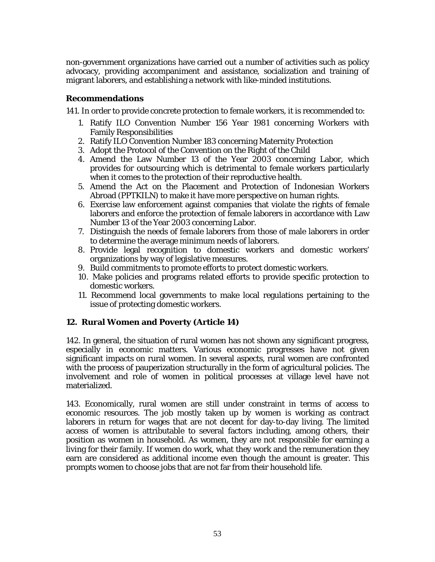non-government organizations have carried out a number of activities such as policy advocacy, providing accompaniment and assistance, socialization and training of migrant laborers, and establishing a network with like-minded institutions.

### **Recommendations**

141. In order to provide concrete protection to female workers, it is recommended to:

- 1. Ratify ILO Convention Number 156 Year 1981 concerning Workers with Family Responsibilities
- 2. Ratify ILO Convention Number 183 concerning Maternity Protection
- 3. Adopt the Protocol of the Convention on the Right of the Child
- 4. Amend the Law Number 13 of the Year 2003 concerning Labor, which provides for outsourcing which is detrimental to female workers particularly when it comes to the protection of their reproductive health.
- 5. Amend the Act on the Placement and Protection of Indonesian Workers Abroad (PPTKILN) to make it have more perspective on human rights.
- 6. Exercise law enforcement against companies that violate the rights of female laborers and enforce the protection of female laborers in accordance with Law Number 13 of the Year 2003 concerning Labor.
- 7. Distinguish the needs of female laborers from those of male laborers in order to determine the average minimum needs of laborers.
- 8. Provide legal recognition to domestic workers and domestic workers' organizations by way of legislative measures.
- 9. Build commitments to promote efforts to protect domestic workers.
- 10. Make policies and programs related efforts to provide specific protection to domestic workers.
- 11. Recommend local governments to make local regulations pertaining to the issue of protecting domestic workers.

## **12. Rural Women and Poverty (Article 14)**

142. In general, the situation of rural women has not shown any significant progress, especially in economic matters. Various economic progresses have not given significant impacts on rural women. In several aspects, rural women are confronted with the process of pauperization structurally in the form of agricultural policies. The involvement and role of women in political processes at village level have not materialized.

143. Economically, rural women are still under constraint in terms of access to economic resources. The job mostly taken up by women is working as contract laborers in return for wages that are not decent for day-to-day living. The limited access of women is attributable to several factors including, among others, their position as women in household. As women, they are not responsible for earning a living for their family. If women do work, what they work and the remuneration they earn are considered as additional income even though the amount is greater. This prompts women to choose jobs that are not far from their household life.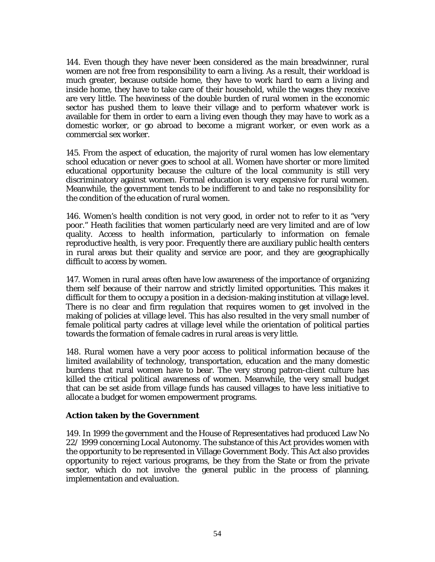144. Even though they have never been considered as the main breadwinner, rural women are not free from responsibility to earn a living. As a result, their workload is much greater, because outside home, they have to work hard to earn a living and inside home, they have to take care of their household, while the wages they receive are very little. The heaviness of the double burden of rural women in the economic sector has pushed them to leave their village and to perform whatever work is available for them in order to earn a living even though they may have to work as a domestic worker, or go abroad to become a migrant worker, or even work as a commercial sex worker.

145. From the aspect of education, the majority of rural women has low elementary school education or never goes to school at all. Women have shorter or more limited educational opportunity because the culture of the local community is still very discriminatory against women. Formal education is very expensive for rural women. Meanwhile, the government tends to be indifferent to and take no responsibility for the condition of the education of rural women.

146. Women's health condition is not very good, in order not to refer to it as "very poor." Heath facilities that women particularly need are very limited and are of low quality. Access to health information, particularly to information on female reproductive health, is very poor. Frequently there are auxiliary public health centers in rural areas but their quality and service are poor, and they are geographically difficult to access by women.

147. Women in rural areas often have low awareness of the importance of organizing them self because of their narrow and strictly limited opportunities. This makes it difficult for them to occupy a position in a decision-making institution at village level. There is no clear and firm regulation that requires women to get involved in the making of policies at village level. This has also resulted in the very small number of female political party cadres at village level while the orientation of political parties towards the formation of female cadres in rural areas is very little.

148. Rural women have a very poor access to political information because of the limited availability of technology, transportation, education and the many domestic burdens that rural women have to bear. The very strong patron-client culture has killed the critical political awareness of women. Meanwhile, the very small budget that can be set aside from village funds has caused villages to have less initiative to allocate a budget for women empowerment programs.

## **Action taken by the Government**

149. In 1999 the government and the House of Representatives had produced Law No 22/ 1999 concerning Local Autonomy. The substance of this Act provides women with the opportunity to be represented in Village Government Body. This Act also provides opportunity to reject various programs, be they from the State or from the private sector, which do not involve the general public in the process of planning, implementation and evaluation.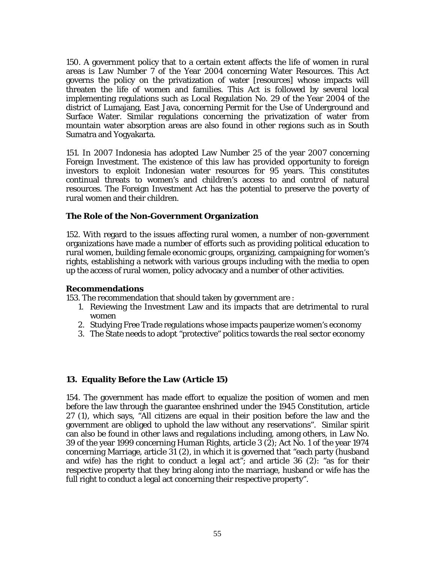150. A government policy that to a certain extent affects the life of women in rural areas is Law Number 7 of the Year 2004 concerning Water Resources. This Act governs the policy on the privatization of water [resources] whose impacts will threaten the life of women and families. This Act is followed by several local implementing regulations such as Local Regulation No. 29 of the Year 2004 of the district of Lumajang, East Java, concerning Permit for the Use of Underground and Surface Water. Similar regulations concerning the privatization of water from mountain water absorption areas are also found in other regions such as in South Sumatra and Yogyakarta.

151. In 2007 Indonesia has adopted Law Number 25 of the year 2007 concerning Foreign Investment. The existence of this law has provided opportunity to foreign investors to exploit Indonesian water resources for 95 years. This constitutes continual threats to women's and children's access to and control of natural resources. The Foreign Investment Act has the potential to preserve the poverty of rural women and their children.

#### **The Role of the Non-Government Organization**

152. With regard to the issues affecting rural women, a number of non-government organizations have made a number of efforts such as providing political education to rural women, building female economic groups, organizing, campaigning for women's rights, establishing a network with various groups including with the media to open up the access of rural women, policy advocacy and a number of other activities.

#### **Recommendations**

153. The recommendation that should taken by government are :

- 1. Reviewing the Investment Law and its impacts that are detrimental to rural women
- 2. Studying Free Trade regulations whose impacts pauperize women's economy
- 3. The State needs to adopt "protective" politics towards the real sector economy

#### **13. Equality Before the Law (Article 15)**

154. The government has made effort to equalize the position of women and men before the law through the guarantee enshrined under the 1945 Constitution, article 27 (1), which says, "All citizens are equal in their position before the law and the government are obliged to uphold the law without any reservations". Similar spirit can also be found in other laws and regulations including, among others, in Law No. 39 of the year 1999 concerning Human Rights, article 3 (2); Act No. 1 of the year 1974 concerning Marriage, article 31 (2), in which it is governed that "each party (husband and wife) has the right to conduct a legal act"; and article  $36$  (2): "as for their respective property that they bring along into the marriage, husband or wife has the full right to conduct a legal act concerning their respective property".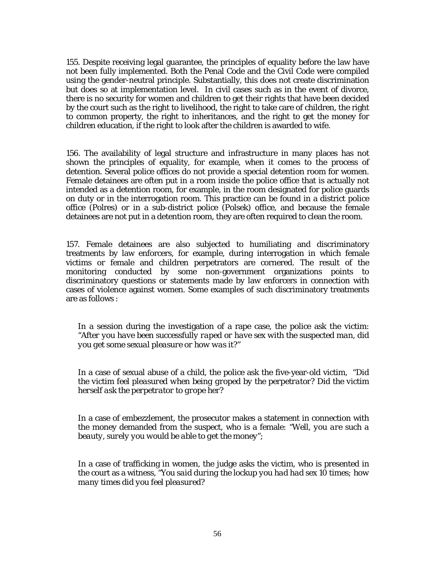155. Despite receiving legal guarantee, the principles of equality before the law have not been fully implemented. Both the Penal Code and the Civil Code were compiled using the gender-neutral principle. Substantially, this does not create discrimination but does so at implementation level. In civil cases such as in the event of divorce, there is no security for women and children to get their rights that have been decided by the court such as the right to livelihood, the right to take care of children, the right to common property, the right to inheritances, and the right to get the money for children education, if the right to look after the children is awarded to wife.

156. The availability of legal structure and infrastructure in many places has not shown the principles of equality, for example, when it comes to the process of detention. Several police offices do not provide a special detention room for women. Female detainees are often put in a room inside the police office that is actually not intended as a detention room, for example, in the room designated for police guards on duty or in the interrogation room. This practice can be found in a district police office (Polres) or in a sub-district police (Polsek) office, and because the female detainees are not put in a detention room, they are often required to clean the room.

157. Female detainees are also subjected to humiliating and discriminatory treatments by law enforcers, for example, during interrogation in which female victims or female and children perpetrators are cornered. The result of the monitoring conducted by some non-government organizations points to discriminatory questions or statements made by law enforcers in connection with cases of violence against women. Some examples of such discriminatory treatments are as follows :

In a session during the investigation of a rape case, the police ask the victim: *"After you have been successfully raped or have sex with the suspected man, did you get some sexual pleasure or how was it?"* 

In a case of sexual abuse of a child, the police ask the five-year-old victim, "*Did the victim feel pleasured when being groped by the perpetrator? Did the victim herself ask the perpetrator to grope her?* 

In a case of embezzlement, the prosecutor makes a statement in connection with the money demanded from the suspect, who is a female: *"Well, you are such a beauty, surely you would be able to get the money";* 

In a case of trafficking in women, the judge asks the victim, who is presented in the court as a witness, *"You said during the lockup you had had sex 10 times; how many times did you feel pleasured?*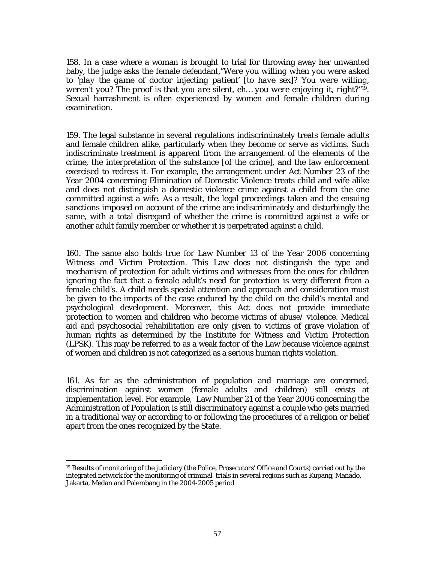158. In a case where a woman is brought to trial for throwing away her unwanted baby, the judge asks the female defendant,*"Were you willing when you were asked to 'play the game of doctor injecting patient' [to have sex]? You were willing, weren't you? The proof is that you are silent, eh… you were enjoying it, right?"19*. Sexual harrashment is often experienced by women and female children during examination.

159. The legal substance in several regulations indiscriminately treats female adults and female children alike, particularly when they become or serve as victims. Such indiscriminate treatment is apparent from the arrangement of the elements of the crime, the interpretation of the substance [of the crime], and the law enforcement exercised to redress it. For example, the arrangement under Act Number 23 of the Year 2004 concerning Elimination of Domestic Violence treats child and wife alike and does not distinguish a domestic violence crime against a child from the one committed against a wife. As a result, the legal proceedings taken and the ensuing sanctions imposed on account of the crime are indiscriminately and disturbingly the same, with a total disregard of whether the crime is committed against a wife or another adult family member or whether it is perpetrated against a child.

160. The same also holds true for Law Number 13 of the Year 2006 concerning Witness and Victim Protection. This Law does not distinguish the type and mechanism of protection for adult victims and witnesses from the ones for children ignoring the fact that a female adult's need for protection is very different from a female child's. A child needs special attention and approach and consideration must be given to the impacts of the case endured by the child on the child's mental and psychological development. Moreover, this Act does not provide immediate protection to women and children who become victims of abuse/ violence. Medical aid and psychosocial rehabilitation are only given to victims of grave violation of human rights as determined by the Institute for Witness and Victim Protection (LPSK). This may be referred to as a weak factor of the Law because violence against of women and children is not categorized as a serious human rights violation.

161. As far as the administration of population and marriage are concerned, discrimination against women (female adults and children) still exists at implementation level. For example, Law Number 21 of the Year 2006 concerning the Administration of Population is still discriminatory against a couple who gets married in a traditional way or according to or following the procedures of a religion or belief apart from the ones recognized by the State.

 $\overline{a}$ 

<sup>19</sup> Results of monitoring of the judiciary (the Police, Prosecutors' Office and Courts) carried out by the integrated network for the monitoring of criminal trials in several regions such as Kupang, Manado, Jakarta, Medan and Palembang in the 2004-2005 period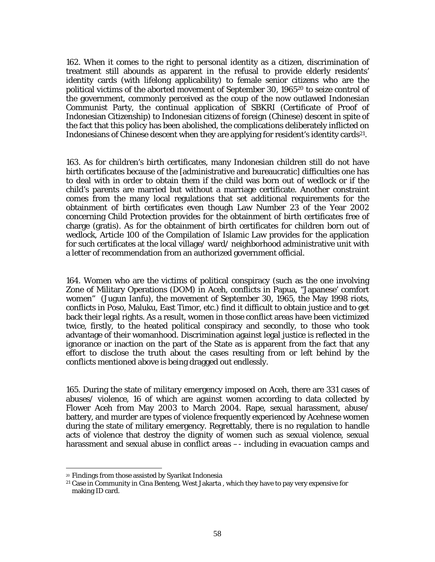162. When it comes to the right to personal identity as a citizen, discrimination of treatment still abounds as apparent in the refusal to provide elderly residents' identity cards (with lifelong applicability) to female senior citizens who are the political victims of the aborted movement of September 30, 196520 to seize control of the government, commonly perceived as the coup of the now outlawed Indonesian Communist Party, the continual application of SBKRI (Certificate of Proof of Indonesian Citizenship) to Indonesian citizens of foreign (Chinese) descent in spite of the fact that this policy has been abolished, the complications deliberately inflicted on Indonesians of Chinese descent when they are applying for resident's identity cards21.

163. As for children's birth certificates, many Indonesian children still do not have birth certificates because of the [administrative and bureaucratic] difficulties one has to deal with in order to obtain them if the child was born out of wedlock or if the child's parents are married but without a marriage certificate. Another constraint comes from the many local regulations that set additional requirements for the obtainment of birth certificates even though Law Number 23 of the Year 2002 concerning Child Protection provides for the obtainment of birth certificates free of charge (gratis). As for the obtainment of birth certificates for children born out of wedlock, Article 100 of the Compilation of Islamic Law provides for the application for such certificates at the local village/ ward/ neighborhood administrative unit with a letter of recommendation from an authorized government official.

164. Women who are the victims of political conspiracy (such as the one involving Zone of Military Operations (DOM) in Aceh, conflicts in Papua, "Japanese' comfort women" (Jugun Ianfu), the movement of September 30, 1965, the May 1998 riots, conflicts in Poso, Maluku, East Timor, etc.) find it difficult to obtain justice and to get back their legal rights. As a result, women in those conflict areas have been victimized twice, firstly, to the heated political conspiracy and secondly, to those who took advantage of their womanhood. Discrimination against legal justice is reflected in the ignorance or inaction on the part of the State as is apparent from the fact that any effort to disclose the truth about the cases resulting from or left behind by the conflicts mentioned above is being dragged out endlessly.

165. During the state of military emergency imposed on Aceh, there are 331 cases of abuses/ violence, 16 of which are against women according to data collected by Flower Aceh from May 2003 to March 2004. Rape, sexual harassment, abuse/ battery, and murder are types of violence frequently experienced by Acehnese women during the state of military emergency. Regrettably, there is no regulation to handle acts of violence that destroy the dignity of women such as sexual violence, sexual harassment and sexual abuse in conflict areas –- including in evacuation camps and

l

<sup>20</sup> Findings from those assisted by Syarikat Indonesia

<sup>21</sup> Case in Community in Cina Benteng, West Jakarta , which they have to pay very expensive for making ID card.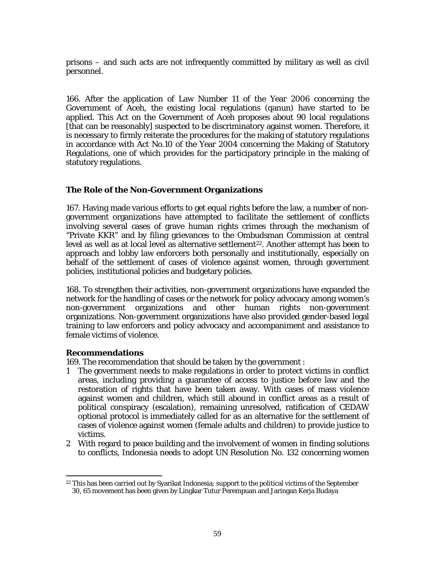prisons – and such acts are not infrequently committed by military as well as civil personnel.

166. After the application of Law Number 11 of the Year 2006 concerning the Government of Aceh, the existing local regulations (qanun) have started to be applied. This Act on the Government of Aceh proposes about 90 local regulations [that can be reasonably] suspected to be discriminatory against women. Therefore, it is necessary to firmly reiterate the procedures for the making of statutory regulations in accordance with Act No.10 of the Year 2004 concerning the Making of Statutory Regulations, one of which provides for the participatory principle in the making of statutory regulations.

## **The Role of the Non-Government Organizations**

167. Having made various efforts to get equal rights before the law, a number of nongovernment organizations have attempted to facilitate the settlement of conflicts involving several cases of grave human rights crimes through the mechanism of "Private KKR" and by filing grievances to the Ombudsman Commission at central level as well as at local level as alternative settlement<sup>22</sup>. Another attempt has been to approach and lobby law enforcers both personally and institutionally, especially on behalf of the settlement of cases of violence against women, through government policies, institutional policies and budgetary policies.

168. To strengthen their activities, non-government organizations have expanded the network for the handling of cases or the network for policy advocacy among women's non-government organizations and other human rights non-government organizations. Non-government organizations have also provided gender-based legal training to law enforcers and policy advocacy and accompaniment and assistance to female victims of violence.

## **Recommendations**

169. The recommendation that should be taken by the government :

- 1 The government needs to make regulations in order to protect victims in conflict areas, including providing a guarantee of access to justice before law and the restoration of rights that have been taken away. With cases of mass violence against women and children, which still abound in conflict areas as a result of political conspiracy (escalation), remaining unresolved, ratification of CEDAW optional protocol is immediately called for as an alternative for the settlement of cases of violence against women (female adults and children) to provide justice to victims.
- 2 With regard to peace building and the involvement of women in finding solutions to conflicts, Indonesia needs to adopt UN Resolution No. 132 concerning women

<sup>&</sup>lt;sup>22</sup> This has been carried out by Syarikat Indonesia; support to the political victims of the September 30, 65 movement has been given by Lingkar Tutur Perempuan and Jaringan Kerja Budaya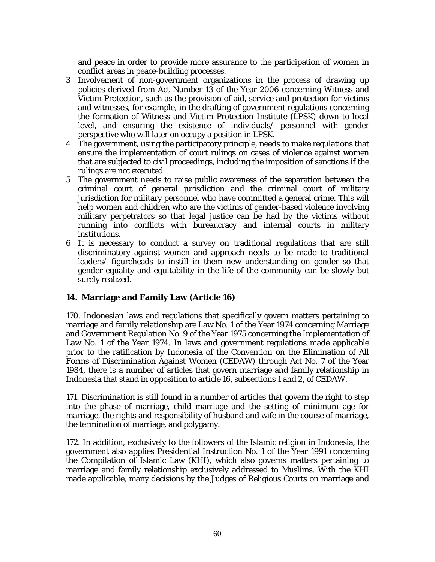and peace in order to provide more assurance to the participation of women in conflict areas in peace-building processes.

- 3 Involvement of non-government organizations in the process of drawing up policies derived from Act Number 13 of the Year 2006 concerning Witness and Victim Protection, such as the provision of aid, service and protection for victims and witnesses, for example, in the drafting of government regulations concerning the formation of Witness and Victim Protection Institute (LPSK) down to local level, and ensuring the existence of individuals/ personnel with gender perspective who will later on occupy a position in LPSK.
- 4 The government, using the participatory principle, needs to make regulations that ensure the implementation of court rulings on cases of violence against women that are subjected to civil proceedings, including the imposition of sanctions if the rulings are not executed.
- 5 The government needs to raise public awareness of the separation between the criminal court of general jurisdiction and the criminal court of military jurisdiction for military personnel who have committed a general crime. This will help women and children who are the victims of gender-based violence involving military perpetrators so that legal justice can be had by the victims without running into conflicts with bureaucracy and internal courts in military institutions.
- 6 It is necessary to conduct a survey on traditional regulations that are still discriminatory against women and approach needs to be made to traditional leaders/ figureheads to instill in them new understanding on gender so that gender equality and equitability in the life of the community can be slowly but surely realized.

## **14. Marriage and Family Law (Article 16)**

170. Indonesian laws and regulations that specifically govern matters pertaining to marriage and family relationship are Law No. 1 of the Year 1974 concerning Marriage and Government Regulation No. 9 of the Year 1975 concerning the Implementation of Law No. 1 of the Year 1974. In laws and government regulations made applicable prior to the ratification by Indonesia of the Convention on the Elimination of All Forms of Discrimination Against Women (CEDAW) through Act No. 7 of the Year 1984, there is a number of articles that govern marriage and family relationship in Indonesia that stand in opposition to article 16, subsections 1 and 2, of CEDAW.

171. Discrimination is still found in a number of articles that govern the right to step into the phase of marriage, child marriage and the setting of minimum age for marriage, the rights and responsibility of husband and wife in the course of marriage, the termination of marriage, and polygamy.

172. In addition, exclusively to the followers of the Islamic religion in Indonesia, the government also applies Presidential Instruction No. 1 of the Year 1991 concerning the Compilation of Islamic Law (KHI), which also governs matters pertaining to marriage and family relationship exclusively addressed to Muslims. With the KHI made applicable, many decisions by the Judges of Religious Courts on marriage and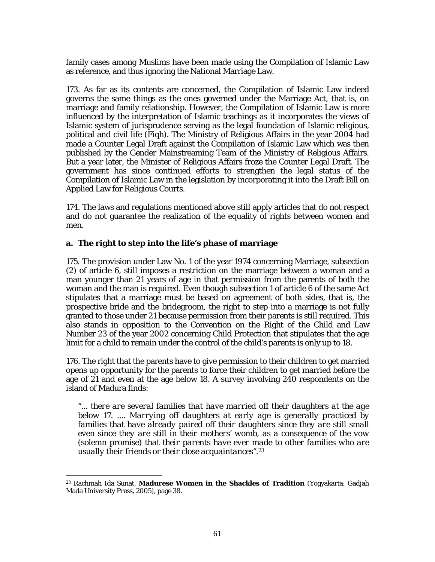family cases among Muslims have been made using the Compilation of Islamic Law as reference, and thus ignoring the National Marriage Law.

173. As far as its contents are concerned, the Compilation of Islamic Law indeed governs the same things as the ones governed under the Marriage Act, that is, on marriage and family relationship. However, the Compilation of Islamic Law is more influenced by the interpretation of Islamic teachings as it incorporates the views of Islamic system of jurisprudence serving as the legal foundation of Islamic religious, political and civil life (*Fiqh*). The Ministry of Religious Affairs in the year 2004 had made a Counter Legal Draft against the Compilation of Islamic Law which was then published by the Gender Mainstreaming Team of the Ministry of Religious Affairs. But a year later, the Minister of Religious Affairs froze the Counter Legal Draft. The government has since continued efforts to strengthen the legal status of the Compilation of Islamic Law in the legislation by incorporating it into the Draft Bill on Applied Law for Religious Courts.

174. The laws and regulations mentioned above still apply articles that do not respect and do not guarantee the realization of the equality of rights between women and men.

## **a. The right to step into the life's phase of marriage**

175. The provision under Law No. 1 of the year 1974 concerning Marriage, subsection (2) of article 6, still imposes a restriction on the marriage between a woman and a man younger than 21 years of age in that permission from the parents of both the woman and the man is required. Even though subsection 1 of article 6 of the same Act stipulates that a marriage must be based on agreement of both sides, that is, the prospective bride and the bridegroom, the right to step into a marriage is not fully granted to those under 21 because permission from their parents is still required. This also stands in opposition to the Convention on the Right of the Child and Law Number 23 of the year 2002 concerning Child Protection that stipulates that the age limit for a child to remain under the control of the child's parents is only up to 18.

176. The right that the parents have to give permission to their children to get married opens up opportunity for the parents to force their children to get married before the age of 21 and even at the age below 18. A survey involving 240 respondents on the island of Madura finds:

*"... there are several families that have married off their daughters at the age below 17. .... Marrying off daughters at early age is generally practiced by*  families that have already paired off their daughters since they are still small *even since they are still in their mothers' womb, as a consequence of the vow (solemn promise) that their parents have ever made to other families who are usually their friends or their close acquaintances"*.23

<sup>23</sup> Rachmah Ida Sunat, **Madurese Women in the Shackles of Tradition** (Yogyakarta: Gadjah Mada University Press, 2005), page 38.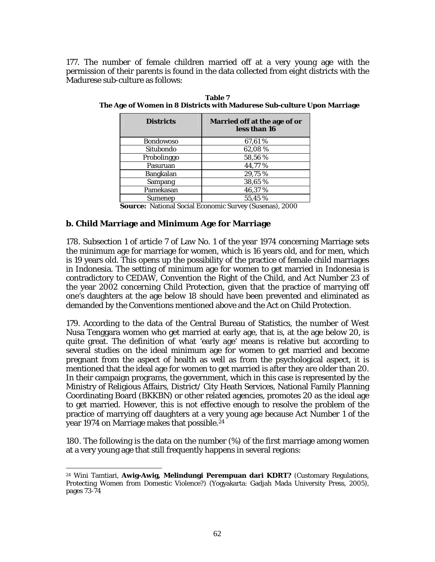177. The number of female children married off at a very young age with the permission of their parents is found in the data collected from eight districts with the Madurese sub-culture as follows:

| <b>Districts</b> | Married off at the age of or<br>less than 16 |
|------------------|----------------------------------------------|
| <b>Bondowoso</b> | 67,61%                                       |
| Situbondo        | 62,08%                                       |
| Probolinggo      | 58,56 %                                      |
| Pasuruan         | 44,77%                                       |
| Bangkalan        | 29,75%                                       |
| Sampang          | 38,65%                                       |
| Pamekasan        | 46,37%                                       |
| Sumenep          | 55.45 %                                      |

**Table 7 The Age of Women in 8 Districts with Madurese Sub-culture Upon Marriage** 

**Source:** National Social Economic Survey (Susenas), 2000

## **b. Child Marriage and Minimum Age for Marriage**

178. Subsection 1 of article 7 of Law No. 1 of the year 1974 concerning Marriage sets the minimum age for marriage for women, which is 16 years old, and for men, which is 19 years old. This opens up the possibility of the practice of female child marriages in Indonesia. The setting of minimum age for women to get married in Indonesia is contradictory to CEDAW, Convention the Right of the Child, and Act Number 23 of the year 2002 concerning Child Protection, given that the practice of marrying off one's daughters at the age below 18 should have been prevented and eliminated as demanded by the Conventions mentioned above and the Act on Child Protection.

179. According to the data of the Central Bureau of Statistics, the number of West Nusa Tenggara women who get married at early age, that is, at the age below 20, is quite great. The definition of what 'early age' means is relative but according to several studies on the ideal minimum age for women to get married and become pregnant from the aspect of health as well as from the psychological aspect, it is mentioned that the ideal age for women to get married is after they are older than 20. In their campaign programs, the government, which in this case is represented by the Ministry of Religious Affairs, District/ City Heath Services, National Family Planning Coordinating Board (BKKBN) or other related agencies, promotes 20 as the ideal age to get married. However, this is not effective enough to resolve the problem of the practice of marrying off daughters at a very young age because Act Number 1 of the year 1974 on Marriage makes that possible.24

180. The following is the data on the number (%) of the first marriage among women at a very young age that still frequently happens in several regions:

l 24 Wini Tamtiari, **Awig-Awig, Melindungi Perempuan dari KDRT?** (Customary Regulations, Protecting Women from Domestic Violence?) (Yogyakarta: Gadjah Mada University Press, 2005), pages 73-74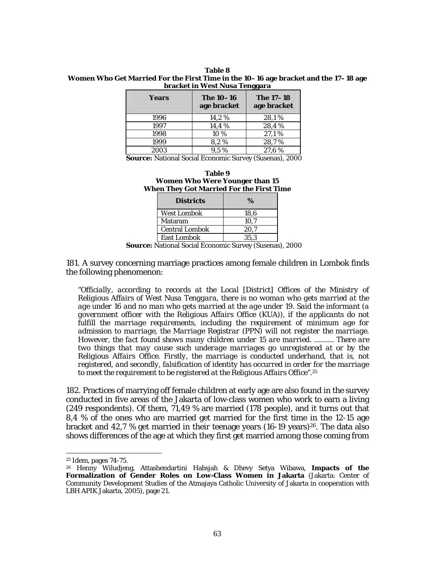| Table 8                                                                             |
|-------------------------------------------------------------------------------------|
| Women Who Get Married For the First Time in the 10–16 age bracket and the 17–18 age |
| bracket in West Nusa Tenggara                                                       |

| Years | The 10–16<br>age bracket | <b>The 17-18</b><br>age bracket |
|-------|--------------------------|---------------------------------|
| 1996  | 14,2%                    | 28,1%                           |
| 1997  | 14,4 %                   | 28,4%                           |
| 1998  | 10 %                     | 27,1%                           |
| 1999  | 8.2%                     | 28,7%                           |
| 2003  | $9.5\%$                  | 27.6%                           |

**Source:** National Social Economic Survey (Susenas), 2000

| Table 9                                         |
|-------------------------------------------------|
| <b>Women Who Were Younger than 15</b>           |
| <b>When They Got Married For the First Time</b> |

| <b>Districts</b>      | $\%$ |
|-----------------------|------|
| <b>West Lombok</b>    | 18.6 |
| Mataram               | 10.7 |
| <b>Central Lombok</b> | 20.7 |
| <b>East Lombok</b>    | 35.3 |

**Source:** National Social Economic Survey (Susenas), 2000

181. A survey concerning marriage practices among female children in Lombok finds the following phenomenon:

*"Officially, according to records at the Local [District] Offices of the Ministry of Religious Affairs of West Nusa Tenggara, there is no woman who gets married at the age under 16 and no man who gets married at the age under 19. Said the informant (a government officer with the Religious Affairs Office (KUA)), if the applicants do not fulfill the marriage requirements, including the requirement of minimum age for admission to marriage, the Marriage Registrar (PPN) will not register the marriage. However, the fact found shows many children under 15 are married. .......... There are two things that may cause such underage marriages go unregistered at or by the Religious Affairs Office. Firstly, the marriage is conducted underhand, that is, not registered, and secondly, falsification of identity has occurred in order for the marriage to meet the requirement to be registered at the Religious Affairs Office".*25

182. Practices of marrying off female children at early age are also found in the survey conducted in five areas of the Jakarta of low-class women who work to earn a living (249 respondents). Of them, 71,49 % are married (178 people), and it turns out that 8,4 % of the ones who are married get married for the first time in the 12-15 age bracket and 42,7 % get married in their teenage years  $(16-19 \text{ years})^{26}$ . The data also shows differences of the age at which they first get married among those coming from

 $\overline{a}$ 

<sup>25</sup> Idem, pages 74-75.

<sup>26</sup> Henny Wiludjeng, Attashendartini Habsjah & Dhevy Setya Wibawa, **Impacts of the Formalization of Gender Roles on Low-Class Women in Jakarta** (Jakarta: Center of Community Development Studies of the Atmajaya Catholic University of Jakarta in cooperation with LBH APIK Jakarta, 2005), page 21.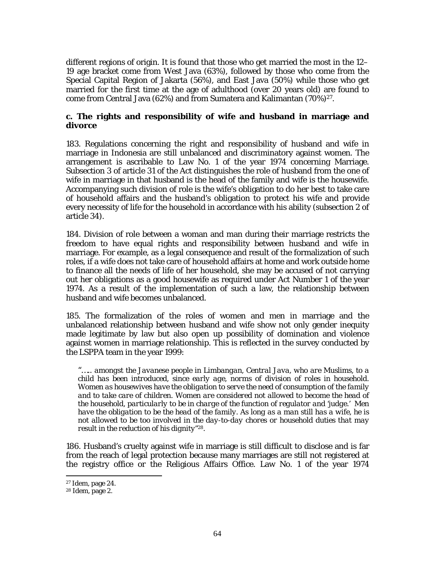different regions of origin. It is found that those who get married the most in the 12– 19 age bracket come from West Java (63%), followed by those who come from the Special Capital Region of Jakarta (56%), and East Java (50%) while those who get married for the first time at the age of adulthood (over 20 years old) are found to come from Central Java (62%) and from Sumatera and Kalimantan (70%)27.

### **c. The rights and responsibility of wife and husband in marriage and divorce**

183. Regulations concerning the right and responsibility of husband and wife in marriage in Indonesia are still unbalanced and discriminatory against women. The arrangement is ascribable to Law No. 1 of the year 1974 concerning Marriage. Subsection 3 of article 31 of the Act distinguishes the role of husband from the one of wife in marriage in that husband is the head of the family and wife is the housewife. Accompanying such division of role is the wife's obligation to do her best to take care of household affairs and the husband's obligation to protect his wife and provide every necessity of life for the household in accordance with his ability (subsection 2 of article 34).

184. Division of role between a woman and man during their marriage restricts the freedom to have equal rights and responsibility between husband and wife in marriage. For example, as a legal consequence and result of the formalization of such roles, if a wife does not take care of household affairs at home and work outside home to finance all the needs of life of her household, she may be accused of not carrying out her obligations as a good housewife as required under Act Number 1 of the year 1974. As a result of the implementation of such a law, the relationship between husband and wife becomes unbalanced.

185. The formalization of the roles of women and men in marriage and the unbalanced relationship between husband and wife show not only gender inequity made legitimate by law but also open up possibility of domination and violence against women in marriage relationship. This is reflected in the survey conducted by the LSPPA team in the year 1999:

*"….. amongst the Javanese people in Limbangan, Central Java, who are Muslims, to a child has been introduced, since early age, norms of division of roles in household. Women as housewives have the obligation to serve the need of consumption of the family and to take care of children. Women are considered not allowed to become the head of the household, particularly to be in charge of the function of regulator and 'judge.' Men have the obligation to be the head of the family. As long as a man still has a wife, he is not allowed to be too involved in the day-to-day chores or household duties that may result in the reduction of his dignity"*28.

186. Husband's cruelty against wife in marriage is still difficult to disclose and is far from the reach of legal protection because many marriages are still not registered at the registry office or the Religious Affairs Office. Law No. 1 of the year 1974

<sup>27</sup> Idem, page 24.

<sup>28</sup> Idem, page 2.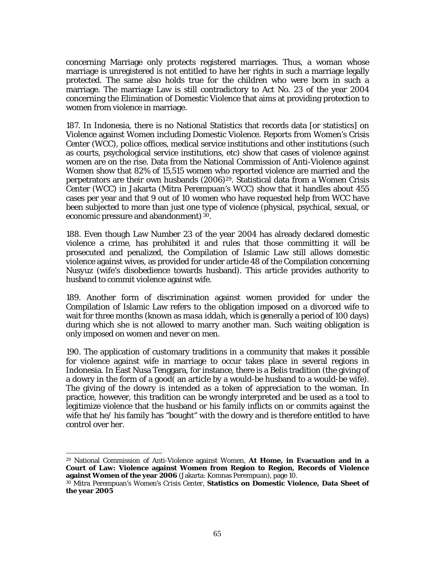concerning Marriage only protects registered marriages. Thus, a woman whose marriage is unregistered is not entitled to have her rights in such a marriage legally protected. The same also holds true for the children who were born in such a marriage. The marriage Law is still contradictory to Act No. 23 of the year 2004 concerning the Elimination of Domestic Violence that aims at providing protection to women from violence in marriage.

187. In Indonesia, there is no National Statistics that records data [or statistics] on Violence against Women including Domestic Violence. Reports from Women's Crisis Center (WCC), police offices, medical service institutions and other institutions (such as courts, psychological service institutions, etc) show that cases of violence against women are on the rise. Data from the National Commission of Anti-Violence against Women show that 82% of 15,515 women who reported violence are married and the perpetrators are their own husbands  $(2006)^{29}$ . Statistical data from a Women Crisis Center (*WCC*) in Jakarta (Mitra Perempuan's WCC) show that it handles about 455 cases per year and that 9 out of 10 women who have requested help from *WCC* have been subjected to more than just one type of violence (physical, psychical, sexual, or economic pressure and abandonment) 30.

188. Even though Law Number 23 of the year 2004 has already declared domestic violence a crime, has prohibited it and rules that those committing it will be prosecuted and penalized, the Compilation of Islamic Law still allows domestic violence against wives, as provided for under article 48 of the Compilation concerning *Nusyuz* (wife's disobedience towards husband). This article provides authority to husband to commit violence against wife.

189. Another form of discrimination against women provided for under the Compilation of Islamic Law refers to the obligation imposed on a divorced wife to wait for three months (known as *masa iddah*, which is generally a period of 100 days) during which she is not allowed to marry another man. Such waiting obligation is only imposed on women and never on men.

190. The application of customary traditions in a community that makes it possible for violence against wife in marriage to occur takes place in several regions in Indonesia. In East Nusa Tenggara, for instance, there is a Belis tradition (the giving of a dowry in the form of a good( an article by a would-be husband to a would-be wife). The giving of the dowry is intended as a token of appreciation to the woman. In practice, however, this tradition can be wrongly interpreted and be used as a tool to legitimize violence that the husband or his family inflicts on or commits against the wife that he/ his family has "bought" with the dowry and is therefore entitled to have control over her.

 $\overline{a}$ 

<sup>29</sup> National Commission of Anti-Violence against Women, **At Home, in Evacuation and in a Court of Law: Violence against Women from Region to Region, Records of Violence against Women of the year 2006** (Jakarta: Komnas Perempuan), page 10.

<sup>30</sup> Mitra Perempuan's *Women's Crisis Center*, **Statistics on Domestic Violence, Data Sheet of the year 2005**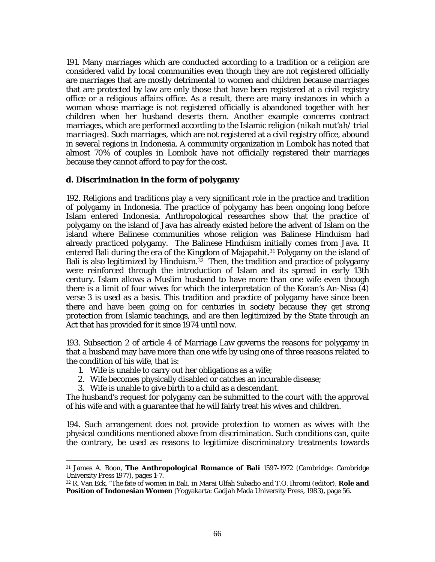191. Many marriages which are conducted according to a tradition or a religion are considered valid by local communities even though they are not registered officially are marriages that are mostly detrimental to women and children because marriages that are protected by law are only those that have been registered at a civil registry office or a religious affairs office. As a result, there are many instances in which a woman whose marriage is not registered officially is abandoned together with her children when her husband deserts them. Another example concerns contract marriages, which are performed according to the Islamic religion (*nikah mut'ah/ trial marriages*). Such marriages, which are not registered at a civil registry office, abound in several regions in Indonesia. A community organization in Lombok has noted that almost 70% of couples in Lombok have not officially registered their marriages because they cannot afford to pay for the cost.

## **d. Discrimination in the form of polygamy**

192. Religions and traditions play a very significant role in the practice and tradition of polygamy in Indonesia. The practice of polygamy has been ongoing long before Islam entered Indonesia. Anthropological researches show that the practice of polygamy on the island of Java has already existed before the advent of Islam on the island where Balinese communities whose religion was Balinese Hinduism had already practiced polygamy. The Balinese Hinduism initially comes from Java. It entered Bali during the era of the Kingdom of Majapahit.31 Polygamy on the island of Bali is also legitimized by Hinduism.32 Then, the tradition and practice of polygamy were reinforced through the introduction of Islam and its spread in early 13th century. Islam allows a Muslim husband to have more than one wife even though there is a limit of four wives for which the interpretation of the Koran's An-Nisa (4) verse 3 is used as a basis. This tradition and practice of polygamy have since been there and have been going on for centuries in society because they get strong protection from Islamic teachings, and are then legitimized by the State through an Act that has provided for it since 1974 until now.

193. Subsection 2 of article 4 of Marriage Law governs the reasons for polygamy in that a husband may have more than one wife by using one of three reasons related to the condition of his wife, that is:

1. Wife is unable to carry out her obligations as a wife;

l

- 2. Wife becomes physically disabled or catches an incurable disease;
- 3. Wife is unable to give birth to a child as a descendant.

The husband's request for polygamy can be submitted to the court with the approval of his wife and with a guarantee that he will fairly treat his wives and children.

194. Such arrangement does not provide protection to women as wives with the physical conditions mentioned above from discrimination. Such conditions can, quite the contrary, be used as reasons to legitimize discriminatory treatments towards

<sup>31</sup> James A. Boon, **The Anthropological Romance of Bali** 1597-1972 (Cambridge: Cambridge University Press 1977), pages 1-7.

<sup>32</sup> R. Van Eck, "The fate of women in Bali, in Marai Ulfah Subadio and T.O. Ihromi (editor), **Role and Position of Indonesian Women** (Yogyakarta: Gadjah Mada University Press, 1983), page 56.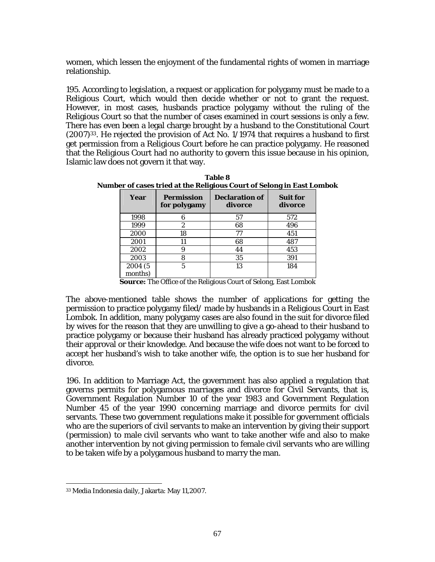women, which lessen the enjoyment of the fundamental rights of women in marriage relationship.

195. According to legislation, a request or application for polygamy must be made to a Religious Court, which would then decide whether or not to grant the request. However, in most cases, husbands practice polygamy without the ruling of the Religious Court so that the number of cases examined in court sessions is only a few. There has even been a legal charge brought by a husband to the Constitutional Court  $(2007)^{33}$ . He rejected the provision of Act No. 1/1974 that requires a husband to first get permission from a Religious Court before he can practice polygamy. He reasoned that the Religious Court had no authority to govern this issue because in his opinion, Islamic law does not govern it that way.

| Year               | <b>Permission</b><br>for polygamy | <b>Declaration of</b><br>divorce | <b>Suit for</b><br>divorce |
|--------------------|-----------------------------------|----------------------------------|----------------------------|
| 1998               | հ                                 | 57                               | 572                        |
| 1999               | 2                                 | 68                               | 496                        |
| 2000               | 18                                | 77                               | 451                        |
| 2001               | 11                                | 68                               | 487                        |
| 2002               | 9                                 | 44                               | 453                        |
| 2003               | 8                                 | 35                               | 391                        |
| 2004 (5<br>months) | 5                                 | 13                               | 184                        |

**Table 8 Number of cases tried at the Religious Court of Selong in East Lombok** 

**Source:** The Office of the Religious Court of Selong, East Lombok

The above-mentioned table shows the number of applications for getting the permission to practice polygamy filed/ made by husbands in a Religious Court in East Lombok. In addition, many polygamy cases are also found in the suit for divorce filed by wives for the reason that they are unwilling to give a go-ahead to their husband to practice polygamy or because their husband has already practiced polygamy without their approval or their knowledge. And because the wife does not want to be forced to accept her husband's wish to take another wife, the option is to sue her husband for divorce.

196. In addition to Marriage Act, the government has also applied a regulation that governs permits for polygamous marriages and divorce for Civil Servants, that is, Government Regulation Number 10 of the year 1983 and Government Regulation Number 45 of the year 1990 concerning marriage and divorce permits for civil servants. These two government regulations make it possible for government officials who are the superiors of civil servants to make an intervention by giving their support (permission) to male civil servants who want to take another wife and also to make another intervention by not giving permission to female civil servants who are willing to be taken wife by a polygamous husband to marry the man.

l

<sup>33</sup> Media Indonesia daily, Jakarta: May 11,2007.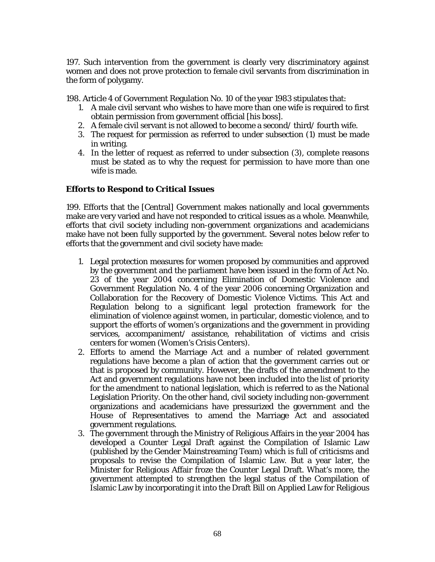197. Such intervention from the government is clearly very discriminatory against women and does not prove protection to female civil servants from discrimination in the form of polygamy.

198. Article 4 of Government Regulation No. 10 of the year 1983 stipulates that:

- 1. A male civil servant who wishes to have more than one wife is required to first obtain permission from government official [his boss].
- 2. A female civil servant is not allowed to become a second/ third/ fourth wife.
- 3. The request for permission as referred to under subsection (1) must be made in writing.
- 4. In the letter of request as referred to under subsection (3), complete reasons must be stated as to why the request for permission to have more than one wife is made.

#### **Efforts to Respond to Critical Issues**

199. Efforts that the [Central] Government makes nationally and local governments make are very varied and have not responded to critical issues as a whole. Meanwhile, efforts that civil society including non-government organizations and academicians make have not been fully supported by the government. Several notes below refer to efforts that the government and civil society have made:

- 1. Legal protection measures for women proposed by communities and approved by the government and the parliament have been issued in the form of Act No. 23 of the year 2004 concerning Elimination of Domestic Violence and Government Regulation No. 4 of the year 2006 concerning Organization and Collaboration for the Recovery of Domestic Violence Victims. This Act and Regulation belong to a significant legal protection framework for the elimination of violence against women, in particular, domestic violence, and to support the efforts of women's organizations and the government in providing services, accompaniment/ assistance, rehabilitation of victims and crisis centers for women (Women's Crisis Centers).
- 2. Efforts to amend the Marriage Act and a number of related government regulations have become a plan of action that the government carries out or that is proposed by community. However, the drafts of the amendment to the Act and government regulations have not been included into the list of priority for the amendment to national legislation, which is referred to as the National Legislation Priority. On the other hand, civil society including non-government organizations and academicians have pressurized the government and the House of Representatives to amend the Marriage Act and associated government regulations.
- 3. The government through the Ministry of Religious Affairs in the year 2004 has developed a Counter Legal Draft against the Compilation of Islamic Law (published by the Gender Mainstreaming Team) which is full of criticisms and proposals to revise the Compilation of Islamic Law. But a year later, the Minister for Religious Affair froze the Counter Legal Draft. What's more, the government attempted to strengthen the legal status of the Compilation of Islamic Law by incorporating it into the Draft Bill on Applied Law for Religious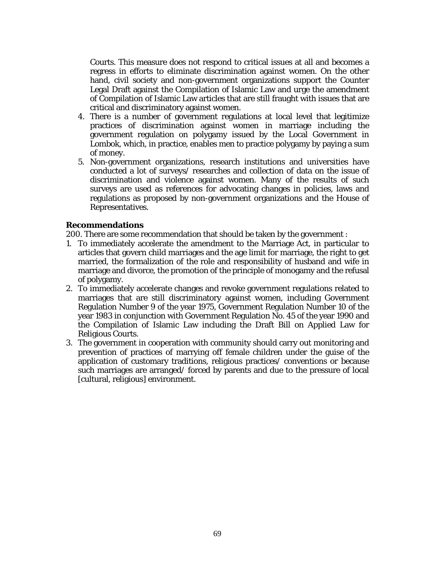Courts. This measure does not respond to critical issues at all and becomes a regress in efforts to eliminate discrimination against women. On the other hand, civil society and non-government organizations support the Counter Legal Draft against the Compilation of Islamic Law and urge the amendment of Compilation of Islamic Law articles that are still fraught with issues that are critical and discriminatory against women.

- 4. There is a number of government regulations at local level that legitimize practices of discrimination against women in marriage including the government regulation on polygamy issued by the Local Government in Lombok, which, in practice, enables men to practice polygamy by paying a sum of money.
- 5. Non-government organizations, research institutions and universities have conducted a lot of surveys/ researches and collection of data on the issue of discrimination and violence against women. Many of the results of such surveys are used as references for advocating changes in policies, laws and regulations as proposed by non-government organizations and the House of Representatives.

#### **Recommendations**

200. There are some recommendation that should be taken by the government :

- 1. To immediately accelerate the amendment to the Marriage Act, in particular to articles that govern child marriages and the age limit for marriage, the right to get married, the formalization of the role and responsibility of husband and wife in marriage and divorce, the promotion of the principle of monogamy and the refusal of polygamy.
- 2. To immediately accelerate changes and revoke government regulations related to marriages that are still discriminatory against women, including Government Regulation Number 9 of the year 1975, Government Regulation Number 10 of the year 1983 in conjunction with Government Regulation No. 45 of the year 1990 and the Compilation of Islamic Law including the Draft Bill on Applied Law for Religious Courts.
- 3. The government in cooperation with community should carry out monitoring and prevention of practices of marrying off female children under the guise of the application of customary traditions, religious practices/ conventions or because such marriages are arranged/ forced by parents and due to the pressure of local [cultural, religious] environment.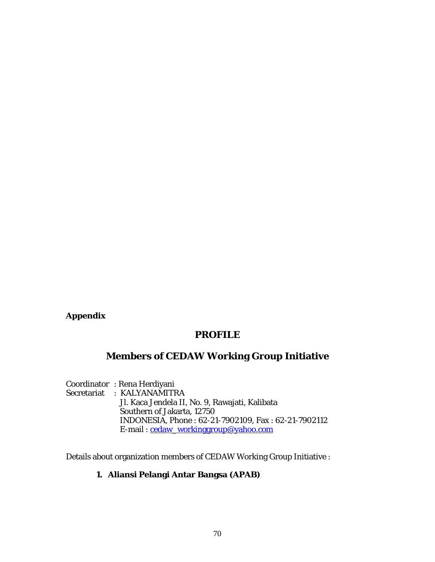# **Appendix**

# **PROFILE**

# **Members of CEDAW Working Group Initiative**

Coordinator : Rena Herdiyani Secretariat : KALYANAMITRA Jl. Kaca Jendela II, No. 9, Rawajati, Kalibata Southern of Jakarta, 12750 INDONESIA, Phone : 62-21-7902109, Fax : 62-21-7902112 E-mail : cedaw\_workinggroup@yahoo.com

Details about organization members of CEDAW Working Group Initiative :

## **1. Aliansi Pelangi Antar Bangsa (APAB)**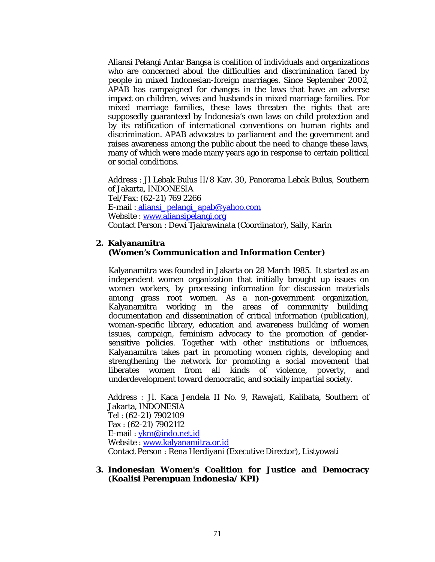Aliansi Pelangi Antar Bangsa is coalition of individuals and organizations who are concerned about the difficulties and discrimination faced by people in mixed Indonesian-foreign marriages. Since September 2002, APAB has campaigned for changes in the laws that have an adverse impact on children, wives and husbands in mixed marriage families. For mixed marriage families, these laws threaten the rights that are supposedly guaranteed by Indonesia's own laws on child protection and by its ratification of international conventions on human rights and discrimination. APAB advocates to parliament and the government and raises awareness among the public about the need to change these laws, many of which were made many years ago in response to certain political or social conditions.

Address : Jl Lebak Bulus II/8 Kav. 30, Panorama Lebak Bulus, Southern of Jakarta, INDONESIA Tel/Fax: (62-21) 769 2266 E-mail : aliansi\_pelangi\_apab@yahoo.com Website : www.aliansipelangi.org Contact Person : Dewi Tjakrawinata (Coordinator), Sally, Karin

#### **2. Kalyanamitra** *(Women's Communication and Information Center)*

Kalyanamitra was founded in Jakarta on 28 March 1985. It started as an independent women organization that initially brought up issues on women workers, by processing information for discussion materials among grass root women. As a non-government organization, Kalyanamitra working in the areas of community building, documentation and dissemination of critical information (publication), woman-specific library, education and awareness building of women issues, campaign, feminism advocacy to the promotion of gendersensitive policies. Together with other institutions or influences, Kalyanamitra takes part in promoting women rights, developing and strengthening the network for promoting a social movement that liberates women from all kinds of violence, poverty, and underdevelopment toward democratic, and socially impartial society.

Address : Jl. Kaca Jendela II No. 9, Rawajati, Kalibata, Southern of Jakarta, INDONESIA Tel : (62-21) 7902109 Fax : (62-21) 7902112 E-mail : ykm@indo.net.id Website : www.kalyanamitra.or.id Contact Person : Rena Herdiyani (Executive Director), Listyowati

#### **3. Indonesian Women's Coalition for Justice and Democracy (Koalisi Perempuan Indonesia/ KPI)**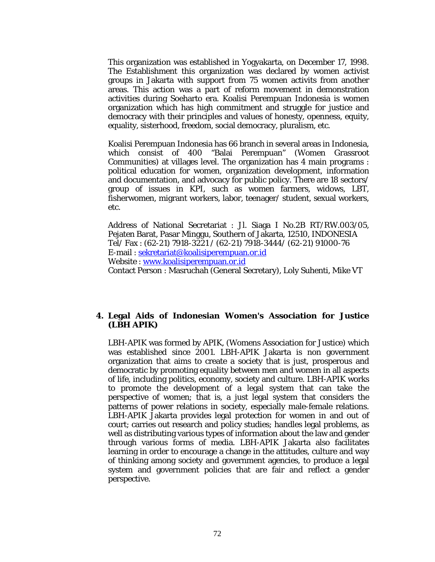This organization was established in Yogyakarta, on December 17, 1998. The Establishment this organization was declared by women activist groups in Jakarta with support from 75 women activits from another areas. This action was a part of reform movement in demonstration activities during Soeharto era. Koalisi Perempuan Indonesia is women organization which has high commitment and struggle for justice and democracy with their principles and values of honesty, openness, equity, equality, sisterhood, freedom, social democracy, pluralism, etc.

Koalisi Perempuan Indonesia has 66 branch in several areas in Indonesia, which consist of 400 "Balai Perempuan" (Women Grassroot Communities) at villages level. The organization has 4 main programs : political education for women, organization development, information and documentation, and advocacy for public policy. There are 18 sectors/ group of issues in KPI, such as women farmers, widows, LBT, fisherwomen, migrant workers, labor, teenager/ student, sexual workers, etc.

Address of National Secretariat : Jl. Siaga I No.2B RT/RW.003/05, Pejaten Barat, Pasar Minggu, Southern of Jakarta, 12510, INDONESIA Tel/ Fax : (62-21) 7918-3221 / (62-21) 7918-3444/ (62-21) 91000-76 E-mail : sekretariat@koalisiperempuan.or.id Website : www.koalisiperempuan.or.id Contact Person : Masruchah (General Secretary), Loly Suhenti, Mike VT

#### **4. Legal Aids of Indonesian Women's Association for Justice (LBH APIK)**

LBH-APIK was formed by APIK, (Womens Association for Justice) which was established since 2001. LBH-APIK Jakarta is non government organization that aims to create a society that is just, prosperous and democratic by promoting equality between men and women in all aspects of life, including politics, economy, society and culture. LBH-APIK works to promote the development of a legal system that can take the perspective of women; that is, a just legal system that considers the patterns of power relations in society, especially male-female relations. LBH-APIK Jakarta provides legal protection for women in and out of court; carries out research and policy studies; handles legal problems, as well as distributing various types of information about the law and gender through various forms of media. LBH-APIK Jakarta also facilitates learning in order to encourage a change in the attitudes, culture and way of thinking among society and government agencies, to produce a legal system and government policies that are fair and reflect a gender perspective.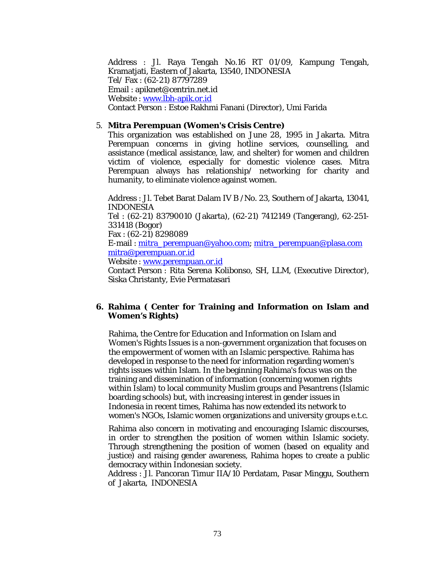Address : Jl. Raya Tengah No.16 RT 01/09, Kampung Tengah, Kramatjati, Eastern of Jakarta, 13540, INDONESIA Tel/ Fax : (62-21) 87797289 Email : apiknet@centrin.net.id Website : www.lbh-apik.or.id Contact Person : Estoe Rakhmi Fanani (Director), Umi Farida

#### 5. **Mitra Perempuan (Women's Crisis Centre)**

This organization was established on June 28, 1995 in Jakarta. Mitra Perempuan concerns in giving hotline services, counselling, and assistance (medical assistance, law, and shelter) for women and children victim of violence, especially for domestic violence cases. Mitra Perempuan always has relationship/ networking for charity and humanity, to eliminate violence against women.

Address : Jl. Tebet Barat Dalam IV B /No. 23, Southern of Jakarta, 13041, INDONESIA Tel : (62-21) 83790010 (Jakarta), (62-21) 7412149 (Tangerang), 62-251-

331418 (Bogor) Fax : (62-21) 8298089

E-mail : mitra\_perempuan@yahoo.com; mitra\_perempuan@plasa.com mitra@perempuan.or.id

Website : www.perempuan.or.id

Contact Person : Rita Serena Kolibonso, SH, LLM, (Executive Director), Siska Christanty, Evie Permatasari

# **6. Rahima ( Center for Training and Information on Islam and Women's Rights)**

Rahima, the Centre for Education and Information on Islam and Women's Rights Issues is a non-government organization that focuses on the empowerment of women with an Islamic perspective. Rahima has developed in response to the need for information regarding women's rights issues within Islam. In the beginning Rahima's focus was on the training and dissemination of information (concerning women rights within Islam) to local community Muslim groups and Pesantrens (Islamic boarding schools) but, with increasing interest in gender issues in Indonesia in recent times, Rahima has now extended its network to women's NGOs, Islamic women organizations and university groups e.t.c.

Rahima also concern in motivating and encouraging Islamic discourses, in order to strengthen the position of women within Islamic society. Through strengthening the position of women (based on equality and justice) and raising gender awareness, Rahima hopes to create a public democracy within Indonesian society.

Address : Jl. Pancoran Timur IIA/10 Perdatam, Pasar Minggu, Southern of Jakarta, INDONESIA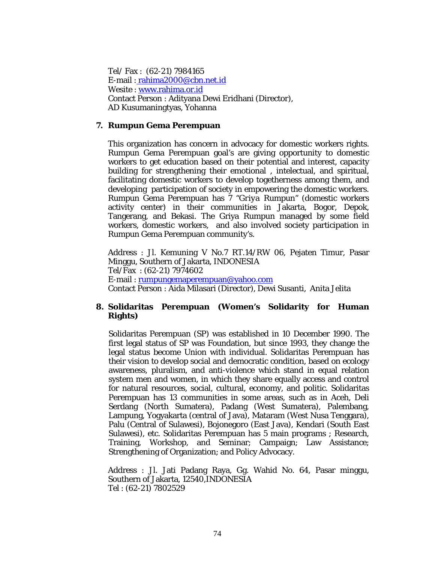Tel/ Fax : (62-21) 7984165 E-mail : rahima2000@cbn.net.id Wesite : www.rahima.or.id Contact Person : Adityana Dewi Eridhani (Director), AD Kusumaningtyas, Yohanna

### **7. Rumpun Gema Perempuan**

This organization has concern in advocacy for domestic workers rights. Rumpun Gema Perempuan goal's are giving opportunity to domestic workers to get education based on their potential and interest, capacity building for strengthening their emotional , intelectual, and spiritual, facilitating domestic workers to develop togetherness among them, and developing participation of society in empowering the domestic workers. Rumpun Gema Perempuan has 7 *"Griya Rumpun"* (domestic workers activity center) in their communities in Jakarta, Bogor, Depok, Tangerang, and Bekasi. The Griya Rumpun managed by some field workers, domestic workers, and also involved society participation in Rumpun Gema Perempuan community's.

Address : Jl. Kemuning V No.7 RT.14/RW 06, Pejaten Timur, Pasar Minggu, Southern of Jakarta, INDONESIA Tel/Fax : (62-21) 7974602 E-mail : rumpungemaperempuan@yahoo.com Contact Person : Aida Milasari (Director), Dewi Susanti, Anita Jelita

# **8. Solidaritas Perempuan (Women's Solidarity for Human Rights)**

Solidaritas Perempuan (SP) was established in 10 December 1990. The first legal status of SP was Foundation, but since 1993, they change the legal status become Union with individual. Solidaritas Perempuan has their vision to develop social and democratic condition, based on ecology awareness, pluralism, and anti-violence which stand in equal relation system men and women, in which they share equally access and control for natural resources, social, cultural, economy, and politic. Solidaritas Perempuan has 13 communities in some areas, such as in Aceh, Deli Serdang (North Sumatera), Padang (West Sumatera), Palembang, Lampung, Yogyakarta (central of Java), Mataram (West Nusa Tenggara), Palu (Central of Sulawesi), Bojonegoro (East Java), Kendari (South East Sulawesi), etc. Solidaritas Perempuan has 5 main programs ; Research, Training, Workshop, and Seminar; Campaign; Law Assistance; Strengthening of Organization; and Policy Advocacy.

Address : Jl. Jati Padang Raya, Gg. Wahid No. 64, Pasar minggu, Southern of Jakarta, 12540,INDONESIA Tel : (62-21) 7802529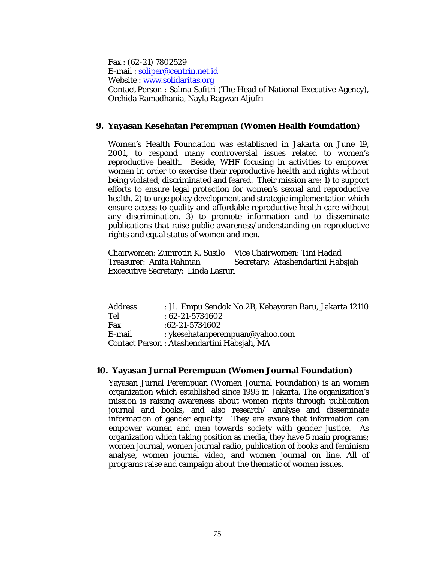Fax : (62-21) 7802529 E-mail : soliper@centrin.net.id Website : www.solidaritas.org Contact Person : Salma Safitri (The Head of National Executive Agency), Orchida Ramadhania, Nayla Ragwan Aljufri

### **9. Yayasan Kesehatan Perempuan (Women Health Foundation)**

Women's Health Foundation was established in Jakarta on June 19, 2001, to respond many controversial issues related to women's reproductive health. Beside, WHF focusing in activities to empower women in order to exercise their reproductive health and rights without being violated, discriminated and feared. Their mission are: 1) to support efforts to ensure legal protection for women's sexual and reproductive health. 2) to urge policy development and strategic implementation which ensure access to quality and affordable reproductive health care without any discrimination. 3) to promote information and to disseminate publications that raise public awareness/understanding on reproductive rights and equal status of women and men.

Chairwomen: Zumrotin K. Susilo Vice Chairwomen: Tini Hadad Treasurer: Anita Rahman Secretary: Atashendartini Habsjah Excecutive Secretary: Linda Lasrun

| <b>Address</b> | : Jl. Empu Sendok No.2B, Kebayoran Baru, Jakarta 12110 |
|----------------|--------------------------------------------------------|
| Tel            | $:62 - 21 - 5734602$                                   |
| Fax            | $:62 - 21 - 5734602$                                   |
| E-mail         | : ykesehatanperempuan@yahoo.com                        |
|                | Contact Person: Atashendartini Habsjah, MA             |

#### **10. Yayasan Jurnal Perempuan (Women Journal Foundation)**

Yayasan Jurnal Perempuan (Women Journal Foundation) is an women organization which established since 1995 in Jakarta. The organization's mission is raising awareness about women rights through publication journal and books, and also research/ analyse and disseminate information of gender equality. They are aware that information can empower women and men towards society with gender justice. As organization which taking position as media, they have 5 main programs; women journal, women journal radio, publication of books and feminism analyse, women journal video, and women journal on line. All of programs raise and campaign about the thematic of women issues.